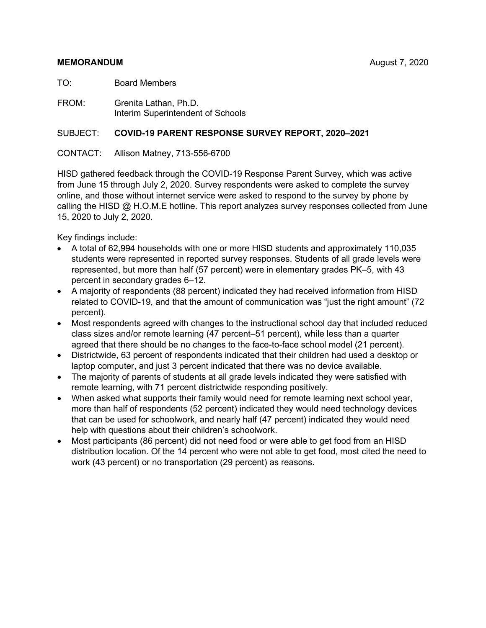#### **MEMORANDUM** August 7, 2020

TO: Board Members

FROM: Grenita Lathan, Ph.D. Interim Superintendent of Schools

#### SUBJECT: **COVID-19 PARENT RESPONSE SURVEY REPORT, 2020–2021**

CONTACT: Allison Matney, 713-556-6700

HISD gathered feedback through the COVID-19 Response Parent Survey, which was active from June 15 through July 2, 2020. Survey respondents were asked to complete the survey online, and those without internet service were asked to respond to the survey by phone by calling the HISD @ H.O.M.E hotline. This report analyzes survey responses collected from June 15, 2020 to July 2, 2020.

Key findings include:

- A total of 62,994 households with one or more HISD students and approximately 110,035 students were represented in reported survey responses. Students of all grade levels were represented, but more than half (57 percent) were in elementary grades PK–5, with 43 percent in secondary grades 6–12.
- A majority of respondents (88 percent) indicated they had received information from HISD related to COVID-19, and that the amount of communication was "just the right amount" (72 percent).
- Most respondents agreed with changes to the instructional school day that included reduced class sizes and/or remote learning (47 percent–51 percent), while less than a quarter agreed that there should be no changes to the face-to-face school model (21 percent).
- Districtwide, 63 percent of respondents indicated that their children had used a desktop or laptop computer, and just 3 percent indicated that there was no device available.
- The majority of parents of students at all grade levels indicated they were satisfied with remote learning, with 71 percent districtwide responding positively.
- When asked what supports their family would need for remote learning next school year, more than half of respondents (52 percent) indicated they would need technology devices that can be used for schoolwork, and nearly half (47 percent) indicated they would need help with questions about their children's schoolwork.
- Most participants (86 percent) did not need food or were able to get food from an HISD distribution location. Of the 14 percent who were not able to get food, most cited the need to work (43 percent) or no transportation (29 percent) as reasons.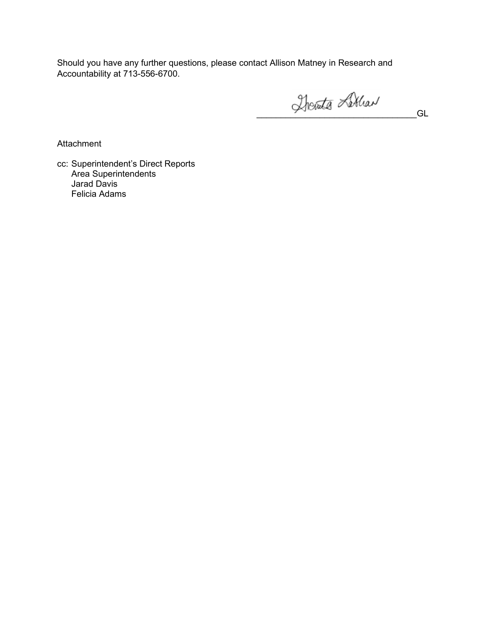Should you have any further questions, please contact Allison Matney in Research and Accountability at 713-556-6700.

Therate Littlew GL

**Attachment** 

cc: Superintendent's Direct Reports Area Superintendents Jarad Davis Felicia Adams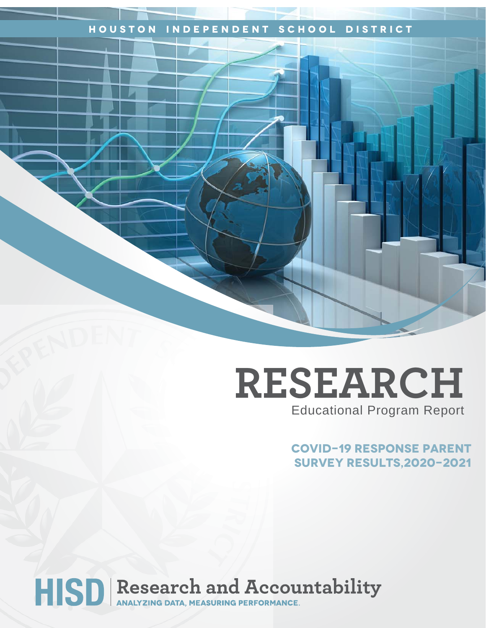## **Houston Independent School District**

## **RESEARCH** Educational Program Report

**COVID-19 response PARENT SURVEY results,2020-2021**

# HISD Research and Accountability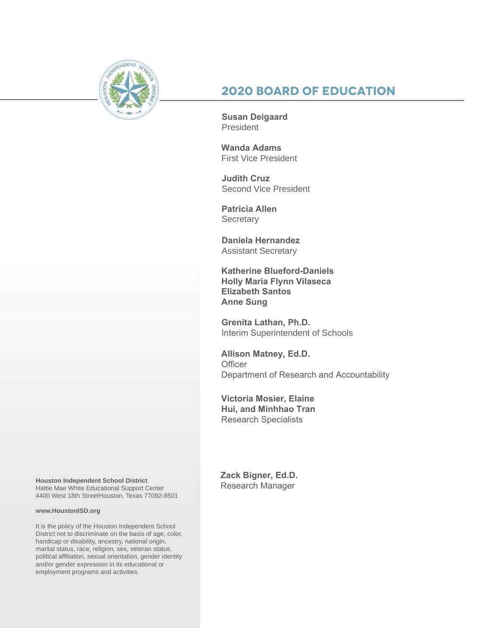

## **2020 Board of Education**

**Susan Deigaard** President

**Wanda Adams** First Vice President

**Judith Cruz**  Second Vice President

**Patricia Allen Secretary** 

**Daniela Hernandez** Assistant Secretary

**Katherine Blueford-Daniels Holly Maria Flynn Vilaseca Elizabeth Santos Anne Sung**

**Grenita Lathan, Ph.D.**  Interim Superintendent of Schools

**Allison Matney, Ed.D. Officer** Department of Research and Accountability

**Victoria Mosier, Elaine Hui, and Minhhao Tran** Research Specialists

Houston Independent School District<br>Hattie Mae White Educational Support Center **Research Manager** 4400 West 18th StreetHouston, Texas 77092-8501

#### **www.HoustonISD.org**

It is the policy of the Houston Independent School District not to discriminate on the basis of age, color, handicap or disability, ancestry, national origin, marital status, race, religion, sex, veteran status, political affiliation, sexual orientation, gender identity and/or gender expression in its educational or employment programs and activities.

**Zack Bigner, Ed.D.**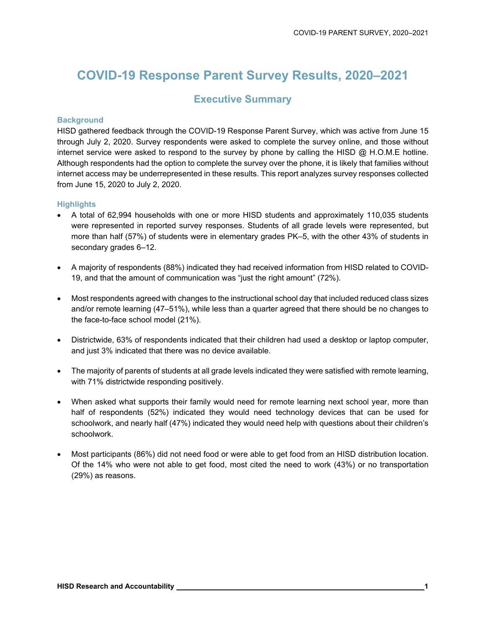## **COVID-19 Response Parent Survey Results, 2020–2021**

## **Executive Summary**

#### **Background**

HISD gathered feedback through the COVID-19 Response Parent Survey, which was active from June 15 through July 2, 2020. Survey respondents were asked to complete the survey online, and those without internet service were asked to respond to the survey by phone by calling the HISD  $\omega$  H.O.M.E hotline. Although respondents had the option to complete the survey over the phone, it is likely that families without internet access may be underrepresented in these results. This report analyzes survey responses collected from June 15, 2020 to July 2, 2020.

#### **Highlights**

- A total of 62,994 households with one or more HISD students and approximately 110,035 students were represented in reported survey responses. Students of all grade levels were represented, but more than half (57%) of students were in elementary grades PK–5, with the other 43% of students in secondary grades 6–12.
- A majority of respondents (88%) indicated they had received information from HISD related to COVID-19, and that the amount of communication was "just the right amount" (72%).
- Most respondents agreed with changes to the instructional school day that included reduced class sizes and/or remote learning (47–51%), while less than a quarter agreed that there should be no changes to the face-to-face school model (21%).
- Districtwide, 63% of respondents indicated that their children had used a desktop or laptop computer, and just 3% indicated that there was no device available.
- The majority of parents of students at all grade levels indicated they were satisfied with remote learning, with 71% districtwide responding positively.
- When asked what supports their family would need for remote learning next school year, more than half of respondents (52%) indicated they would need technology devices that can be used for schoolwork, and nearly half (47%) indicated they would need help with questions about their children's schoolwork.
- Most participants (86%) did not need food or were able to get food from an HISD distribution location. Of the 14% who were not able to get food, most cited the need to work (43%) or no transportation (29%) as reasons.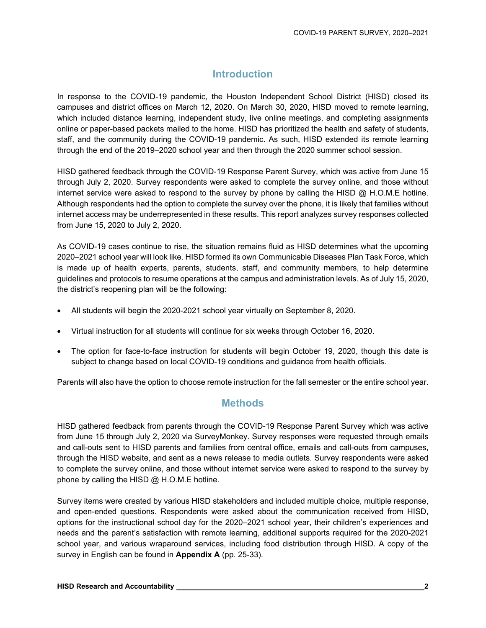## **Introduction**

In response to the COVID-19 pandemic, the Houston Independent School District (HISD) closed its campuses and district offices on March 12, 2020. On March 30, 2020, HISD moved to remote learning, which included distance learning, independent study, live online meetings, and completing assignments online or paper-based packets mailed to the home. HISD has prioritized the health and safety of students, staff, and the community during the COVID-19 pandemic. As such, HISD extended its remote learning through the end of the 2019–2020 school year and then through the 2020 summer school session.

HISD gathered feedback through the COVID-19 Response Parent Survey, which was active from June 15 through July 2, 2020. Survey respondents were asked to complete the survey online, and those without internet service were asked to respond to the survey by phone by calling the HISD  $\omega$  H.O.M.E hotline. Although respondents had the option to complete the survey over the phone, it is likely that families without internet access may be underrepresented in these results. This report analyzes survey responses collected from June 15, 2020 to July 2, 2020.

As COVID-19 cases continue to rise, the situation remains fluid as HISD determines what the upcoming 2020–2021 school year will look like. HISD formed its own Communicable Diseases Plan Task Force, which is made up of health experts, parents, students, staff, and community members, to help determine guidelines and protocols to resume operations at the campus and administration levels. As of July 15, 2020, the district's reopening plan will be the following:

- All students will begin the 2020-2021 school year virtually on September 8, 2020.
- Virtual instruction for all students will continue for six weeks through October 16, 2020.
- The option for face-to-face instruction for students will begin October 19, 2020, though this date is subject to change based on local COVID-19 conditions and guidance from health officials.

Parents will also have the option to choose remote instruction for the fall semester or the entire school year.

### **Methods**

HISD gathered feedback from parents through the COVID-19 Response Parent Survey which was active from June 15 through July 2, 2020 via SurveyMonkey. Survey responses were requested through emails and call-outs sent to HISD parents and families from central office, emails and call-outs from campuses, through the HISD website, and sent as a news release to media outlets. Survey respondents were asked to complete the survey online, and those without internet service were asked to respond to the survey by phone by calling the HISD @ H.O.M.E hotline.

Survey items were created by various HISD stakeholders and included multiple choice, multiple response, and open-ended questions. Respondents were asked about the communication received from HISD, options for the instructional school day for the 2020–2021 school year, their children's experiences and needs and the parent's satisfaction with remote learning, additional supports required for the 2020-2021 school year, and various wraparound services, including food distribution through HISD. A copy of the survey in English can be found in **Appendix A** (pp. 25-33).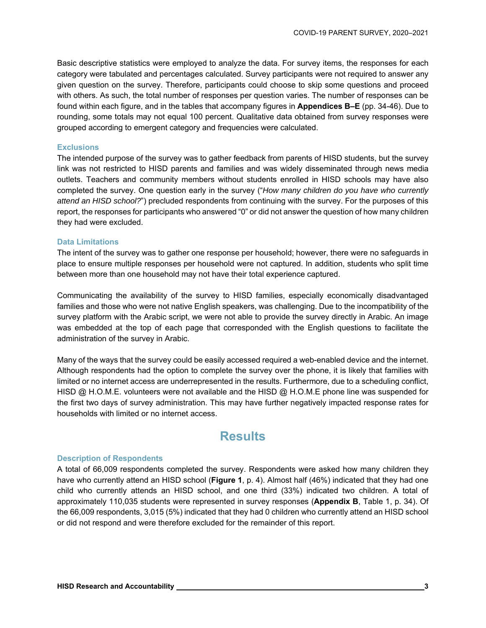Basic descriptive statistics were employed to analyze the data. For survey items, the responses for each category were tabulated and percentages calculated. Survey participants were not required to answer any given question on the survey. Therefore, participants could choose to skip some questions and proceed with others. As such, the total number of responses per question varies. The number of responses can be found within each figure, and in the tables that accompany figures in **Appendices B–E** (pp. 34-46). Due to rounding, some totals may not equal 100 percent. Qualitative data obtained from survey responses were grouped according to emergent category and frequencies were calculated.

#### **Exclusions**

The intended purpose of the survey was to gather feedback from parents of HISD students, but the survey link was not restricted to HISD parents and families and was widely disseminated through news media outlets. Teachers and community members without students enrolled in HISD schools may have also completed the survey. One question early in the survey ("*How many children do you have who currently attend an HISD school?*") precluded respondents from continuing with the survey. For the purposes of this report, the responses for participants who answered "0" or did not answer the question of how many children they had were excluded.

#### **Data Limitations**

The intent of the survey was to gather one response per household; however, there were no safeguards in place to ensure multiple responses per household were not captured. In addition, students who split time between more than one household may not have their total experience captured.

Communicating the availability of the survey to HISD families, especially economically disadvantaged families and those who were not native English speakers, was challenging. Due to the incompatibility of the survey platform with the Arabic script, we were not able to provide the survey directly in Arabic. An image was embedded at the top of each page that corresponded with the English questions to facilitate the administration of the survey in Arabic.

Many of the ways that the survey could be easily accessed required a web-enabled device and the internet. Although respondents had the option to complete the survey over the phone, it is likely that families with limited or no internet access are underrepresented in the results. Furthermore, due to a scheduling conflict, HISD @ H.O.M.E. volunteers were not available and the HISD @ H.O.M.E phone line was suspended for the first two days of survey administration. This may have further negatively impacted response rates for households with limited or no internet access.

## **Results**

#### **Description of Respondents**

A total of 66,009 respondents completed the survey. Respondents were asked how many children they have who currently attend an HISD school (**Figure 1**, p. 4). Almost half (46%) indicated that they had one child who currently attends an HISD school, and one third (33%) indicated two children. A total of approximately 110,035 students were represented in survey responses (**Appendix B**, Table 1, p. 34). Of the 66,009 respondents, 3,015 (5%) indicated that they had 0 children who currently attend an HISD school or did not respond and were therefore excluded for the remainder of this report.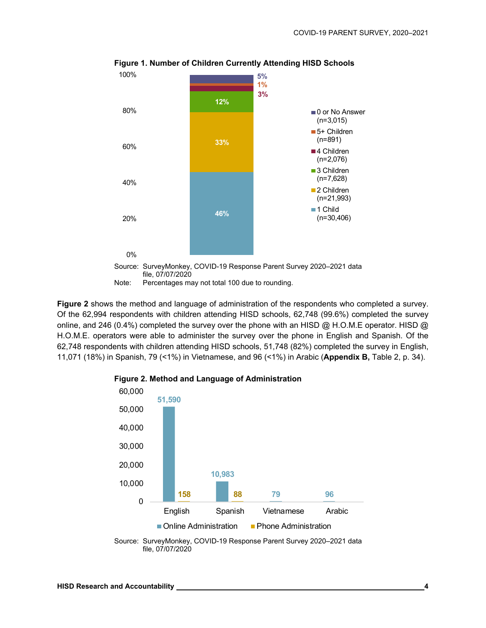

**Figure 1. Number of Children Currently Attending HISD Schools** 

**Figure 2** shows the method and language of administration of the respondents who completed a survey. Of the 62,994 respondents with children attending HISD schools, 62,748 (99.6%) completed the survey online, and 246 (0.4%) completed the survey over the phone with an HISD @ H.O.M.E operator. HISD @ H.O.M.E. operators were able to administer the survey over the phone in English and Spanish. Of the 62,748 respondents with children attending HISD schools, 51,748 (82%) completed the survey in English, 11,071 (18%) in Spanish, 79 (<1%) in Vietnamese, and 96 (<1%) in Arabic (**Appendix B,** Table 2, p. 34).



**Figure 2. Method and Language of Administration** 

Source: SurveyMonkey, COVID-19 Response Parent Survey 2020–2021 data file, 07/07/2020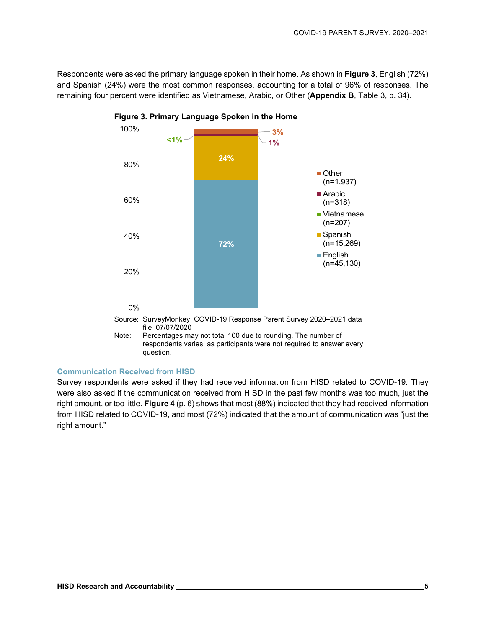Respondents were asked the primary language spoken in their home. As shown in **Figure 3**, English (72%) and Spanish (24%) were the most common responses, accounting for a total of 96% of responses. The remaining four percent were identified as Vietnamese, Arabic, or Other (**Appendix B**, Table 3, p. 34).



**Figure 3. Primary Language Spoken in the Home** 

#### **Communication Received from HISD**

Survey respondents were asked if they had received information from HISD related to COVID-19. They were also asked if the communication received from HISD in the past few months was too much, just the right amount, or too little. **Figure 4** (p. 6) shows that most (88%) indicated that they had received information from HISD related to COVID-19, and most (72%) indicated that the amount of communication was "just the right amount."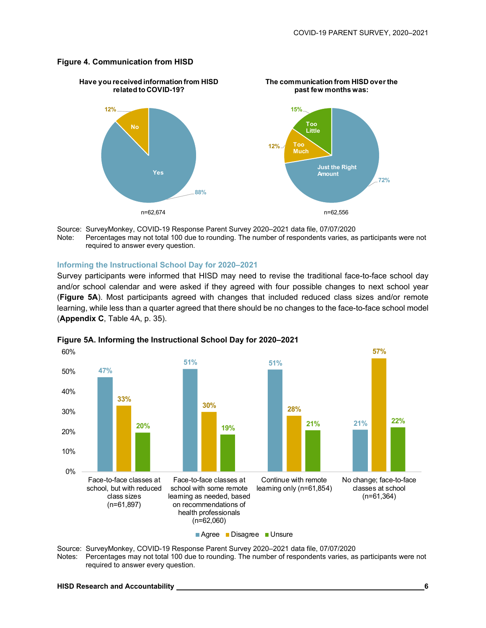#### **Figure 4. Communication from HISD**



Source: SurveyMonkey, COVID-19 Response Parent Survey 2020–2021 data file, 07/07/2020 Note: Percentages may not total 100 due to rounding. The number of respondents varies, as participants were not required to answer every question.

#### **Informing the Instructional School Day for 2020–2021**

Survey participants were informed that HISD may need to revise the traditional face-to-face school day and/or school calendar and were asked if they agreed with four possible changes to next school year (**Figure 5A**). Most participants agreed with changes that included reduced class sizes and/or remote learning, while less than a quarter agreed that there should be no changes to the face-to-face school model (**Appendix C**, Table 4A, p. 35).



#### **Figure 5A. Informing the Instructional School Day for 2020–2021**

Source: SurveyMonkey, COVID-19 Response Parent Survey 2020–2021 data file, 07/07/2020

Notes: Percentages may not total 100 due to rounding. The number of respondents varies, as participants were not required to answer every question.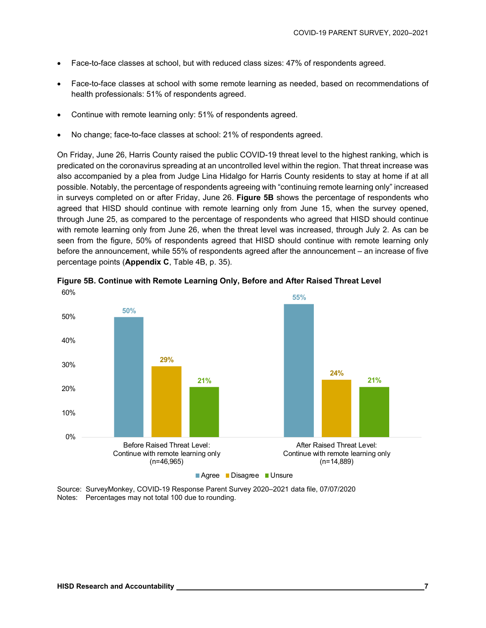- Face-to-face classes at school, but with reduced class sizes: 47% of respondents agreed.
- Face-to-face classes at school with some remote learning as needed, based on recommendations of health professionals: 51% of respondents agreed.
- Continue with remote learning only: 51% of respondents agreed.
- No change; face-to-face classes at school: 21% of respondents agreed.

On Friday, June 26, Harris County raised the public COVID-19 threat level to the highest ranking, which is predicated on the coronavirus spreading at an uncontrolled level within the region. That threat increase was also accompanied by a plea from Judge Lina Hidalgo for Harris County residents to stay at home if at all possible. Notably, the percentage of respondents agreeing with "continuing remote learning only" increased in surveys completed on or after Friday, June 26. **Figure 5B** shows the percentage of respondents who agreed that HISD should continue with remote learning only from June 15, when the survey opened, through June 25, as compared to the percentage of respondents who agreed that HISD should continue with remote learning only from June 26, when the threat level was increased, through July 2. As can be seen from the figure, 50% of respondents agreed that HISD should continue with remote learning only before the announcement, while 55% of respondents agreed after the announcement – an increase of five percentage points (**Appendix C**, Table 4B, p. 35).



**Figure 5B. Continue with Remote Learning Only, Before and After Raised Threat Level**  60%

Source: SurveyMonkey, COVID-19 Response Parent Survey 2020–2021 data file, 07/07/2020 Notes: Percentages may not total 100 due to rounding.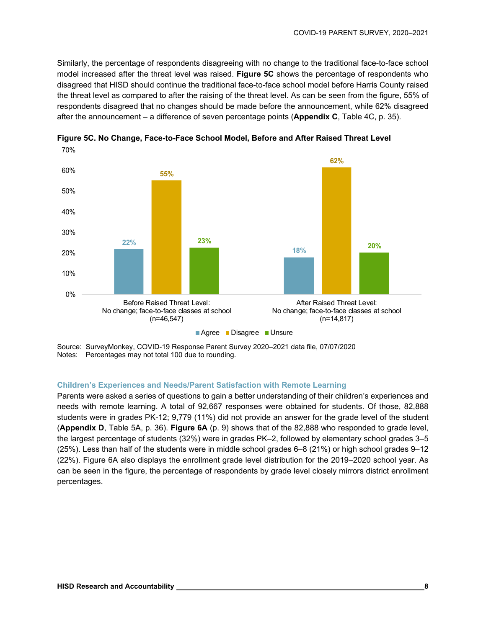Similarly, the percentage of respondents disagreeing with no change to the traditional face-to-face school model increased after the threat level was raised. **Figure 5C** shows the percentage of respondents who disagreed that HISD should continue the traditional face-to-face school model before Harris County raised the threat level as compared to after the raising of the threat level. As can be seen from the figure, 55% of respondents disagreed that no changes should be made before the announcement, while 62% disagreed after the announcement – a difference of seven percentage points (**Appendix C**, Table 4C, p. 35).



**Figure 5C. No Change, Face-to-Face School Model, Before and After Raised Threat Level**  70%

Source: SurveyMonkey, COVID-19 Response Parent Survey 2020–2021 data file, 07/07/2020 Notes: Percentages may not total 100 due to rounding.

#### **Children's Experiences and Needs/Parent Satisfaction with Remote Learning**

Parents were asked a series of questions to gain a better understanding of their children's experiences and needs with remote learning. A total of 92,667 responses were obtained for students. Of those, 82,888 students were in grades PK-12; 9,779 (11%) did not provide an answer for the grade level of the student (**Appendix D**, Table 5A, p. 36). **Figure 6A** (p. 9) shows that of the 82,888 who responded to grade level, the largest percentage of students (32%) were in grades PK–2, followed by elementary school grades 3–5 (25%). Less than half of the students were in middle school grades 6–8 (21%) or high school grades 9–12 (22%). Figure 6A also displays the enrollment grade level distribution for the 2019–2020 school year. As can be seen in the figure, the percentage of respondents by grade level closely mirrors district enrollment percentages.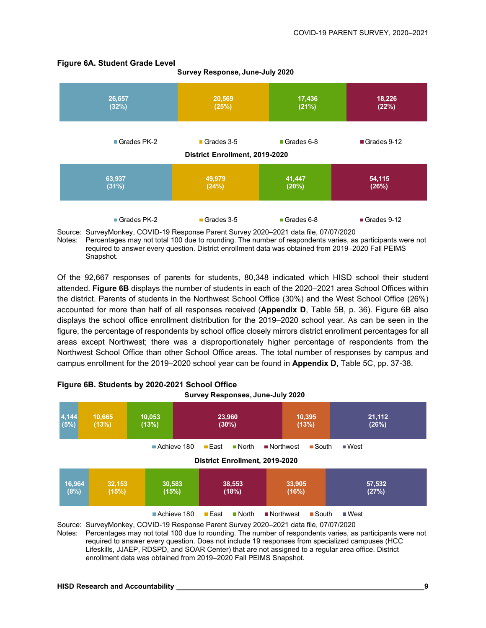| 26,657        | 20,569                                       | 17,436     | 18,226      |
|---------------|----------------------------------------------|------------|-------------|
| (32%)         | (25%)                                        | (21%)      | (22%)       |
| Grades PK-2   | Grades 3-5<br>District Enrollment, 2019-2020 | Grades 6-8 | Grades 9-12 |
| 63,937        | 49,979                                       | 41,447     | 54,115      |
| (31%)         | (24%)                                        | (20%)      | (26%)       |
| ■ Grades PK-2 | Grades 3-5                                   | Grades 6-8 | Grades 9-12 |

**Survey Response, June-July 2020**

#### **Figure 6A. Student Grade Level**

Source: SurveyMonkey, COVID-19 Response Parent Survey 2020–2021 data file, 07/07/2020

Notes: Percentages may not total 100 due to rounding. The number of respondents varies, as participants were not required to answer every question. District enrollment data was obtained from 2019–2020 Fall PEIMS Snapshot.

Of the 92,667 responses of parents for students, 80,348 indicated which HISD school their student attended. **Figure 6B** displays the number of students in each of the 2020–2021 area School Offices within the district. Parents of students in the Northwest School Office (30%) and the West School Office (26%) accounted for more than half of all responses received (**Appendix D**, Table 5B, p. 36). Figure 6B also displays the school office enrollment distribution for the 2019–2020 school year. As can be seen in the figure, the percentage of respondents by school office closely mirrors district enrollment percentages for all areas except Northwest; there was a disproportionately higher percentage of respondents from the Northwest School Office than other School Office areas. The total number of responses by campus and campus enrollment for the 2019–2020 school year can be found in **Appendix D**, Table 5C, pp. 37-38.

| <b>SURVEY RESPONSES, JUNE-JULY 2020</b>                                                                                                                    |                 |                 |                                       |  |                 |
|------------------------------------------------------------------------------------------------------------------------------------------------------------|-----------------|-----------------|---------------------------------------|--|-----------------|
| 4,144<br>(5%)                                                                                                                                              | 10,665<br>(13%) | 10,053<br>(13%) | 10,395<br>23,960<br>$(30\%)$<br>(13%) |  | 21,112<br>(26%) |
| Achieve 180<br>$\blacksquare$ East<br>■ Northwest<br>$\blacksquare$ South<br>$\blacksquare$ West<br>$\blacksquare$ North<br>District Enrollment, 2019-2020 |                 |                 |                                       |  |                 |
| 16,964<br>32,153<br>33,905<br>57,532<br>30,583<br>38,553<br>(27%)<br>(15%)<br>(8%)<br>(15%)<br>(18%)<br>(16%)                                              |                 |                 |                                       |  |                 |
| Achieve 180<br>$\blacksquare$ East<br>$\blacksquare$ North<br>■ Northwest<br>$\blacksquare$ South<br>$\blacksquare$ West                                   |                 |                 |                                       |  |                 |

#### **Figure 6B. Students by 2020-2021 School Office Survey Responses, June-July 2020**

Source: SurveyMonkey, COVID-19 Response Parent Survey 2020–2021 data file, 07/07/2020 Notes: Percentages may not total 100 due to rounding. The number of respondents varies, as participants were not required to answer every question. Does not include 19 responses from specialized campuses (HCC Lifeskills, JJAEP, RDSPD, and SOAR Center) that are not assigned to a regular area office. District enrollment data was obtained from 2019–2020 Fall PEIMS Snapshot.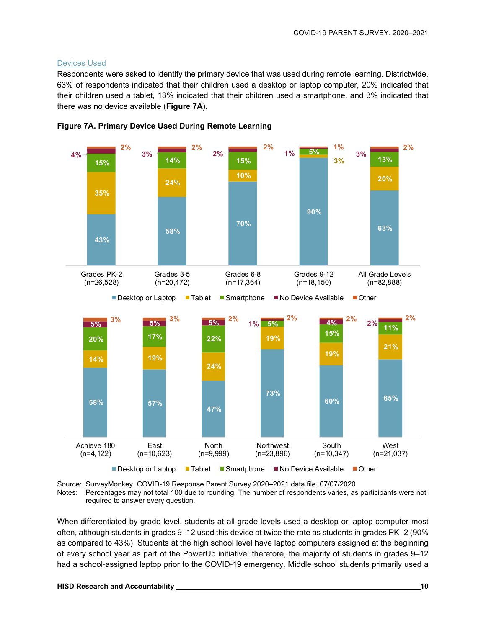#### Devices Used

Respondents were asked to identify the primary device that was used during remote learning. Districtwide, 63% of respondents indicated that their children used a desktop or laptop computer, 20% indicated that their children used a tablet, 13% indicated that their children used a smartphone, and 3% indicated that there was no device available (**Figure 7A**).







When differentiated by grade level, students at all grade levels used a desktop or laptop computer most often, although students in grades 9–12 used this device at twice the rate as students in grades PK–2 (90% as compared to 43%). Students at the high school level have laptop computers assigned at the beginning of every school year as part of the PowerUp initiative; therefore, the majority of students in grades 9–12 had a school-assigned laptop prior to the COVID-19 emergency. Middle school students primarily used a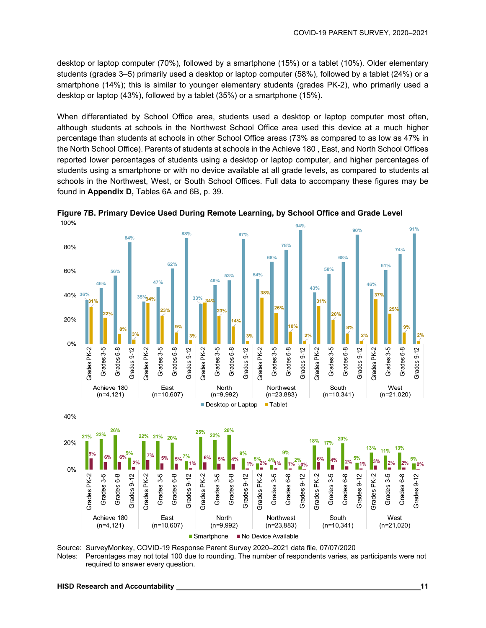desktop or laptop computer (70%), followed by a smartphone (15%) or a tablet (10%). Older elementary students (grades 3–5) primarily used a desktop or laptop computer (58%), followed by a tablet (24%) or a smartphone (14%); this is similar to younger elementary students (grades PK-2), who primarily used a desktop or laptop (43%), followed by a tablet (35%) or a smartphone (15%).

When differentiated by School Office area, students used a desktop or laptop computer most often, although students at schools in the Northwest School Office area used this device at a much higher percentage than students at schools in other School Office areas (73% as compared to as low as 47% in the North School Office). Parents of students at schools in the Achieve 180 , East, and North School Offices reported lower percentages of students using a desktop or laptop computer, and higher percentages of students using a smartphone or with no device available at all grade levels, as compared to students at schools in the Northwest, West, or South School Offices. Full data to accompany these figures may be found in **Appendix D,** Tables 6A and 6B, p. 39.



**Figure 7B. Primary Device Used During Remote Learning, by School Office and Grade Level**  100%



Notes: Percentages may not total 100 due to rounding. The number of respondents varies, as participants were not required to answer every question.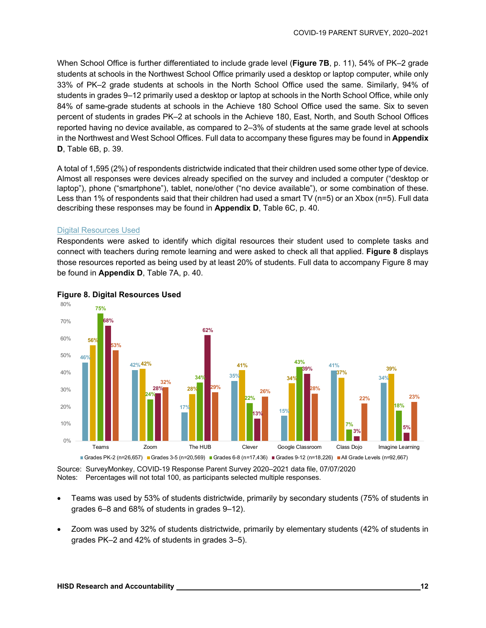When School Office is further differentiated to include grade level (**Figure 7B**, p. 11), 54% of PK–2 grade students at schools in the Northwest School Office primarily used a desktop or laptop computer, while only 33% of PK–2 grade students at schools in the North School Office used the same. Similarly, 94% of students in grades 9–12 primarily used a desktop or laptop at schools in the North School Office, while only 84% of same-grade students at schools in the Achieve 180 School Office used the same. Six to seven percent of students in grades PK–2 at schools in the Achieve 180, East, North, and South School Offices reported having no device available, as compared to 2–3% of students at the same grade level at schools in the Northwest and West School Offices. Full data to accompany these figures may be found in **Appendix D**, Table 6B, p. 39.

A total of 1,595 (2%) of respondents districtwide indicated that their children used some other type of device. Almost all responses were devices already specified on the survey and included a computer ("desktop or laptop"), phone ("smartphone"), tablet, none/other ("no device available"), or some combination of these. Less than 1% of respondents said that their children had used a smart TV (n=5) or an Xbox (n=5). Full data describing these responses may be found in **Appendix D**, Table 6C, p. 40.

#### Digital Resources Used

Respondents were asked to identify which digital resources their student used to complete tasks and connect with teachers during remote learning and were asked to check all that applied. **Figure 8** displays those resources reported as being used by at least 20% of students. Full data to accompany Figure 8 may be found in **Appendix D**, Table 7A, p. 40.



#### **Figure 8. Digital Resources Used**

Source: SurveyMonkey, COVID-19 Response Parent Survey 2020–2021 data file, 07/07/2020 Notes: Percentages will not total 100, as participants selected multiple responses.

- Teams was used by 53% of students districtwide, primarily by secondary students (75% of students in grades 6–8 and 68% of students in grades 9–12).
- Zoom was used by 32% of students districtwide, primarily by elementary students (42% of students in grades PK–2 and 42% of students in grades 3–5).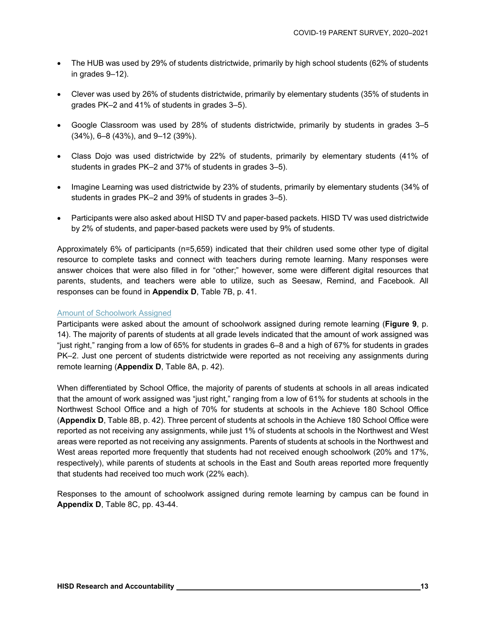- The HUB was used by 29% of students districtwide, primarily by high school students (62% of students in grades 9–12).
- Clever was used by 26% of students districtwide, primarily by elementary students (35% of students in grades PK–2 and 41% of students in grades 3–5).
- Google Classroom was used by 28% of students districtwide, primarily by students in grades 3–5 (34%), 6–8 (43%), and 9–12 (39%).
- Class Dojo was used districtwide by 22% of students, primarily by elementary students (41% of students in grades PK–2 and 37% of students in grades 3–5).
- Imagine Learning was used districtwide by 23% of students, primarily by elementary students (34% of students in grades PK–2 and 39% of students in grades 3–5).
- Participants were also asked about HISD TV and paper-based packets. HISD TV was used districtwide by 2% of students, and paper-based packets were used by 9% of students.

Approximately 6% of participants (n=5,659) indicated that their children used some other type of digital resource to complete tasks and connect with teachers during remote learning. Many responses were answer choices that were also filled in for "other;" however, some were different digital resources that parents, students, and teachers were able to utilize, such as Seesaw, Remind, and Facebook. All responses can be found in **Appendix D**, Table 7B, p. 41.

#### Amount of Schoolwork Assigned

Participants were asked about the amount of schoolwork assigned during remote learning (**Figure 9**, p. 14). The majority of parents of students at all grade levels indicated that the amount of work assigned was "just right," ranging from a low of 65% for students in grades 6–8 and a high of 67% for students in grades PK–2. Just one percent of students districtwide were reported as not receiving any assignments during remote learning (**Appendix D**, Table 8A, p. 42).

When differentiated by School Office, the majority of parents of students at schools in all areas indicated that the amount of work assigned was "just right," ranging from a low of 61% for students at schools in the Northwest School Office and a high of 70% for students at schools in the Achieve 180 School Office (**Appendix D**, Table 8B, p. 42). Three percent of students at schools in the Achieve 180 School Office were reported as not receiving any assignments, while just 1% of students at schools in the Northwest and West areas were reported as not receiving any assignments. Parents of students at schools in the Northwest and West areas reported more frequently that students had not received enough schoolwork (20% and 17%, respectively), while parents of students at schools in the East and South areas reported more frequently that students had received too much work (22% each).

Responses to the amount of schoolwork assigned during remote learning by campus can be found in **Appendix D**, Table 8C, pp. 43-44.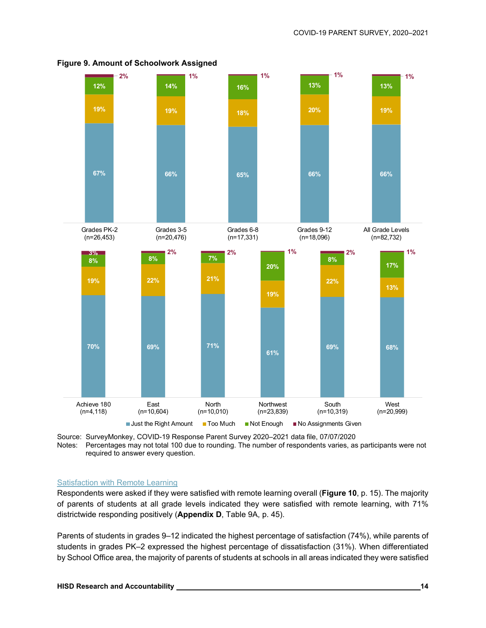

**Figure 9. Amount of Schoolwork Assigned** 

Source: SurveyMonkey, COVID-19 Response Parent Survey 2020–2021 data file, 07/07/2020 Notes: Percentages may not total 100 due to rounding. The number of respondents varies, as participants were not required to answer every question.

#### Satisfaction with Remote Learning

Respondents were asked if they were satisfied with remote learning overall (**Figure 10**, p. 15). The majority of parents of students at all grade levels indicated they were satisfied with remote learning, with 71% districtwide responding positively (**Appendix D**, Table 9A, p. 45).

Parents of students in grades 9–12 indicated the highest percentage of satisfaction (74%), while parents of students in grades PK–2 expressed the highest percentage of dissatisfaction (31%). When differentiated by School Office area, the majority of parents of students at schools in all areas indicated they were satisfied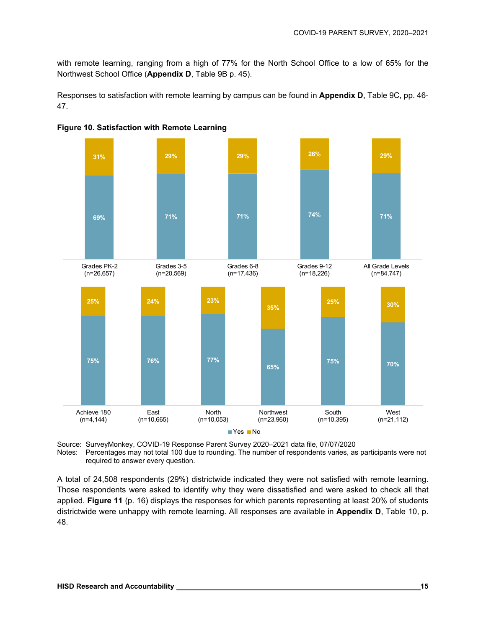with remote learning, ranging from a high of 77% for the North School Office to a low of 65% for the Northwest School Office (**Appendix D**, Table 9B p. 45).

Responses to satisfaction with remote learning by campus can be found in **Appendix D**, Table 9C, pp. 46- 47.





Source: SurveyMonkey, COVID-19 Response Parent Survey 2020–2021 data file, 07/07/2020 Notes: Percentages may not total 100 due to rounding. The number of respondents varies, as participants were not required to answer every question.

A total of 24,508 respondents (29%) districtwide indicated they were not satisfied with remote learning. Those respondents were asked to identify why they were dissatisfied and were asked to check all that applied. **Figure 11** (p. 16) displays the responses for which parents representing at least 20% of students districtwide were unhappy with remote learning. All responses are available in **Appendix D**, Table 10, p. 48.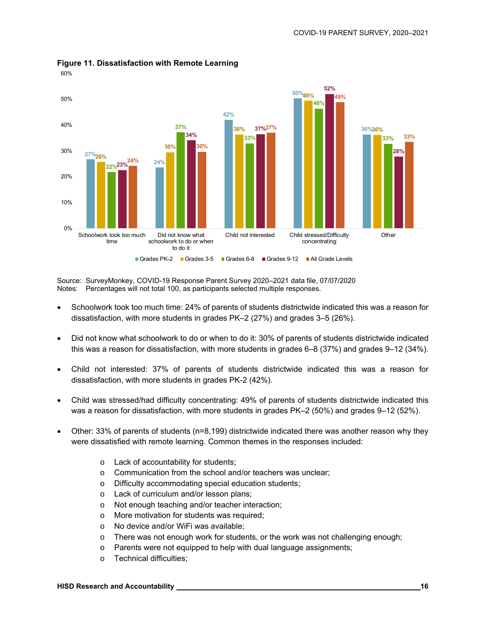

**Figure 11. Dissatisfaction with Remote Learning**  60%

Source: SurveyMonkey, COVID-19 Response Parent Survey 2020–2021 data file, 07/07/2020 Notes: Percentages will not total 100, as participants selected multiple responses.

- Schoolwork took too much time: 24% of parents of students districtwide indicated this was a reason for dissatisfaction, with more students in grades PK–2 (27%) and grades 3–5 (26%).
- Did not know what schoolwork to do or when to do it: 30% of parents of students districtwide indicated this was a reason for dissatisfaction, with more students in grades 6–8 (37%) and grades 9–12 (34%).
- Child not interested: 37% of parents of students districtwide indicated this was a reason for dissatisfaction, with more students in grades PK-2 (42%).
- Child was stressed/had difficulty concentrating: 49% of parents of students districtwide indicated this was a reason for dissatisfaction, with more students in grades PK–2 (50%) and grades 9–12 (52%).
- Other: 33% of parents of students (n=8,199) districtwide indicated there was another reason why they were dissatisfied with remote learning. Common themes in the responses included:
	- o Lack of accountability for students;
	- o Communication from the school and/or teachers was unclear;
	- o Difficulty accommodating special education students;
	- o Lack of curriculum and/or lesson plans;
	- o Not enough teaching and/or teacher interaction;
	- o More motivation for students was required;
	- o No device and/or WiFi was available;
	- o There was not enough work for students, or the work was not challenging enough;
	- o Parents were not equipped to help with dual language assignments;
	- o Technical difficulties;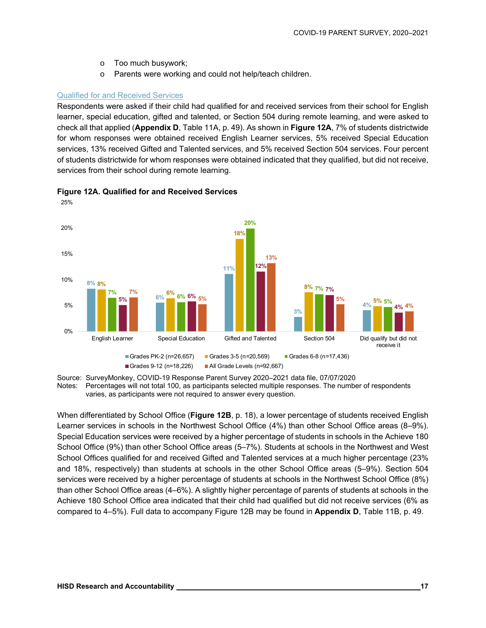- o Too much busywork;
- o Parents were working and could not help/teach children.

#### Qualified for and Received Services

Respondents were asked if their child had qualified for and received services from their school for English learner, special education, gifted and talented, or Section 504 during remote learning, and were asked to check all that applied (**Appendix D**, Table 11A, p. 49). As shown in **Figure 12A**, 7% of students districtwide for whom responses were obtained received English Learner services, 5% received Special Education services, 13% received Gifted and Talented services, and 5% received Section 504 services. Four percent of students districtwide for whom responses were obtained indicated that they qualified, but did not receive, services from their school during remote learning.



#### **Figure 12A. Qualified for and Received Services**

Source: SurveyMonkey, COVID-19 Response Parent Survey 2020–2021 data file, 07/07/2020

Notes: Percentages will not total 100, as participants selected multiple responses. The number of respondents varies, as participants were not required to answer every question.

When differentiated by School Office (**Figure 12B**, p. 18), a lower percentage of students received English Learner services in schools in the Northwest School Office (4%) than other School Office areas (8–9%). Special Education services were received by a higher percentage of students in schools in the Achieve 180 School Office (9%) than other School Office areas (5–7%). Students at schools in the Northwest and West School Offices qualified for and received Gifted and Talented services at a much higher percentage (23% and 18%, respectively) than students at schools in the other School Office areas (5–9%). Section 504 services were received by a higher percentage of students at schools in the Northwest School Office (8%) than other School Office areas (4–6%). A slightly higher percentage of parents of students at schools in the Achieve 180 School Office area indicated that their child had qualified but did not receive services (6% as compared to 4–5%). Full data to accompany Figure 12B may be found in **Appendix D**, Table 11B, p. 49.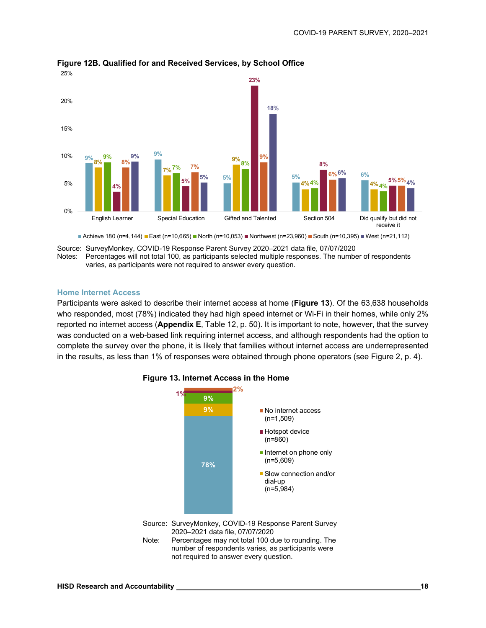

#### **Figure 12B. Qualified for and Received Services, by School Office**

■Achieve 180 (n=4,144) ■East (n=10,665) ■North (n=10,053) ■Northwest (n=23,960) ■South (n=10,395) ■West (n=21,112)

Source: SurveyMonkey, COVID-19 Response Parent Survey 2020–2021 data file, 07/07/2020

Notes: Percentages will not total 100, as participants selected multiple responses. The number of respondents varies, as participants were not required to answer every question.

#### **Home Internet Access**

Participants were asked to describe their internet access at home (**Figure 13**). Of the 63,638 households who responded, most (78%) indicated they had high speed internet or Wi-Fi in their homes, while only 2% reported no internet access (**Appendix E**, Table 12, p. 50). It is important to note, however, that the survey was conducted on a web-based link requiring internet access, and although respondents had the option to complete the survey over the phone, it is likely that families without internet access are underrepresented in the results, as less than 1% of responses were obtained through phone operators (see Figure 2, p. 4).



#### **Figure 13. Internet Access in the Home**

Note: Percentages may not total 100 due to rounding. The number of respondents varies, as participants were not required to answer every question.

<sup>2020–2021</sup> data file, 07/07/2020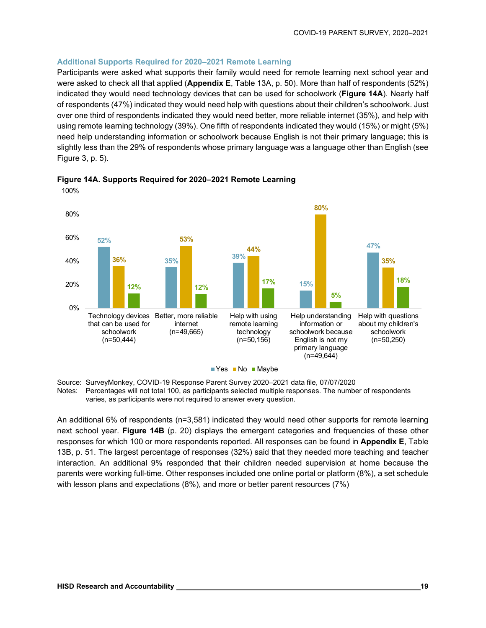#### **Additional Supports Required for 2020–2021 Remote Learning**

Participants were asked what supports their family would need for remote learning next school year and were asked to check all that applied (**Appendix E**, Table 13A, p. 50). More than half of respondents (52%) indicated they would need technology devices that can be used for schoolwork (**Figure 14A**). Nearly half of respondents (47%) indicated they would need help with questions about their children's schoolwork. Just over one third of respondents indicated they would need better, more reliable internet (35%), and help with using remote learning technology (39%). One fifth of respondents indicated they would (15%) or might (5%) need help understanding information or schoolwork because English is not their primary language; this is slightly less than the 29% of respondents whose primary language was a language other than English (see Figure 3, p. 5).



**Figure 14A. Supports Required for 2020–2021 Remote Learning** 

Source: SurveyMonkey, COVID-19 Response Parent Survey 2020–2021 data file, 07/07/2020 Notes: Percentages will not total 100, as participants selected multiple responses. The number of respondents varies, as participants were not required to answer every question.

An additional 6% of respondents (n=3,581) indicated they would need other supports for remote learning next school year. **Figure 14B** (p. 20) displays the emergent categories and frequencies of these other responses for which 100 or more respondents reported. All responses can be found in **Appendix E**, Table 13B, p. 51. The largest percentage of responses (32%) said that they needed more teaching and teacher interaction. An additional 9% responded that their children needed supervision at home because the parents were working full-time. Other responses included one online portal or platform (8%), a set schedule with lesson plans and expectations (8%), and more or better parent resources (7%)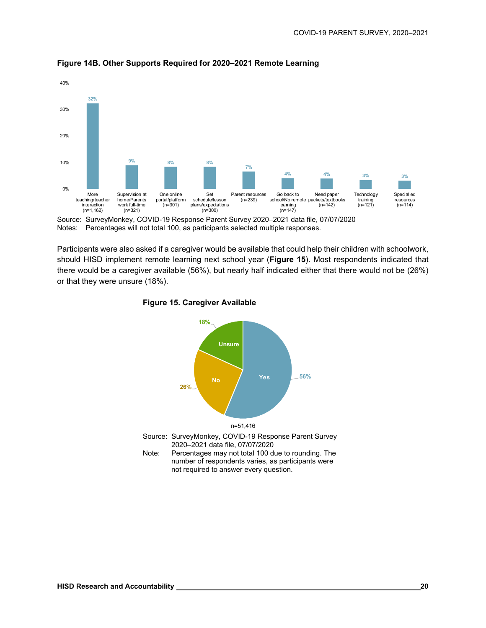

**Figure 14B. Other Supports Required for 2020–2021 Remote Learning** 

Source: SurveyMonkey, COVID-19 Response Parent Survey 2020–2021 data file, 07/07/2020 Notes: Percentages will not total 100, as participants selected multiple responses.

Participants were also asked if a caregiver would be available that could help their children with schoolwork, should HISD implement remote learning next school year (**Figure 15**). Most respondents indicated that there would be a caregiver available (56%), but nearly half indicated either that there would not be (26%) or that they were unsure (18%).



**Figure 15. Caregiver Available**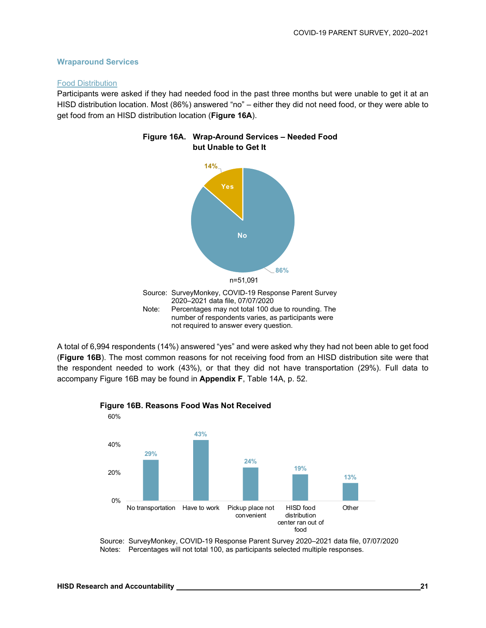#### **Wraparound Services**

#### Food Distribution

Participants were asked if they had needed food in the past three months but were unable to get it at an HISD distribution location. Most (86%) answered "no" – either they did not need food, or they were able to get food from an HISD distribution location (**Figure 16A**).



#### **Figure 16A. Wrap-Around Services – Needed Food but Unable to Get It**



A total of 6,994 respondents (14%) answered "yes" and were asked why they had not been able to get food (**Figure 16B**). The most common reasons for not receiving food from an HISD distribution site were that the respondent needed to work (43%), or that they did not have transportation (29%). Full data to accompany Figure 16B may be found in **Appendix F**, Table 14A, p. 52.



#### **Figure 16B. Reasons Food Was Not Received**

Source: SurveyMonkey, COVID-19 Response Parent Survey 2020–2021 data file, 07/07/2020 Notes: Percentages will not total 100, as participants selected multiple responses.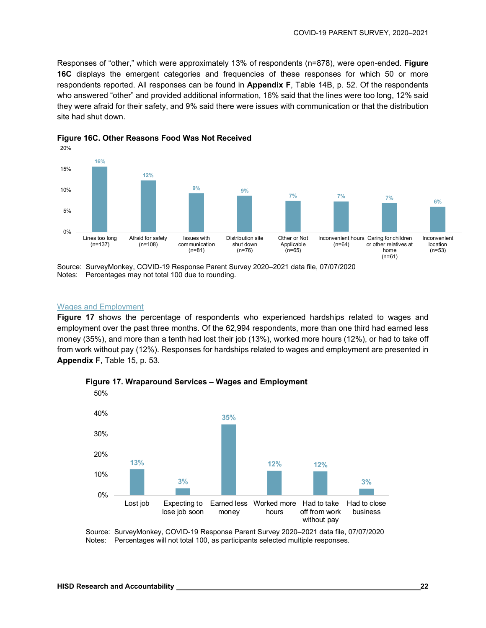Responses of "other," which were approximately 13% of respondents (n=878), were open-ended. **Figure 16C** displays the emergent categories and frequencies of these responses for which 50 or more respondents reported. All responses can be found in **Appendix F**, Table 14B, p. 52. Of the respondents who answered "other" and provided additional information, 16% said that the lines were too long, 12% said they were afraid for their safety, and 9% said there were issues with communication or that the distribution site had shut down.





#### Wages and Employment

**Figure 17** shows the percentage of respondents who experienced hardships related to wages and employment over the past three months. Of the 62,994 respondents, more than one third had earned less money (35%), and more than a tenth had lost their job (13%), worked more hours (12%), or had to take off from work without pay (12%). Responses for hardships related to wages and employment are presented in **Appendix F**, Table 15, p. 53.



**Figure 17. Wraparound Services – Wages and Employment** 

Source: SurveyMonkey, COVID-19 Response Parent Survey 2020–2021 data file, 07/07/2020 Notes: Percentages will not total 100, as participants selected multiple responses.

Source: SurveyMonkey, COVID-19 Response Parent Survey 2020–2021 data file, 07/07/2020 Notes: Percentages may not total 100 due to rounding.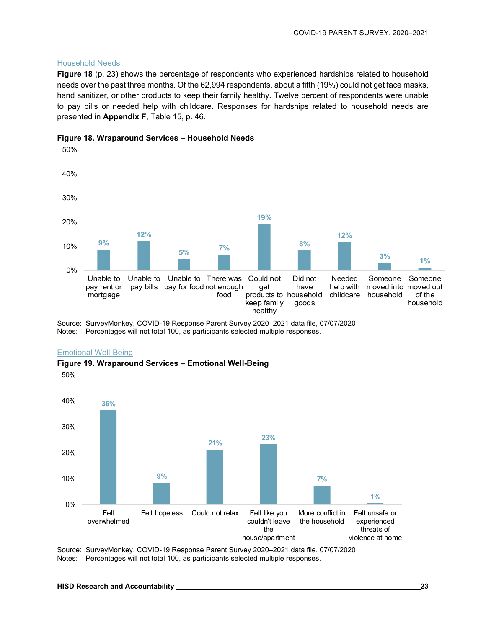#### Household Needs

**Figure 18** (p. 23) shows the percentage of respondents who experienced hardships related to household needs over the past three months. Of the 62,994 respondents, about a fifth (19%) could not get face masks, hand sanitizer, or other products to keep their family healthy. Twelve percent of respondents were unable to pay bills or needed help with childcare. Responses for hardships related to household needs are presented in **Appendix F**, Table 15, p. 46.



#### **Figure 18. Wraparound Services – Household Needs**

Source: SurveyMonkey, COVID-19 Response Parent Survey 2020–2021 data file, 07/07/2020

Notes: Percentages will not total 100, as participants selected multiple responses.

#### Emotional Well-Being

**Figure 19. Wraparound Services – Emotional Well-Being** 

50%



Source: SurveyMonkey, COVID-19 Response Parent Survey 2020–2021 data file, 07/07/2020 Notes: Percentages will not total 100, as participants selected multiple responses.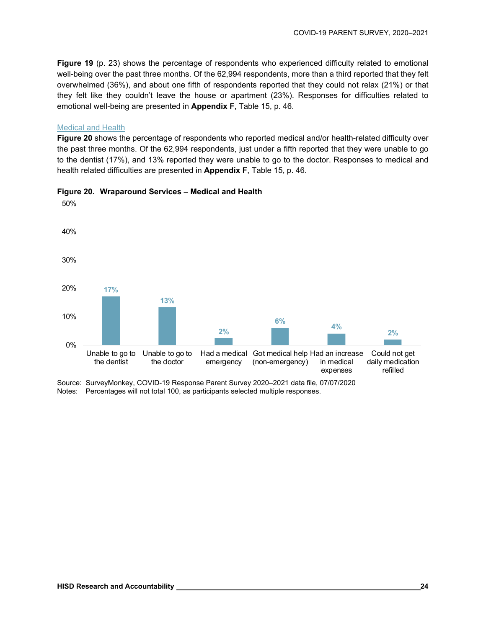**Figure 19** (p. 23) shows the percentage of respondents who experienced difficulty related to emotional well-being over the past three months. Of the 62,994 respondents, more than a third reported that they felt overwhelmed (36%), and about one fifth of respondents reported that they could not relax (21%) or that they felt like they couldn't leave the house or apartment (23%). Responses for difficulties related to emotional well-being are presented in **Appendix F**, Table 15, p. 46.

#### Medical and Health

**Figure 20** shows the percentage of respondents who reported medical and/or health-related difficulty over the past three months. Of the 62,994 respondents, just under a fifth reported that they were unable to go to the dentist (17%), and 13% reported they were unable to go to the doctor. Responses to medical and health related difficulties are presented in **Appendix F**, Table 15, p. 46.



#### **Figure 20. Wraparound Services – Medical and Health**

Notes: Percentages will not total 100, as participants selected multiple responses.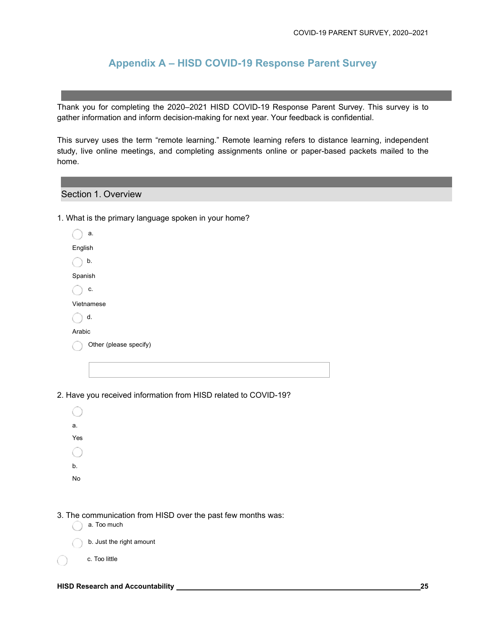## **Appendix A – HISD COVID-19 Response Parent Survey**

Thank you for completing the 2020–2021 HISD COVID-19 Response Parent Survey. This survey is to gather information and inform decision-making for next year. Your feedback is confidential.

This survey uses the term "remote learning." Remote learning refers to distance learning, independent study, live online meetings, and completing assignments online or paper-based packets mailed to the home.

#### Section 1. Overview

1. What is the primary language spoken in your home?

| a.                     |
|------------------------|
| English                |
| b.                     |
| Spanish                |
| c.                     |
| Vietnamese             |
| d.                     |
| Arabic                 |
| Other (please specify) |
|                        |

2. Have you received information from HISD related to COVID-19?

| а.                            |  |  |  |
|-------------------------------|--|--|--|
| $\operatorname{\mathsf{Yes}}$ |  |  |  |
| $\sim$                        |  |  |  |
| $\mathsf{b}$ .                |  |  |  |
| No                            |  |  |  |
|                               |  |  |  |

- 3. The communication from HISD over the past few months was:
	- a. Too much
	- b. Just the right amount
	- c. Too little

 $\bigcirc$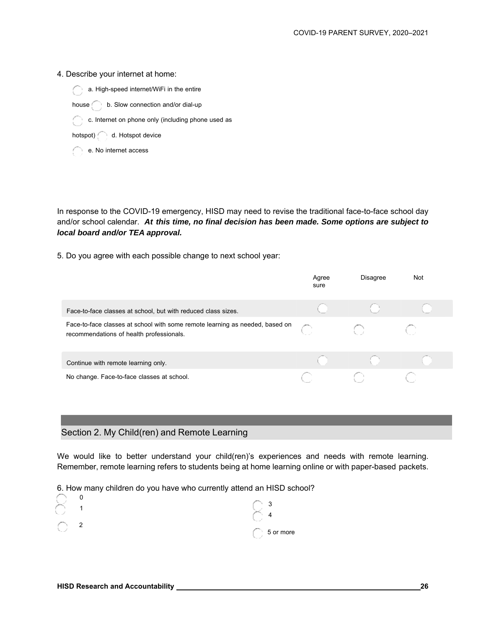#### 4. Describe your internet at home:



house b. Slow connection and/or dial-up

c. Internet on phone only (including phone used as

hotspot) d. Hotspot device

e. No internet access

In response to the COVID-19 emergency, HISD may need to revise the traditional face-to-face school day and/or school calendar. *At this time, no final decision has been made. Some options are subject to local board and/or TEA approval.*

5. Do you agree with each possible change to next school year:

|                                                                                                                          | Agree<br>sure | <b>Disagree</b> | Not |
|--------------------------------------------------------------------------------------------------------------------------|---------------|-----------------|-----|
| Face-to-face classes at school, but with reduced class sizes.                                                            |               |                 |     |
| Face-to-face classes at school with some remote learning as needed, based on<br>recommendations of health professionals. |               |                 |     |
| Continue with remote learning only.                                                                                      |               |                 |     |
| No change. Face-to-face classes at school.                                                                               |               |                 |     |

#### Section 2. My Child(ren) and Remote Learning

We would like to better understand your child(ren)'s experiences and needs with remote learning. Remember, remote learning refers to students being at home learning online or with paper-based packets.

6. How many children do you have who currently attend an HISD school?

|   | ◠         |
|---|-----------|
|   |           |
| ົ |           |
|   | 5 or more |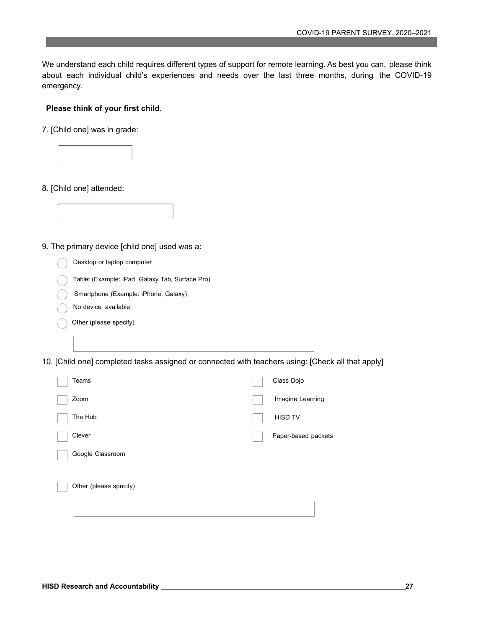We understand each child requires different types of support for remote learning. As best you can, please think about each individual child's experiences and needs over the last three months, during the COVID-19 emergency.

#### **Please think of your first child.**

7. [Child one] was in grade:

 $\epsilon_{\rm m}$ 

 $t_{\rm s}$ 

- 8. [Child one] attended:
- 9. The primary device [child one] used was a:
	- Desktop or laptop computer
	- Tablet (Example: iPad, Galaxy Tab, Surface Pro)
	- Smartphone (Example: iPhone, Galaxy)
	- No device available
	- Other (please specify)
- 10. [Child one] completed tasks assigned or connected with teachers using: [Check all that apply]

| Teams                  | Class Dojo          |
|------------------------|---------------------|
| Zoom                   | Imagine Learning    |
| The Hub                | <b>HISD TV</b>      |
| Clever                 | Paper-based packets |
| Google Classroom       |                     |
|                        |                     |
| Other (please specify) |                     |
|                        |                     |
|                        |                     |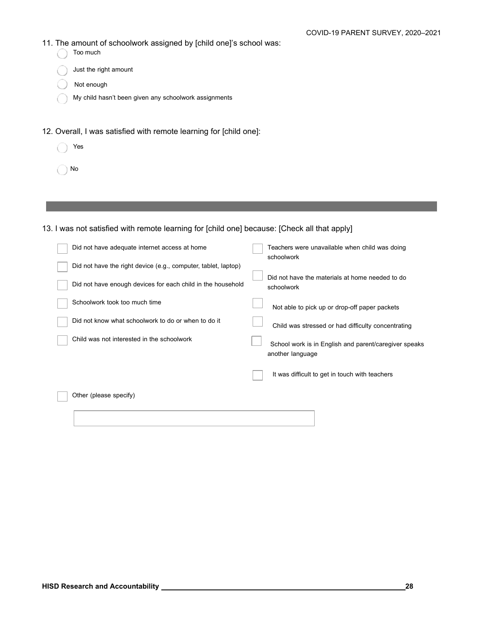- 11. The amount of schoolwork assigned by [child one]'s school was:
- $\bigcirc$  Too much **Just the right amount** Not enough My child hasn't been given any schoolwork assignments 12. Overall, I was satisfied with remote learning for [child one]:
	- Yes
	- No

#### 13. I was not satisfied with remote learning for [child one] because: [Check all that apply]

| Did not have adequate internet access at home                  | Teachers were unavailable when child was doing<br>schoolwork              |
|----------------------------------------------------------------|---------------------------------------------------------------------------|
| Did not have the right device (e.g., computer, tablet, laptop) |                                                                           |
| Did not have enough devices for each child in the household    | Did not have the materials at home needed to do<br>schoolwork             |
| Schoolwork took too much time                                  | Not able to pick up or drop-off paper packets                             |
| Did not know what schoolwork to do or when to do it            | Child was stressed or had difficulty concentrating                        |
| Child was not interested in the schoolwork                     | School work is in English and parent/caregiver speaks<br>another language |
|                                                                | It was difficult to get in touch with teachers                            |
| Other (please specify)                                         |                                                                           |
|                                                                |                                                                           |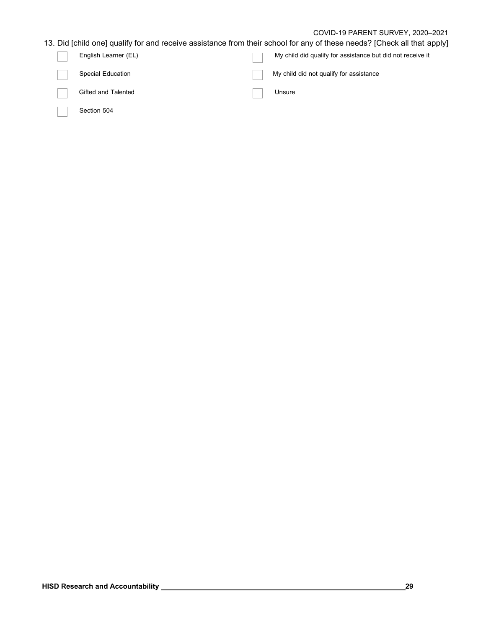#### COVID-19 PARENT SURVEY, 2020–2021

### 13. Did [child one] qualify for and receive assistance from their school for any of these needs? [Check all that apply]

| English Learner (EL)     | My child did qualify for assistance but did not receive it |
|--------------------------|------------------------------------------------------------|
| <b>Special Education</b> | My child did not qualify for assistance                    |
| Gifted and Talented      | Unsure                                                     |
| Section 504              |                                                            |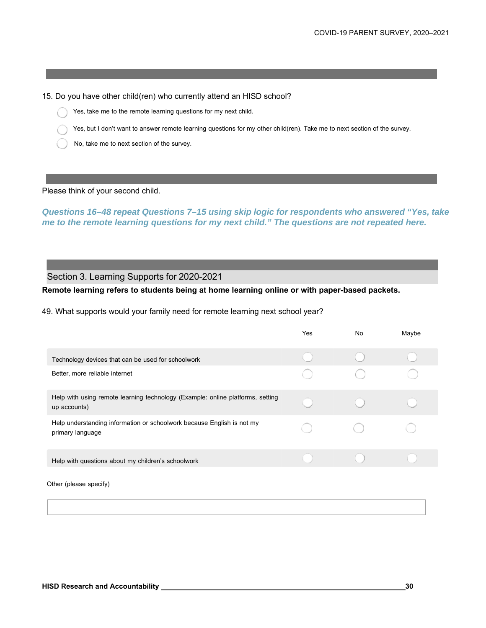15. Do you have other child(ren) who currently attend an HISD school?

- Yes, take me to the remote learning questions for my next child.
- Yes, but I don't want to answer remote learning questions for my other child(ren). Take me to next section of the survey.
- No, take me to next section of the survey.

#### Please think of your second child.

*Questions 16–48 repeat Questions 7–15 using skip logic for respondents who answered "Yes, take me to the remote learning questions for my next child." The questions are not repeated here.* 

Section 3. Learning Supports for 2020-2021

**Remote learning refers to students being at home learning online or with paper-based packets.** 

49. What supports would your family need for remote learning next school year?

|                                                                                                | Yes | No | Maybe |
|------------------------------------------------------------------------------------------------|-----|----|-------|
| Technology devices that can be used for schoolwork                                             |     |    |       |
| Better, more reliable internet                                                                 |     |    |       |
| Help with using remote learning technology (Example: online platforms, setting<br>up accounts) |     |    |       |
| Help understanding information or schoolwork because English is not my<br>primary language     |     |    |       |
| Help with questions about my children's schoolwork                                             |     |    |       |
|                                                                                                |     |    |       |

Other (please specify)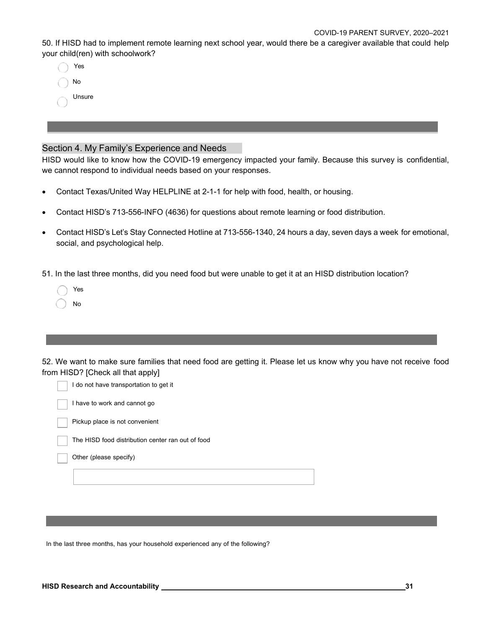50. If HISD had to implement remote learning next school year, would there be a caregiver available that could help your child(ren) with schoolwork?

| Yes    |
|--------|
| No     |
| Unsure |

#### Section 4. My Family's Experience and Needs

HISD would like to know how the COVID-19 emergency impacted your family. Because this survey is confidential, we cannot respond to individual needs based on your responses.

- Contact Texas/United Way HELPLINE at 2-1-1 for help with food, health, or housing.
- Contact HISD's 713-556-INFO (4636) for questions about remote learning or food distribution.
- Contact HISD's Let's Stay Connected Hotline at 713-556-1340, 24 hours a day, seven days a week for emotional, social, and psychological help.

51. In the last three months, did you need food but were unable to get it at an HISD distribution location?

| Yes |
|-----|
| No  |

52. We want to make sure families that need food are getting it. Please let us know why you have not receive food from HISD? [Check all that apply]



In the last three months, has your household experienced any of the following?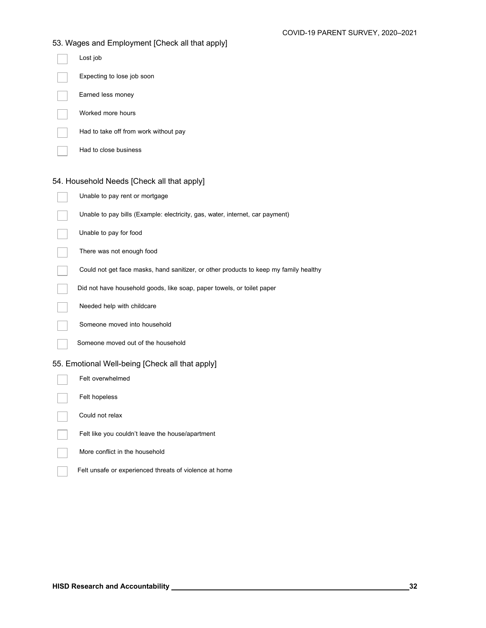| 53. Wages and Employment [Check all that apply]                                       |
|---------------------------------------------------------------------------------------|
| Lost job                                                                              |
| Expecting to lose job soon                                                            |
| Earned less money                                                                     |
| Worked more hours                                                                     |
| Had to take off from work without pay                                                 |
| Had to close business                                                                 |
| 54. Household Needs [Check all that apply]                                            |
|                                                                                       |
| Unable to pay rent or mortgage                                                        |
| Unable to pay bills (Example: electricity, gas, water, internet, car payment)         |
| Unable to pay for food                                                                |
| There was not enough food                                                             |
| Could not get face masks, hand sanitizer, or other products to keep my family healthy |
| Did not have household goods, like soap, paper towels, or toilet paper                |
| Needed help with childcare                                                            |
| Someone moved into household                                                          |
| Someone moved out of the household                                                    |
| 55. Emotional Well-being [Check all that apply]                                       |
| Felt overwhelmed                                                                      |
| Felt hopeless                                                                         |
| Could not relax                                                                       |

- Felt like you couldn't leave the house/apartment
- More conflict in the household
- Felt unsafe or experienced threats of violence at home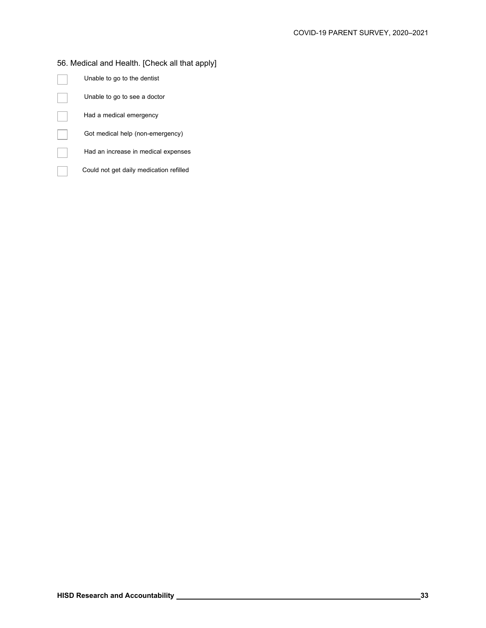### 56. Medical and Health. [Check all that apply]

| Unable to go to the dentist             |
|-----------------------------------------|
| Unable to go to see a doctor            |
| Had a medical emergency                 |
| Got medical help (non-emergency)        |
| Had an increase in medical expenses     |
| Could not get daily medication refilled |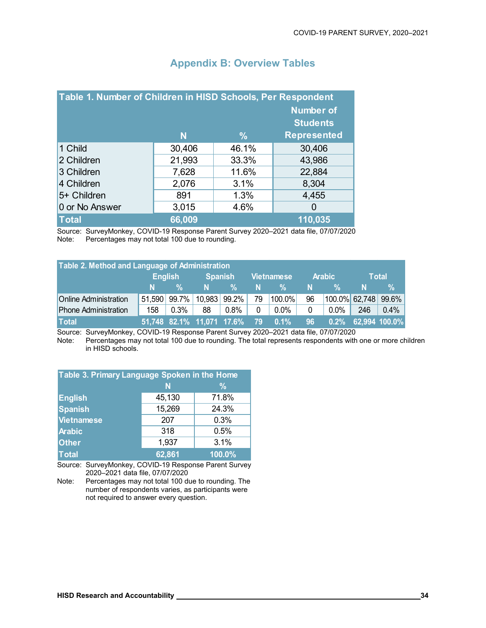| Table 1. Number of Children in HISD Schools, Per Respondent |        |               | <b>Number of</b><br><b>Students</b> |
|-------------------------------------------------------------|--------|---------------|-------------------------------------|
|                                                             | N      | $\frac{0}{0}$ | <b>Represented</b>                  |
| 1 Child                                                     | 30,406 | 46.1%         | 30,406                              |
| 2 Children                                                  | 21,993 | 33.3%         | 43,986                              |
| 3 Children                                                  | 7,628  | 11.6%         | 22,884                              |
| 4 Children                                                  | 2,076  | 3.1%          | 8,304                               |
| 5+ Children                                                 | 891    | 1.3%          | 4,455                               |
| 0 or No Answer                                              | 3,015  | 4.6%          |                                     |
| <b>Total</b>                                                | 66,009 |               | 110,035                             |

## **Appendix B: Overview Tables**

Source: SurveyMonkey, COVID-19 Response Parent Survey 2020–2021 data file, 07/07/2020 Note: Percentages may not total 100 due to rounding.

| Table 2. Method and Language of Administration |                |              |                |              |                   |                                   |        |                        |       |               |
|------------------------------------------------|----------------|--------------|----------------|--------------|-------------------|-----------------------------------|--------|------------------------|-------|---------------|
|                                                | <b>English</b> |              | <b>Spanish</b> |              | <b>Vietnamese</b> |                                   | Arabic |                        | Total |               |
|                                                | N.             | %            | N              | %            | N.                | %                                 | N.     | %⊹                     | N     | %             |
| <b>Online Administration</b>                   |                | 51,590 99.7% |                | 10,983 99.2% | -79               | 100.0%                            | 96     | $100.0\%$ 62,748 99.6% |       |               |
| <b>Phone Administration</b>                    | 158            | $0.3\%$      | 88             | $0.8\%$      | $\mathbf{0}$      | $0.0\%$                           | 0      | $0.0\%$                | 246   | $0.4\%$       |
| <b>Total</b>                                   |                |              |                |              |                   | 51,748 82.1% 11,071 17.6% 79 0.1% | 96     | $0.2\%$                |       | 62,994 100.0% |

Source: SurveyMonkey, COVID-19 Response Parent Survey 2020–2021 data file, 07/07/2020 Percentages may not total 100 due to rounding. The total represents respondents with one or more children in HISD schools.

| Table 3. Primary Language Spoken in the Home |        |        |  |  |  |  |  |  |
|----------------------------------------------|--------|--------|--|--|--|--|--|--|
|                                              | N      | $\%$   |  |  |  |  |  |  |
| <b>English</b>                               | 45,130 | 71.8%  |  |  |  |  |  |  |
| <b>Spanish</b>                               | 15,269 | 24.3%  |  |  |  |  |  |  |
| Vietnamese                                   | 207    | 0.3%   |  |  |  |  |  |  |
| <b>Arabic</b>                                | 318    | 0.5%   |  |  |  |  |  |  |
| <b>Other</b>                                 | 1,937  | 3.1%   |  |  |  |  |  |  |
| <b>Total</b>                                 | 62,861 | 100.0% |  |  |  |  |  |  |

Source: SurveyMonkey, COVID-19 Response Parent Survey 2020–2021 data file, 07/07/2020

Note: Percentages may not total 100 due to rounding. The number of respondents varies, as participants were not required to answer every question.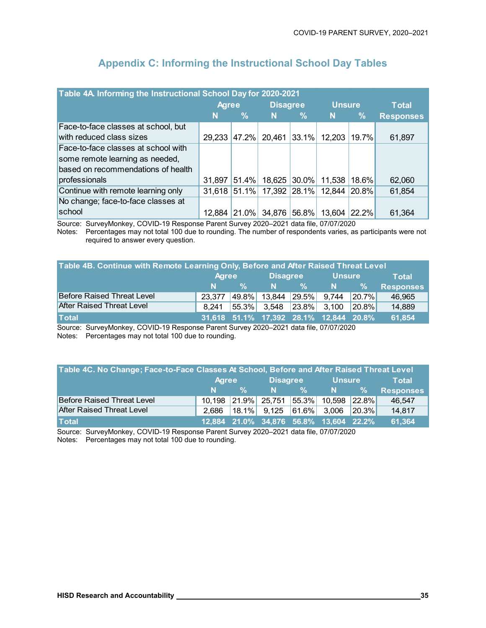| Table 4A Informing the Instructional School Day for 2020-2021 |              |            |                 |       |               |               |                  |  |  |
|---------------------------------------------------------------|--------------|------------|-----------------|-------|---------------|---------------|------------------|--|--|
|                                                               | <b>Agree</b> |            | <b>Disagree</b> |       | <b>Unsure</b> |               | <b>Total</b>     |  |  |
|                                                               | N            | l%         | N               | $\%$  | <b>N</b>      | $\frac{9}{6}$ | <b>Responses</b> |  |  |
| Face-to-face classes at school, but                           |              |            |                 |       |               |               |                  |  |  |
| with reduced class sizes                                      | 29,233 47.2% |            | 20,461          | 33.1% | 12,203        | 19.7%         | 61,897           |  |  |
| Face-to-face classes at school with                           |              |            |                 |       |               |               |                  |  |  |
| some remote learning as needed,                               |              |            |                 |       |               |               |                  |  |  |
| based on recommendations of health                            |              |            |                 |       |               |               |                  |  |  |
| professionals                                                 | 31,897       | 51.4%      | 18,625 30.0%    |       | 11,538        | 18.6%         | 62,060           |  |  |
| Continue with remote learning only                            | 31,618 51.1% |            | 17,392 28.1%    |       | 12,844        | 20.8%         | 61,854           |  |  |
| No change; face-to-face classes at                            |              |            |                 |       |               |               |                  |  |  |
| school                                                        | 12,884       | $ 21.0\% $ | 34,876          | 56.8% | 13,604        | 22.2%         | 61,364           |  |  |

## **Appendix C: Informing the Instructional School Day Tables**

Source: SurveyMonkey, COVID-19 Response Parent Survey 2020–2021 data file, 07/07/2020

Notes: Percentages may not total 100 due to rounding. The number of respondents varies, as participants were not required to answer every question.

| Table 4B. Continue with Remote Learning Only, Before and After Raised Threat Level |              |            |                                        |             |               |            |                  |  |  |
|------------------------------------------------------------------------------------|--------------|------------|----------------------------------------|-------------|---------------|------------|------------------|--|--|
|                                                                                    | <b>Agree</b> |            | <b>Disagree</b>                        |             | <b>Unsure</b> |            | <b>Total</b>     |  |  |
|                                                                                    | N.           | %          |                                        | $N \sim \%$ | N             | $2\%$      | <b>Responses</b> |  |  |
| <b>Before Raised Threat Level</b>                                                  | 23.377       | 49.8%      | $\vert$ 13,844 29.5%                   |             | 9,744         | $ 20.7\% $ | 46,965           |  |  |
| <b>After Raised Threat Level</b>                                                   | 8.241        | $ 55.3\% $ | $3,548$ 23.8% 3,100 20.8%              |             |               |            | 14,889           |  |  |
| <b>Total</b>                                                                       |              |            | 31,618 51.1% 17,392 28.1% 12,844 20.8% |             |               |            | 61,854           |  |  |

Source: SurveyMonkey, COVID-19 Response Parent Survey 2020–2021 data file, 07/07/2020

Notes: Percentages may not total 100 due to rounding.

| Table 4C. No Change; Face-to-Face Classes At School, Before and After Raised Threat Level |                               |      |                 |             |                                                                        |               |                  |  |
|-------------------------------------------------------------------------------------------|-------------------------------|------|-----------------|-------------|------------------------------------------------------------------------|---------------|------------------|--|
|                                                                                           | <b>Agree</b>                  |      | Disagree Unsure |             |                                                                        |               | <b>Total</b>     |  |
|                                                                                           | $\mathbf{N}$ and $\mathbf{N}$ | $\%$ |                 | $N \sim \%$ | -N                                                                     | $\frac{9}{6}$ | <b>Responses</b> |  |
| Before Raised Threat Level                                                                |                               |      |                 |             | 10,198 21.9% 25,751 55.3% 10,598 22.8%                                 |               | 46,547           |  |
| <b>After Raised Threat Level</b>                                                          | 2.686                         |      |                 |             | $\vert 18.1\% \vert 9.125 \vert 61.6\% \vert 3.006 \vert 20.3\% \vert$ |               | 14,817           |  |
| <b>Total</b>                                                                              |                               |      |                 |             | 12,884 21.0% 34,876 56.8% 13,604 22.2%                                 |               | 61,364           |  |

Source: SurveyMonkey, COVID-19 Response Parent Survey 2020–2021 data file, 07/07/2020

Notes: Percentages may not total 100 due to rounding.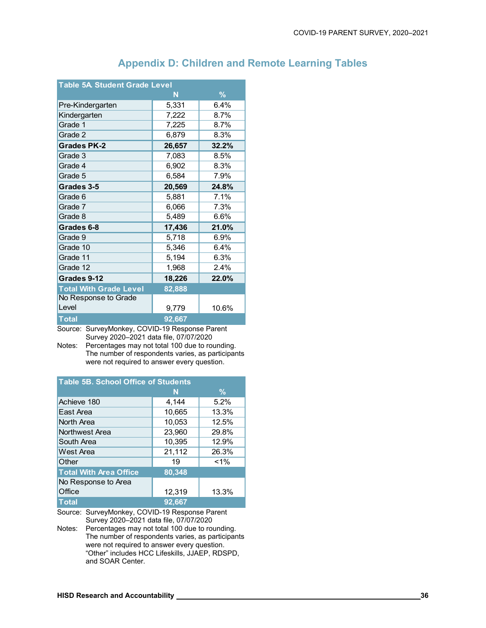| <b>Table 5A Student Grade Level</b> |        |       |
|-------------------------------------|--------|-------|
|                                     | N      | %     |
| Pre-Kindergarten                    | 5,331  | 6.4%  |
| Kindergarten                        | 7,222  | 8.7%  |
| Grade 1                             | 7,225  | 8.7%  |
| Grade 2                             | 6,879  | 8.3%  |
| <b>Grades PK-2</b>                  | 26,657 | 32.2% |
| Grade 3                             | 7,083  | 8.5%  |
| Grade 4                             | 6,902  | 8.3%  |
| Grade 5                             | 6,584  | 7.9%  |
| Grades 3-5                          | 20,569 | 24.8% |
| Grade 6                             | 5,881  | 7.1%  |
| Grade 7                             | 6,066  | 7.3%  |
| Grade 8                             | 5,489  | 6.6%  |
| Grades 6-8                          | 17,436 | 21.0% |
| Grade 9                             | 5,718  | 6.9%  |
| Grade 10                            | 5,346  | 6.4%  |
| Grade 11                            | 5,194  | 6.3%  |
| Grade 12                            | 1,968  | 2.4%  |
| Grades 9-12                         | 18,226 | 22.0% |
| <b>Total With Grade Level</b>       | 82,888 |       |
| No Response to Grade                |        |       |
| Level                               | 9,779  | 10.6% |
| <b>Total</b>                        | 92,667 |       |

## **Appendix D: Children and Remote Learning Tables**

Source: SurveyMonkey, COVID-19 Response Parent Survey 2020–2021 data file, 07/07/2020

Notes: Percentages may not total 100 due to rounding. The number of respondents varies, as participants were not required to answer every question.

| <b>Table 5B. School Office of Students</b> |        |               |  |  |  |  |  |  |
|--------------------------------------------|--------|---------------|--|--|--|--|--|--|
|                                            | N      | $\frac{0}{2}$ |  |  |  |  |  |  |
| Achieve 180                                | 4,144  | 5.2%          |  |  |  |  |  |  |
| East Area                                  | 10,665 | 13.3%         |  |  |  |  |  |  |
| North Area                                 | 10,053 | 12.5%         |  |  |  |  |  |  |
| Northwest Area                             | 23,960 | 29.8%         |  |  |  |  |  |  |
| South Area                                 | 10,395 | 12.9%         |  |  |  |  |  |  |
| West Area                                  | 21,112 | 26.3%         |  |  |  |  |  |  |
| Other                                      | 19     | $< 1\%$       |  |  |  |  |  |  |
| <b>Total With Area Office</b>              | 80,348 |               |  |  |  |  |  |  |
| No Response to Area                        |        |               |  |  |  |  |  |  |
| Office                                     | 12,319 | 13.3%         |  |  |  |  |  |  |
| <b>Total</b>                               | 92.667 |               |  |  |  |  |  |  |

Source: SurveyMonkey, COVID-19 Response Parent Survey 2020–2021 data file, 07/07/2020

Notes: Percentages may not total 100 due to rounding. The number of respondents varies, as participants were not required to answer every question. "Other" includes HCC Lifeskills, JJAEP, RDSPD, and SOAR Center.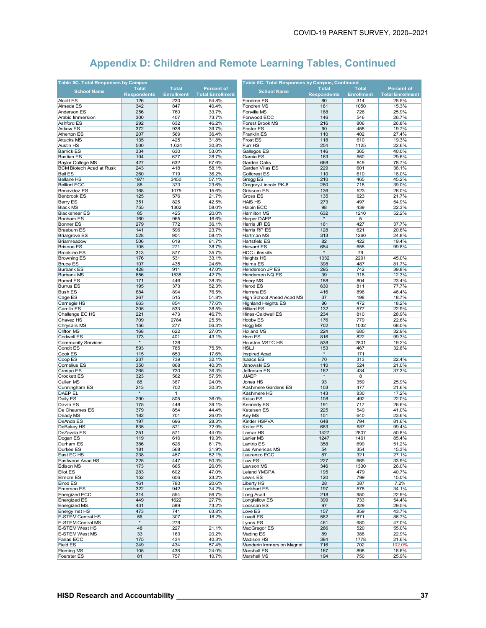| Table 5C. Total Responses by Campus     |                    |                   |                         | Table 5C. Total Responses by Campus, Continued |                    |                   |                         |  |
|-----------------------------------------|--------------------|-------------------|-------------------------|------------------------------------------------|--------------------|-------------------|-------------------------|--|
| <b>School Name</b>                      | <b>Total</b>       | <b>Total</b>      | <b>Percent of</b>       | <b>School Name</b>                             | <b>Total</b>       | <b>Total</b>      | <b>Percent of</b>       |  |
|                                         | <b>Respondents</b> | <b>Enrollment</b> | <b>Total Enrollment</b> |                                                | <b>Respondents</b> | <b>Enrollment</b> | <b>Total Enrollment</b> |  |
| <b>Alcott ES</b>                        | 126                | 230               | 54.8%                   | Fondren ES                                     | 80                 | 314               | 25.5%                   |  |
| Almeda ES                               | 342                | 847               | 40.4%                   | Fondren MS                                     | 161                | 1050              | 15.3%                   |  |
| Anderson ES                             | 256                | 760               | 33.7%                   | Fonville MS                                    | 188                | 726               | 25.9%                   |  |
| Arabic Immersion                        | 300                | 407               | 73.7%                   | Fonwood ECC                                    | 146                | 546               | 26.7%                   |  |
| <b>Ashford ES</b>                       | 292                | 632               | 46.2%                   | Forest Brook MS                                | 216                | 806               | 26.8%                   |  |
| <b>Askew ES</b>                         | 372                | 938               | 39.7%                   | Foster ES                                      | 90                 | 458               | 19.7%                   |  |
| <b>Atherton ES</b><br><b>Attucks MS</b> | 207<br>135         | 569<br>425        | 36.4%<br>31.8%          | Franklin ES<br>Frost ES                        | 110<br>118         | 402<br>610        | 27.4%<br>19.3%          |  |
| <b>Austin HS</b>                        | 500                | 1,624             | 30.8%                   | Furr HS                                        | 254                | 1125              | 22.6%                   |  |
| <b>Barrick ES</b>                       | 334                | 630               | 53.0%                   | Gallegos ES                                    | 146                | 365               | 40.0%                   |  |
| <b>Bastian ES</b>                       | 194                | 677               | 28.7%                   | Garcia ES                                      | 163                | 550               | 29.6%                   |  |
| <b>Baylor College MS</b>                | 427                | 632               | 67.6%                   | Garden Oaks                                    | 668                | 849               | 78.7%                   |  |
| <b>BCM Biotech Acad at Rusk</b>         | 243                | 418               | 58.1%                   | Garden Villas ES                               | 229                | 601               | 38.1%                   |  |
| <b>Bell ES</b>                          | 260                | 719               | 36.2%                   | Golfcrest ES                                   | 110                | 610               | 18.0%                   |  |
| <b>Bellaire HS</b>                      | 1971               | 3450              | 57.1%                   | Gregg ES                                       | 210                | 465               | 45.2%                   |  |
| <b>Bellfort ECC</b>                     | 88                 | 373               | 23.6%                   | Gregory-Lincoln PK-8                           | 280                | 718               | 39.0%                   |  |
| <b>Benavidez ES</b>                     | 168                | 1075              | 15.6%                   | Grissom ES                                     | 136                | 523               | 26.0%                   |  |
| <b>Benbrook ES</b>                      | 125                | 576               | 21.7%                   | Gross ES                                       | 135                | 623               | 21.7%                   |  |
| <b>Berry ES</b>                         | 351                | 825               | 42.5%                   | HAIS HS                                        | 273                | 497               | 54.9%                   |  |
| <b>Black MS</b>                         | 755                | 1302              | 58.0%                   | Halpin ECC                                     | 98                 | 439               | 22.3%                   |  |
| <b>Blackshear ES</b>                    | 85                 | 425               | 20.0%                   | Hamilton MS                                    | 632                | 1210              | 52.2%                   |  |
| <b>Bonham ES</b>                        | 160                | 965               | 16.6%                   | Harper DAEP                                    |                    | 5                 |                         |  |
| <b>Bonner ES</b>                        | 279                | 772               | 36.1%                   | Harris JR ES                                   | 161                | 427               | 37.7%                   |  |
| <b>Braeburn ES</b>                      | 141                | 596               | 23.7%                   | Harris RP ES                                   | 128                | 621               | 20.6%                   |  |
| <b>Briargrove ES</b>                    | 528                | 904               | 58.4%                   | Hartman MS                                     | 313                | 1260              | 24.8%                   |  |
| Briarmeadow                             | 506                | 619               | 81.7%                   | Hartsfield ES                                  | 82                 | 422               | 19.4%                   |  |
| <b>Briscoe ES</b>                       | 105                | 271               | 38.7%                   | Harvard ES                                     | 654                | 655               | 99.8%                   |  |
| <b>Brookline ES</b>                     | 313                | 877               | 35.7%                   | <b>HCC Lifeskills</b>                          |                    | 79                |                         |  |
| <b>Browning ES</b>                      | 176                | 531               | 33.1%                   | Heights HS                                     | 1032               | 2291              | 45.0%                   |  |
| <b>Bruce ES</b>                         | 107                | 435               | 24.6%                   | Helms ES                                       | 398                | 487               | 81.7%                   |  |
| <b>Burbank ES</b>                       | 428                | 911               | 47.0%                   | Henderson JP ES                                | 295                | 742               | 39.8%                   |  |
| <b>Burbank MS</b>                       | 656                | 1538              | 42.7%                   | Henderson NQ ES                                | 39                 | 318               | 12.3%                   |  |
| <b>Burnet ES</b>                        | 171                | 446               | 38.3%                   | Henry MS                                       | 188                | 804               | 23.4%                   |  |
| <b>Burrus ES</b>                        | 195                | 373               | 52.3%                   | Herod ES                                       | 630                | 811               | 77.7%                   |  |
| <b>Bush ES</b>                          | 684                | 894               | 76.5%                   | Herrera ES                                     | 416                | 896               | 46.4%                   |  |
| Cage ES                                 | 267                | 515               | 51.8%                   | High School Ahead Acad MS                      | 37                 | 198               | 18.7%                   |  |
| Carnegie HS                             | 663                | 854               | 77.6%                   | <b>Highland Heights ES</b>                     | 86                 | 472               | 18.2%                   |  |
| Carrillo ES                             | 205                | 533               | 38.5%                   | <b>Hilliard ES</b>                             | 132                | 577               | 22.9%                   |  |
| Challenge EC HS<br>Chavez HS            | 221<br>709         | 473<br>2784       | 46.7%                   | Hines-Caldwell ES                              | 234<br>176         | 810<br>779        | 28.9%                   |  |
| <b>Chrysalis MS</b>                     | 156                | 277               | 25.5%<br>56.3%          | Hobby ES<br>Hogg MS                            | 702                | 1032              | 22.6%<br>68.0%          |  |
| <b>Clifton MS</b>                       | 168                | 622               | 27.0%                   | <b>Holland MS</b>                              | 224                | 680               | 32.9%                   |  |
| Codwell ES                              | 173                | 401               | 43.1%                   | Horn ES                                        | 816                | 822               | 99.3%                   |  |
| <b>Community Services</b>               |                    | 138               |                         | Houston MSTC HS                                | 538                | 2801              | 19.2%                   |  |
| <b>Condit ES</b>                        | 593                | 785               | 75.5%                   | HSLJ                                           | 153                | 467               | 32.8%                   |  |
| Cook ES                                 | 115                | 653               | 17.6%                   | <b>Inspired Acad</b>                           |                    | 171               |                         |  |
| Coop ES                                 | 237                | 739               | 32.1%                   | <b>Isaacs ES</b>                               | 70                 | 313               | 22.4%                   |  |
| <b>Cornelius ES</b>                     | 350                | 868               | 40.3%                   | Janowski ES                                    | 110                | 524               | 21.0%                   |  |
| Crespo ES                               | 265                | 730               | 36.3%                   | Jefferson ES                                   | 162                | 434               | 37.3%                   |  |
| <b>Crockett ES</b>                      | 323                | 562               | 57.5%                   | <b>JJAEP</b>                                   |                    | 8                 |                         |  |
| <b>Cullen MS</b>                        | 88                 | 367               | 24.0%                   | Jones HS                                       | 93                 | 359               | 25.9%                   |  |
| Cunningham ES                           | 213                | 702               | 30.3%                   | Kashmere Gardens ES                            | 103                | 477               | 21.6%                   |  |
| DAEP EL                                 | $\star$            | $\mathbf{1}$      |                         | Kashmere HS                                    | 143                | 830               | 17.2%                   |  |
| Daily ES                                | 290                | 805               | 36.0%                   | Kelso ES                                       | 108                | 492               | 22.0%                   |  |
| Davila ES                               | 175                | 448               | 39.1%                   | Kennedy ES                                     | 191                | 717               | 26.6%                   |  |
| De Chaumes ES                           | 379                | 854               | 44.4%                   | Ketelsen ES                                    | 225                | 549               | 41.0%                   |  |
| Deady MS                                | 182                | 701               | 26.0%                   | Key MS                                         | 151                | 640               | 23.6%                   |  |
| DeAnda ES                               | 197                | 696               | 28.3%                   | Kinder HSPVA                                   | 648                | 794               | 81.6%                   |  |
| DeBakey HS                              | 635                | 871               | 72.9%                   | Kolter ES                                      | 683                | 687               | 99.4%                   |  |
| DeZavala ES                             | 251                | 571               | 44.0%                   | Lamar HS                                       | 1427               | 2807              | 50.8%                   |  |
| Dogan ES                                | 119                | 616               | 19.3%                   | Lanier MS                                      | 1247               | 1461              | 85.4%                   |  |
| Durham ES                               | 386                | 626               | 61.7%                   | Lantrip ES                                     | 358                | 699               | 51.2%                   |  |
| Durkee ES                               | 181<br>238         | 568<br>457        | 31.9%<br>52.1%          | Las Americas MS                                | 54                 | 354<br>321        | 15.3%<br>27.1%          |  |
| East EC HS<br>Eastwood Acad HS          | 225                | 447               | 50.3%                   | Laurenzo ECC<br>Law ES                         | 87<br>227          | 669               | 33.9%                   |  |
| Edison MS                               | 173                | 665               | 26.0%                   | Lawson MS                                      | 346                | 1330              | 26.0%                   |  |
| <b>Eliot ES</b>                         | 283                | 602               | 47.0%                   | <b>Leland YMCPA</b>                            | 195                | 479               | 40.7%                   |  |
| <b>Elmore ES</b>                        | 152                | 656               | 23.2%                   | Lewis ES                                       | 120                | 799               | 15.0%                   |  |
| Elrod ES                                | 161                | 780               | 20.6%                   | Liberty HS                                     | 28                 | 387               | 7.2%                    |  |
| <b>Emerson ES</b>                       | 322                | 942               | 34.2%                   | Lockhart ES                                    | 197                | 578               | 34.1%                   |  |
| Energized ECC                           | 314                | 554               | 56.7%                   | Long Acad                                      | 218                | 950               | 22.9%                   |  |
| <b>Energized ES</b>                     | 449                | 1622              | 27.7%                   | Longfellow ES                                  | 399                | 733               | 54.4%                   |  |
| Energized MS                            | 431                | 589               | 73.2%                   | Looscan ES                                     | 97                 | 329               | 29.5%                   |  |
| <b>Energy Inst HS</b>                   | 473                | 741               | 63.8%                   | Love ES                                        | 157                | 359               | 43.7%                   |  |
| <b>E-STEM Central HS</b>                | 56                 | 307               | 18.2%                   | Lovett ES                                      | 582                | 671               | 86.7%                   |  |
| <b>E-STEM Central MS</b>                | $\star$            | 279               |                         | Lyons ES                                       | 461                | 980               | 47.0%                   |  |
| <b>E-STEM West HS</b>                   | 48                 | 227               | 21.1%                   | MacGregor ES                                   | 286                | 520               | 55.0%                   |  |
| E-STEM West MS                          | 33                 | 163               | 20.2%                   | Mading ES                                      | 89                 | 388               | 22.9%                   |  |
| Farias ECC                              | 175                | 434               | 40.3%                   | Madison HS                                     | 384                | 1778              | 21.6%                   |  |
| <b>Field ES</b>                         | 249                | 434               | 57.4%                   | Mandarin Immersion Magnet                      | 716                | 702               | 102.0%                  |  |
| <b>Fleming MS</b>                       | 105                | 438               | 24.0%                   | Marshall ES                                    | 167                | 898               | 18.6%                   |  |
| Foerster ES                             | 81                 | 757               | 10.7%                   | Marshall MS                                    | 194                | 750               | 25.9%                   |  |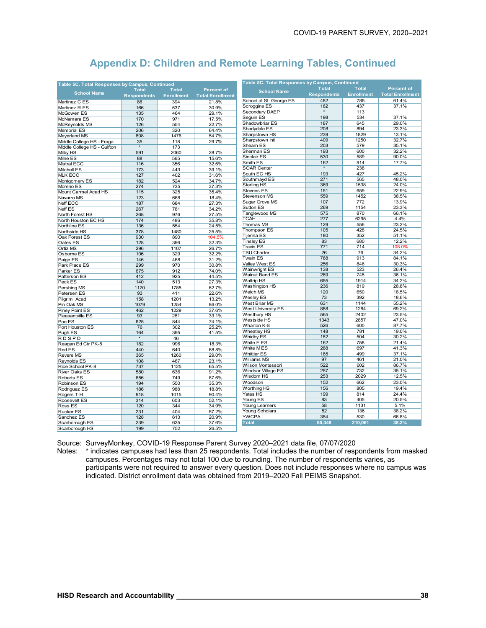| Table 5C. Total Responses by Campus, Continued |                    |                   |                         | Table 5C. Total Responses by Campus, Continued |                    |                   |                         |  |
|------------------------------------------------|--------------------|-------------------|-------------------------|------------------------------------------------|--------------------|-------------------|-------------------------|--|
|                                                | <b>Total</b>       | <b>Total</b>      | <b>Percent of</b>       | <b>School Name</b>                             | <b>Total</b>       | <b>Total</b>      | <b>Percent of</b>       |  |
| <b>School Name</b>                             | <b>Respondents</b> | <b>Enrollment</b> | <b>Total Enrollment</b> |                                                | <b>Respondents</b> | <b>Enrollment</b> | <b>Total Enrollment</b> |  |
| Martinez C ES                                  | 86                 | 394               | 21.8%                   | School at St. George ES                        | 482                | 785               | 61.4%                   |  |
| Martinez R ES                                  | 166                | 537               | 30.9%                   | Scroggins ES                                   | 162                | 437               | 37.1%                   |  |
| McGowen ES                                     | 135                | 464               | 29.1%                   | Secondary DAEP                                 |                    | 113               |                         |  |
| McNamara ES                                    | 170                | 971               | 17.5%                   | Seguin ES                                      | 198                | 534               | 37.1%                   |  |
| McReynolds MS                                  | 126                | 554               | 22.7%                   | Shadowbriar ES                                 | 187                | 645               | 29.0%                   |  |
| Memorial ES                                    | 206                | 320               | 64.4%                   | Shadydale ES                                   | 208                | 894               | 23.3%                   |  |
| Meyerland MS                                   | 808                | 1476              | 54.7%                   | Sharpstown HS                                  | 239                | 1829              | 13.1%                   |  |
| Middle College HS - Fraga                      | 35                 | 118               | 29.7%                   | Sharpstown Intl                                | 409                | 1250              | 32.7%                   |  |
| Middle College HS - Gulfton                    |                    | 173               |                         | Shearn ES                                      | 203                | 579               | 35.1%                   |  |
| Milby HS                                       | 591                | 2060              | 28.7%                   | Sherman ES                                     | 193                | 600               | 32.2%                   |  |
| Milne ES                                       | 88                 | 565               | 15.6%                   | Sinclair ES                                    | 530                | 589               | 90.0%                   |  |
|                                                |                    | 356               | 32.6%                   | Smith ES                                       | 162                | 914               | 17.7%                   |  |
| Mistral ECC                                    | 116                |                   |                         | <b>SOAR Center</b>                             | $\star$            | 238               |                         |  |
| Mitchell ES                                    | 173                | 443               | 39.1%                   | South EC HS                                    | 193                | 427               | 45.2%                   |  |
| <b>MLK ECC</b>                                 | 127                | 402               | 31.6%                   | Southmayd ES                                   | 271                | 565               | 48.0%                   |  |
| Montgomery ES                                  | 182                | 524               | 34.7%                   | Sterling HS                                    | 369                | 1538              | 24.0%                   |  |
| Moreno ES                                      | 274                | 735               | 37.3%                   | Stevens ES                                     | 151                | 659               | 22.9%                   |  |
| Mount Carmel Acad HS                           | 115                | 325               | 35.4%                   | Stevenson MS                                   | 559                | 1452              | 38.5%                   |  |
| Navarro MS                                     | 123                | 668               | 18.4%                   | Sugar Grove MS                                 | 107                | 772               | 13.9%                   |  |
| Neff ECC                                       | 187                | 684               | 27.3%                   | Sutton ES                                      | 269                | 1154              | 23.3%                   |  |
| Neff ES                                        | 267                | 781               | 34.2%                   | Tanglewood MS                                  | 575                | 870               | 66.1%                   |  |
| North Forest HS                                | 268                | 976               | 27.5%                   | <b>TCAH</b>                                    | 277                | 6295              | 4.4%                    |  |
| North Houston EC HS                            | 174                | 486               | 35.8%                   | Thomas MS                                      | 129                | 556               | 23.2%                   |  |
| Northline ES                                   | 136                | 554               | 24.5%                   | Thompson ES                                    | 105                | 428               | 24.5%                   |  |
| Northside HS                                   | 378                | 1480              | 25.5%                   | <b>Tijerina ES</b>                             | 180                | 352               | 51.1%                   |  |
| Oak Forest ES                                  | 930                | 890               | 104.5%                  | <b>Tinsley ES</b>                              | 83                 | 680               | 12.2%                   |  |
| Oates ES                                       | 128                | 396               | 32.3%                   | <b>Travis ES</b>                               | 771                | 714               |                         |  |
| <b>Ortiz MS</b>                                | 296                | 1107              | 26.7%                   |                                                |                    | 76                | 108.0%                  |  |
| Osborne ES                                     | 106                | 329               | 32.2%                   | <b>TSU Charter</b>                             | 26                 | 913               | 34.2%                   |  |
| Paige ES                                       | 146                | 468               | 31.2%                   | <b>Twain ES</b>                                | 768                | 846               | 84.1%                   |  |
| Park Place ES                                  | 299                | 970               | 30.8%                   | <b>Valley West ES</b>                          | 256                |                   | 30.3%                   |  |
| Parker ES                                      | 675                | 912               | 74.0%                   | Wainwright ES                                  | 138                | 523               | 26.4%                   |  |
| Patterson ES                                   | 412                | 925               | 44.5%                   | Walnut Bend ES                                 | 269                | 745               | 36.1%                   |  |
| Peck ES                                        | 140                | 513               | 27.3%                   | <b>Waltrip HS</b>                              | 655                | 1914              | 34.2%                   |  |
| Pershing MS                                    | 1120               | 1785              | 62.7%                   | Washington HS                                  | 236<br>120         | 819               | 28.8%                   |  |
| Petersen ES                                    | 93                 | 411               | 22.6%                   | Welch MS                                       |                    | 650<br>392        | 18.5%<br>18.6%          |  |
| Pilgrim Acad                                   | 158                | 1201              | 13.2%                   | Wesley ES                                      | 73                 |                   |                         |  |
| Pin Oak MS                                     | 1079               | 1254              | 86.0%                   | West Briar MS                                  | 631                | 1144              | 55.2%                   |  |
| Piney Point ES                                 | 462                | 1229              | 37.6%                   | West University ES                             | 888                | 1284              | 69.2%                   |  |
| Pleasantville ES                               | 93                 | 281               | 33.1%                   | Westbury HS                                    | 565                | 2402              | 23.5%                   |  |
| Poe ES                                         | 625                | 844               | 74.1%                   | Westside HS                                    | 1343               | 2857              | 47.0%                   |  |
| Port Houston ES                                | 76                 | 302               | 25.2%                   | Wharton K-8                                    | 526                | 600               | 87.7%                   |  |
| Pugh ES                                        | 164                | 395               | 41.5%                   | <b>Wheatlev HS</b>                             | 148                | 781               | 19.0%                   |  |
| <b>RDSPD</b>                                   |                    | 46                |                         | Whidby ES                                      | 152                | 504               | 30.2%                   |  |
| Reagan Ed Ctr PK-8                             | 182                | 996               | 18.3%                   | White E ES                                     | 162                | 758               | 21.4%                   |  |
| <b>Red ES</b>                                  | 440                | 640               | 68.8%                   | White MES                                      | 288                | 697               | 41.3%                   |  |
| <b>Revere MS</b>                               | 365                | 1260              | 29.0%                   | <b>Whittier ES</b>                             | 185                | 499               | 37.1%                   |  |
| <b>Reynolds ES</b>                             | 108                | 467               | 23.1%                   | Williams MS                                    | 97                 | 461               | 21.0%                   |  |
| Rice School PK-8                               | 737                | 1125              | 65.5%                   | Wilson Montessori                              | 522                | 602               | 86.7%                   |  |
| <b>River Oaks ES</b>                           | 580                | 636               | 91.2%                   | <b>Windsor Village ES</b>                      | 257                | 732               | 35.1%                   |  |
| <b>Roberts ES</b>                              | 656                | 749               | 87.6%                   | Wisdom HS                                      | 253                | 2029              | 12.5%                   |  |
| Robinson ES                                    | 194                | 550               | 35.3%                   | Woodson                                        | 152                | 662               | 23.0%                   |  |
| Rodriguez ES                                   | 186                | 988               | 18.8%                   | Worthing HS                                    | 156                | 805               | 19.4%                   |  |
| Rogers TH                                      | 918                | 1015              | 90.4%                   | Yates HS                                       | 199                | 814               | 24.4%                   |  |
| Roosevelt ES                                   | 314                | 603               | 52.1%                   | Young ES                                       | 83                 | 405               | 20.5%                   |  |
| Ross ES                                        | 120                | 344               | 34.9%                   | Young Learners                                 | 58                 | 1131              | 5.1%                    |  |
| <b>Rucker ES</b>                               | 231                | 404               | 57.2%                   | Young Scholars                                 | 52                 | 136               | 38.2%                   |  |
| Sanchez ES                                     | 128                | 613               | 20.9%                   | <b>YWCPA</b>                                   | 354                | 530               | 66.8%                   |  |
| Scarborough ES                                 | 239                | 635               | 37.6%                   | <b>Total</b>                                   | 80,348             | 210,061           | 38.2%                   |  |
| Scarborough HS                                 | 199                | 752               | 26.5%                   |                                                |                    |                   |                         |  |
|                                                |                    |                   |                         |                                                |                    |                   |                         |  |

Source: SurveyMonkey, COVID-19 Response Parent Survey 2020–2021 data file, 07/07/2020

Notes: \* indicates campuses had less than 25 respondents. Total includes the number of respondents from masked campuses. Percentages may not total 100 due to rounding. The number of respondents varies, as participants were not required to answer every question. Does not include responses where no campus was indicated. District enrollment data was obtained from 2019–2020 Fall PEIMS Snapshot.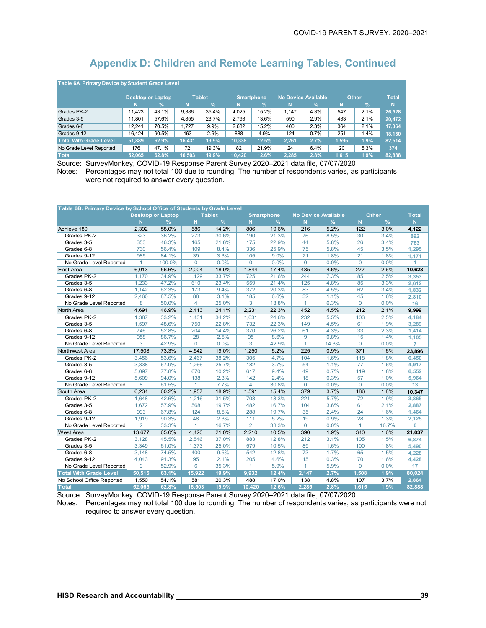| Table 6A Primary Device by Student Grade Level |        |                          |        |               |        |                   |       |                            |              |               |        |
|------------------------------------------------|--------|--------------------------|--------|---------------|--------|-------------------|-------|----------------------------|--------------|---------------|--------|
|                                                |        | <b>Desktop or Laptop</b> |        | <b>Tablet</b> |        | <b>Smartphone</b> |       | <b>No Device Available</b> | <b>Other</b> | <b>T</b> otal |        |
|                                                | N      | %                        | N      | $\frac{9}{6}$ | N      | $\%$              | N     | %                          | N            | $\frac{9}{6}$ | N      |
| Grades PK-2                                    | 11.423 | 43.1%                    | 9.386  | 35.4%         | 4.025  | 15.2%             | 1.147 | 4.3%                       | 547          | 2.1%          | 26,528 |
| Grades 3-5                                     | 11.801 | 57.6%                    | 4.855  | 23.7%         | 2.793  | 13.6%             | 590   | 2.9%                       | 433          | 2.1%          | 20,472 |
| Grades 6-8                                     | 12.241 | 70.5%                    | 1.727  | 9.9%          | 2.632  | 15.2%             | 400   | 2.3%                       | 364          | 2.1%          | 17.364 |
| Grades 9-12                                    | 16.424 | 90.5%                    | 463    | 2.6%          | 888    | 4.9%              | 124   | 0.7%                       | 251          | 1.4%          | 18.150 |
| <b>Total With Grade Level</b>                  | 51,889 | 62.9%                    | 16.431 | 19.9%         | 10.338 | 12.5%             | 2.261 | 2.7%                       | 1,595        | 1.9%          | 82,514 |
| No Grade Level Reported                        | 176    | 47.1%                    | 72     | 19.3%         | 82     | 21.9%             | 24    | 6.4%                       | 20           | 5.3%          | 374    |
| <b>Total</b>                                   | 52.065 | 62.8%                    | 16.503 | 19.9%         | 10.420 | 12.6%             | 2.285 | 2.8%                       | 1.615        | 1.9%          | 82.888 |

Source: SurveyMonkey, COVID-19 Response Parent Survey 2020–2021 data file, 07/07/2020 Notes: Percentages may not total 100 due to rounding. The number of respondents varies, as participants were not required to answer every question.

| Table 6B. Primary Device by School Office of Students by Grade Level |                |                          |              |               |                  |                   |              |                            |                 |       |                |
|----------------------------------------------------------------------|----------------|--------------------------|--------------|---------------|------------------|-------------------|--------------|----------------------------|-----------------|-------|----------------|
|                                                                      |                | <b>Desktop or Laptop</b> |              | <b>Tablet</b> |                  | <b>Smartphone</b> |              | <b>No Device Available</b> |                 | Other | <b>Total</b>   |
|                                                                      | N              | $\frac{9}{6}$            | N            | %             | N.               | $\frac{9}{6}$     | N            | $\frac{9}{6}$              | N               | %     | N.             |
| Achieve 180                                                          | 2,392          | 58.0%                    | 586          | 14.2%         | 806              | 19.6%             | 216          | 5.2%                       | 122             | 3.0%  | 4,122          |
| Grades PK-2                                                          | 323            | 36.2%                    | 273          | 30.6%         | 190              | 21.3%             | 76           | 8.5%                       | 30              | 3.4%  | 892            |
| Grades 3-5                                                           | 353            | 46.3%                    | 165          | 21.6%         | 175              | 22.9%             | 44           | 5.8%                       | 26              | 3.4%  | 763            |
| Grades 6-8                                                           | 730            | 56.4%                    | 109          | 8.4%          | 336              | 25.9%             | 75           | 5.8%                       | 45              | 3.5%  | 1,295          |
| Grades 9-12                                                          | 985            | 84.1%                    | 39           | 3.3%          | 105              | 9.0%              | 21           | 1.8%                       | 21              | 1.8%  | 1,171          |
| No Grade Level Reported                                              | $\mathbf{1}$   | 100.0%                   | $\Omega$     | 0.0%          | $\Omega$         | 0.0%              | $\mathbf 0$  | 0.0%                       | $\Omega$        | 0.0%  | 1              |
| East Area                                                            | 6,013          | 56.6%                    | 2,004        | 18.9%         | 1,844            | 17.4%             | 485          | 4.6%                       | 277             | 2.6%  | 10,623         |
| Grades PK-2                                                          | 1,170          | 34.9%                    | 1.129        | 33.7%         | 725              | 21.6%             | 244          | 7.3%                       | 85              | 2.5%  | 3.353          |
| Grades 3-5                                                           | 1,233          | 47.2%                    | 610          | 23.4%         | 559              | 21.4%             | 125          | 4.8%                       | 85              | 3.3%  | 2,612          |
| Grades 6-8                                                           | 1,142          | 62.3%                    | 173          | 9.4%          | 372              | 20.3%             | 83           | 4.5%                       | 62              | 3.4%  | 1,832          |
| Grades 9-12                                                          | 2,460          | 87.5%                    | 88           | 3.1%          | 185              | 6.6%              | 32           | 1.1%                       | 45              | 1.6%  | 2,810          |
| No Grade Level Reported                                              | 8              | 50.0%                    | 4            | 25.0%         | 3                | 18.8%             | $\mathbf{1}$ | 6.3%                       | $\overline{0}$  | 0.0%  | 16             |
| North Area                                                           | 4,691          | 46.9%                    | 2,413        | 24.1%         | 2,231            | 22.3%             | 452          | 4.5%                       | 212             | 2.1%  | 9,999          |
| Grades PK-2                                                          | 1,387          | 33.2%                    | 1,431        | 34.2%         | 1,031            | 24.6%             | 232          | 5.5%                       | 103             | 2.5%  | 4,184          |
| Grades 3-5                                                           | 1,597          | 48.6%                    | 750          | 22.8%         | 732              | 22.3%             | 149          | 4.5%                       | 61              | 1.9%  | 3,289          |
| Grades 6-8                                                           | 746            | 52.8%                    | 204          | 14.4%         | 370              | 26.2%             | 61           | 4.3%                       | 33              | 2.3%  | 1,414          |
| Grades 9-12                                                          | 958            | 86.7%                    | 28           | 2.5%          | 95               | 8.6%              | 9            | 0.8%                       | 15              | 1.4%  | 1,105          |
| No Grade Level Reported                                              | 3              | 42.9%                    | 0            | 0.0%          | 3                | 42.9%             | $\mathbf{1}$ | 14.3%                      | $\overline{0}$  | 0.0%  | $\overline{7}$ |
| Northwest Area                                                       | 17,508         | 73.3%                    | 4.542        | 19.0%         | 1,250            | 5.2%              | 225          | 0.9%                       | 371             | 1.6%  | 23,896         |
| Grades PK-2                                                          | 3,456          | 53.6%                    | 2,467        | 38.2%         | 305              | 4.7%              | 104          | 1.6%                       | 118             | 1.8%  | 6,450          |
| Grades 3-5                                                           | 3,338          | 67.9%                    | 1,266        | 25.7%         | $\overline{182}$ | 3.7%              | 54           | 1.1%                       | $\overline{77}$ | 1.6%  | 4,917          |
| Grades 6-8                                                           | 5.097          | 77.8%                    | 670          | 10.2%         | 617              | 9.4%              | 49           | 0.7%                       | 119             | 1.8%  | 6,552          |
| Grades 9-12                                                          | 5,609          | 94.0%                    | 138          | 2.3%          | 142              | 2.4%              | 18           | 0.3%                       | 57              | 1.0%  | 5,964          |
| No Grade Level Reported                                              | 8              | 61.5%                    | $\mathbf{1}$ | 7.7%          | $\overline{4}$   | 30.8%             | $\mathbf{0}$ | 0.0%                       | $\mathbf 0$     | 0.0%  | 13             |
| South Area                                                           | 6,234          | 60.2%                    | 1,957        | 18.9%         | 1,591            | 15.4%             | 379          | 3.7%                       | 186             | 1.8%  | 10,347         |
| Grades PK-2                                                          | 1,648          | 42.6%                    | 1,216        | 31.5%         | 708              | 18.3%             | 221          | 5.7%                       | 72              | 1.9%  | 3,865          |
| Grades 3-5                                                           | 1,672          | 57.9%                    | 568          | 19.7%         | 482              | 16.7%             | 104          | 3.6%                       | 61              | 2.1%  | 2.887          |
| Grades 6-8                                                           | 993            | 67.8%                    | 124          | 8.5%          | 288              | 19.7%             | 35           | 2.4%                       | 24              | 1.6%  | 1,464          |
| Grades 9-12                                                          | 1,919          | 90.3%                    | 48           | 2.3%          | 111              | 5.2%              | 19           | 0.9%                       | 28              | 1.3%  | 2,125          |
| No Grade Level Reported                                              | $\overline{2}$ | 33.3%                    | $\mathbf{1}$ | 16.7%         | $\overline{2}$   | 33.3%             | $\mathbf 0$  | 0.0%                       | $\mathbf{1}$    | 16.7% | 6              |
| <b>West Area</b>                                                     | 13,677         | 65.0%                    | 4,420        | 21.0%         | 2,210            | 10.5%             | 390          | 1.9%                       | 340             | 1.6%  | 21,037         |
| Grades PK-2                                                          | 3,128          | 45.5%                    | 2,546        | 37.0%         | 883              | 12.8%             | 212          | 3.1%                       | 105             | 1.5%  | 6,874          |
| Grades 3-5                                                           | 3,349          | 61.0%                    | 1,373        | 25.0%         | 579              | 10.5%             | 89           | 1.6%                       | 100             | 1.8%  | 5,490          |
| Grades 6-8                                                           | 3,148          | 74.5%                    | 400          | 9.5%          | 542              | 12.8%             | 73           | 1.7%                       | 65              | 1.5%  | 4.228          |
| Grades 9-12                                                          | 4,043          | 91.3%                    | 95           | 2.1%          | 205              | 4.6%              | 15           | 0.3%                       | 70              | 1.6%  | 4,428          |
| No Grade Level Reported                                              | 9              | 52.9%                    | 6            | 35.3%         | $\mathbf{1}$     | 5.9%              | $\mathbf{1}$ | 5.9%                       | $\overline{0}$  | 0.0%  | 17             |
| <b>Total With Grade Level</b>                                        | 50,515         | 63.1%                    | 15,922       | 19.9%         | 9,932            | 12.4%             | 2,147        | 2.7%                       | 1,508           | 1.9%  | 80,024         |
| No School Office Reported                                            | 1,550          | 54.1%                    | 581          | 20.3%         | 488              | 17.0%             | 138          | 4.8%                       | 107             | 3.7%  | 2,864          |
| <b>Total</b>                                                         | 52,065         | 62.8%                    | 16,503       | 19.9%         | 10,420           | 12.6%             | 2,285        | 2.8%                       | 1,615           | 1.9%  | 82,888         |

Source: SurveyMonkey, COVID-19 Response Parent Survey 2020–2021 data file, 07/07/2020

Notes: Percentages may not total 100 due to rounding. The number of respondents varies, as participants were not required to answer every question.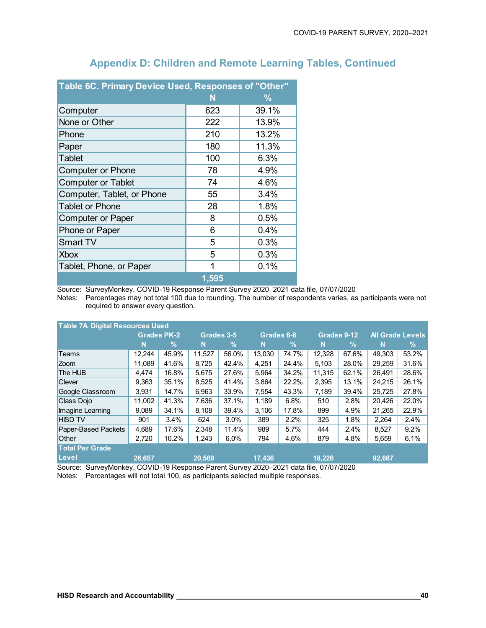| Table 6C. Primary Device Used, Responses of "Other" |       |       |
|-----------------------------------------------------|-------|-------|
|                                                     | N     | ℅     |
| Computer                                            | 623   | 39.1% |
| None or Other                                       | 222   | 13.9% |
| Phone                                               | 210   | 13.2% |
| Paper                                               | 180   | 11.3% |
| <b>Tablet</b>                                       | 100   | 6.3%  |
| <b>Computer or Phone</b>                            | 78    | 4.9%  |
| <b>Computer or Tablet</b>                           | 74    | 4.6%  |
| Computer, Tablet, or Phone                          | 55    | 3.4%  |
| <b>Tablet or Phone</b>                              | 28    | 1.8%  |
| <b>Computer or Paper</b>                            | 8     | 0.5%  |
| Phone or Paper                                      | 6     | 0.4%  |
| <b>Smart TV</b>                                     | 5     | 0.3%  |
| <b>Xbox</b>                                         | 5     | 0.3%  |
| Tablet, Phone, or Paper                             | 1     | 0.1%  |
|                                                     | 1,595 |       |

Source: SurveyMonkey, COVID-19 Response Parent Survey 2020–2021 data file, 07/07/2020

Notes: Percentages may not total 100 due to rounding. The number of respondents varies, as participants were not required to answer every question.

| <b>Table 7A Digital Resources Used</b>                                                |        |                    |        |            |        |            |        |               |        |                         |  |  |  |
|---------------------------------------------------------------------------------------|--------|--------------------|--------|------------|--------|------------|--------|---------------|--------|-------------------------|--|--|--|
|                                                                                       |        | <b>Grades PK-2</b> |        | Grades 3-5 |        | Grades 6-8 |        | Grades 9-12   |        | <b>All Grade Levels</b> |  |  |  |
|                                                                                       | N      | %                  | N      | $\%$       | N      | $\%$       | N      | $\frac{0}{0}$ | N      | %                       |  |  |  |
| Teams                                                                                 | 12.244 | 45.9%              | 11.527 | 56.0%      | 13.030 | 74.7%      | 12.328 | 67.6%         | 49.303 | 53.2%                   |  |  |  |
| <b>Zoom</b>                                                                           | 11.089 | 41.6%              | 8.725  | 42.4%      | 4.251  | 24.4%      | 5.103  | 28.0%         | 29.259 | 31.6%                   |  |  |  |
| The HUB                                                                               | 4,474  | 16.8%              | 5,675  | 27.6%      | 5.964  | 34.2%      | 11.315 | 62.1%         | 26,491 | 28.6%                   |  |  |  |
| <b>Clever</b>                                                                         | 9.363  | 35.1%              | 8.525  | 41.4%      | 3.864  | 22.2%      | 2,395  | 13.1%         | 24.215 | 26.1%                   |  |  |  |
| Google Classroom                                                                      | 3,931  | 14.7%              | 6,963  | 33.9%      | 7,554  | 43.3%      | 7,189  | 39.4%         | 25,725 | 27.8%                   |  |  |  |
| Class Dojo                                                                            | 11.002 | 41.3%              | 7,636  | 37.1%      | 1.189  | 6.8%       | 510    | 2.8%          | 20.426 | 22.0%                   |  |  |  |
| Imagine Learning                                                                      | 9.089  | 34.1%              | 8.108  | 39.4%      | 3.106  | 17.8%      | 899    | 4.9%          | 21.265 | 22.9%                   |  |  |  |
| <b>HISD TV</b>                                                                        | 901    | 3.4%               | 624    | $3.0\%$    | 389    | 2.2%       | 325    | 1.8%          | 2,264  | 2.4%                    |  |  |  |
| Paper-Based Packets                                                                   | 4.689  | 17.6%              | 2.348  | 11.4%      | 989    | 5.7%       | 444    | 2.4%          | 8,527  | 9.2%                    |  |  |  |
| Other                                                                                 | 2,720  | 10.2%              | 1,243  | 6.0%       | 794    | 4.6%       | 879    | 4.8%          | 5,659  | 6.1%                    |  |  |  |
| <b>Total Per Grade</b>                                                                |        |                    |        |            |        |            |        |               |        |                         |  |  |  |
| Level                                                                                 | 26,657 |                    | 20,569 |            | 17,436 |            | 18.226 |               | 92,667 |                         |  |  |  |
| Source: SurveyMonkey, COVID-19 Response Parent Survey 2020-2021 data file, 07/07/2020 |        |                    |        |            |        |            |        |               |        |                         |  |  |  |

Notes: Percentages will not total 100, as participants selected multiple responses.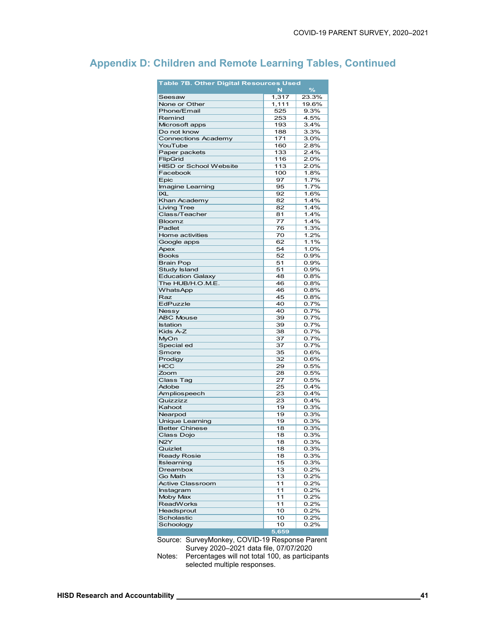| $\frac{9}{6}$<br>N<br>1,317<br>23.3%<br>Seesaw<br>1,111<br>19.6%<br>None or Other<br>Phone/Email<br>525<br>9.3%<br>Remind<br>253<br>4.5%<br>Microsoft apps<br>193<br>3.4%<br>Do not know<br>3.3%<br>188<br><b>Connections Academy</b><br>3.0%<br>171 |  |
|------------------------------------------------------------------------------------------------------------------------------------------------------------------------------------------------------------------------------------------------------|--|
|                                                                                                                                                                                                                                                      |  |
|                                                                                                                                                                                                                                                      |  |
|                                                                                                                                                                                                                                                      |  |
|                                                                                                                                                                                                                                                      |  |
|                                                                                                                                                                                                                                                      |  |
|                                                                                                                                                                                                                                                      |  |
|                                                                                                                                                                                                                                                      |  |
| YouTube<br>2.8%<br>160                                                                                                                                                                                                                               |  |
| 133<br>2.4%<br>Paper packets                                                                                                                                                                                                                         |  |
| FlipGrid<br>116<br>2.0%                                                                                                                                                                                                                              |  |
| <b>HISD or School Website</b><br>2.0%<br>113                                                                                                                                                                                                         |  |
| Facebook<br>100<br>1.8%                                                                                                                                                                                                                              |  |
| Epic<br>97<br>1.7%                                                                                                                                                                                                                                   |  |
| 1.7%<br>Imagine Learning<br>95                                                                                                                                                                                                                       |  |
| <b>IXL</b><br>92<br>1.6%                                                                                                                                                                                                                             |  |
| Khan Academy<br>1.4%<br>82                                                                                                                                                                                                                           |  |
| 1.4%<br><b>Living Tree</b><br>82                                                                                                                                                                                                                     |  |
| Class/Teacher<br>1.4%<br>81                                                                                                                                                                                                                          |  |
| 77<br>1.4%<br><b>Bloomz</b>                                                                                                                                                                                                                          |  |
| Padlet<br>1.3%<br>76                                                                                                                                                                                                                                 |  |
| 70<br>1.2%<br>Home activities                                                                                                                                                                                                                        |  |
| Google apps<br>62<br>1.1%                                                                                                                                                                                                                            |  |
| Apex<br>54<br>1.0%                                                                                                                                                                                                                                   |  |
| <b>Books</b><br>52<br>0.9%                                                                                                                                                                                                                           |  |
| <b>Brain Pop</b><br>51<br>0.9%                                                                                                                                                                                                                       |  |
| <b>Study Island</b><br>0.9%<br>51                                                                                                                                                                                                                    |  |
| <b>Education Galaxy</b><br>48<br>0.8%                                                                                                                                                                                                                |  |
| The HUB/H.O.M.E.<br>46<br>0.8%                                                                                                                                                                                                                       |  |
| <b>WhatsApp</b><br>46<br>0.8%                                                                                                                                                                                                                        |  |
| Raz<br>45<br>0.8%                                                                                                                                                                                                                                    |  |
| EdPuzzle<br>40<br>0.7%                                                                                                                                                                                                                               |  |
| 40<br>0.7%<br>Nessy                                                                                                                                                                                                                                  |  |
| <b>ABC Mouse</b><br>39<br>0.7%                                                                                                                                                                                                                       |  |
| 39<br>0.7%<br><b>Istation</b>                                                                                                                                                                                                                        |  |
| Kids A-Z<br>38<br>0.7%                                                                                                                                                                                                                               |  |
| MyOn<br>37<br>0.7%                                                                                                                                                                                                                                   |  |
| Special ed<br>0.7%<br>37                                                                                                                                                                                                                             |  |
| Smore<br>0.6%<br>35                                                                                                                                                                                                                                  |  |
| Prodigy<br>32<br>0.6%                                                                                                                                                                                                                                |  |
| 0.5%<br><b>HCC</b><br>29                                                                                                                                                                                                                             |  |
| 0.5%<br>Zoom<br>28                                                                                                                                                                                                                                   |  |
| <b>Class Tag</b><br>27<br>0.5%                                                                                                                                                                                                                       |  |
| Adobe<br>25<br>0.4%                                                                                                                                                                                                                                  |  |
| 0.4%<br>Ampliospeech<br>23                                                                                                                                                                                                                           |  |
| Quizzizz<br>0.4%<br>23                                                                                                                                                                                                                               |  |
| 0.3%<br>Kahoot<br>19                                                                                                                                                                                                                                 |  |
| Nearpod<br>19<br>0.3%                                                                                                                                                                                                                                |  |
| <b>Unique Learning</b><br>0.3%<br>19                                                                                                                                                                                                                 |  |
| <b>Better Chinese</b><br>18<br>0.3%                                                                                                                                                                                                                  |  |
| Class Dojo<br>18<br>0.3%                                                                                                                                                                                                                             |  |
| N <sub>2</sub> Y<br>18<br>0.3%                                                                                                                                                                                                                       |  |
| Quizlet<br>18<br>0.3%                                                                                                                                                                                                                                |  |
| <b>Ready Rosie</b><br>18<br>0.3%                                                                                                                                                                                                                     |  |
| <b>Itslearning</b><br>15<br>0.3%                                                                                                                                                                                                                     |  |
| Dreambox<br>13<br>0.2%                                                                                                                                                                                                                               |  |
| Go Math<br>13<br>0.2%                                                                                                                                                                                                                                |  |
| <b>Active Classroom</b><br>11<br>0.2%                                                                                                                                                                                                                |  |
| Instagram<br>11<br>0.2%<br>11<br>0.2%<br>Moby Max                                                                                                                                                                                                    |  |
| 11                                                                                                                                                                                                                                                   |  |
| <b>ReadWorks</b><br>0.2%                                                                                                                                                                                                                             |  |
| 10<br>0.2%<br>Headsprout<br>Scholastic<br>0.2%                                                                                                                                                                                                       |  |
| 10<br>0.2%                                                                                                                                                                                                                                           |  |
| Schoology<br>10<br>5,659                                                                                                                                                                                                                             |  |

Source: SurveyMonkey, COVID-19 Response Parent Survey 2020–2021 data file, 07/07/2020

Notes: Percentages will not total 100, as participants selected multiple responses.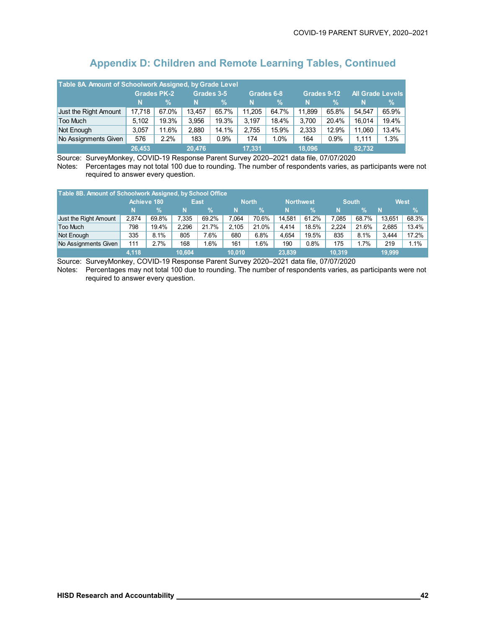| Table 8A. Amount of Schoolwork Assigned, by Grade Level |        |                    |            |               |            |       |        |               |                         |       |  |  |
|---------------------------------------------------------|--------|--------------------|------------|---------------|------------|-------|--------|---------------|-------------------------|-------|--|--|
|                                                         |        | <b>Grades PK-2</b> | Grades 3-5 |               | Grades 6-8 |       |        | Grades 9-12   | <b>All Grade Levels</b> |       |  |  |
|                                                         | N      | %                  | N          | $\frac{9}{6}$ | N          | $\%$  | 'N.    | $\frac{0}{2}$ | N                       | $\%$  |  |  |
| Just the Right Amount                                   | 17.718 | 67.0%              | 13.457     | 65.7%         | 11.205     | 64.7% | 11.899 | 65.8%         | 54.547                  | 65.9% |  |  |
| Too Much                                                | 5.102  | 19.3%              | 3.956      | 19.3%         | 3.197      | 18.4% | 3.700  | 20.4%         | 16.014                  | 19.4% |  |  |
| Not Enough                                              | 3.057  | 11.6%              | 2.880      | 14.1%         | 2.755      | 15.9% | 2,333  | 12.9%         | 11.060                  | 13.4% |  |  |
| No Assignments Given                                    | 576    | 2.2%               | 183        | 0.9%          | 174        | 1.0%  | 164    | 0.9%          | 1.111                   | 1.3%  |  |  |
|                                                         | 26.453 |                    | 20.476     |               | 17.331     |       | 18.096 |               | 82.732                  |       |  |  |

Source: SurveyMonkey, COVID-19 Response Parent Survey 2020–2021 data file, 07/07/2020 Notes: Percentages may not total 100 due to rounding. The number of respondents varies, as participants were not required to answer every question.

| Table 8B. Amount of Schoolwork Assigned, by School Office |       |             |        |             |        |              |        |               |        |              |        |             |
|-----------------------------------------------------------|-------|-------------|--------|-------------|--------|--------------|--------|---------------|--------|--------------|--------|-------------|
|                                                           |       | Achieve 180 |        | <b>East</b> |        | <b>North</b> |        | Northwest     |        | <b>South</b> |        | <b>West</b> |
|                                                           | 'N.   | %           | N      | %           | N      | %            | N      | $\frac{9}{6}$ | N      | V.           | N      | %           |
| Just the Right Amount                                     | 2.874 | 69.8%       | 7.335  | 69.2%       | 7.064  | 70.6%        | 14.581 | 61.2%         | 7.085  | 68.7%        | 13.651 | 68.3%       |
| Too Much                                                  | 798   | 19.4%       | 2.296  | 21.7%       | 2.105  | 21.0%        | 4.414  | 18.5%         | 2.224  | 21.6%        | 2.685  | 13.4%       |
| Not Enough                                                | 335   | 8.1%        | 805    | 7.6%        | 680    | 6.8%         | 4.654  | 19.5%         | 835    | 8.1%         | 3.444  | 17.2%       |
| No Assignments Given                                      | 111   | 2.7%        | 168    | 1.6%        | 161    | .6%          | 190    | 0.8%          | 175    | 1.7%         | 219    | 1.1%        |
|                                                           | 4,118 |             | 10,604 |             | 10.010 |              | 23,839 |               | 10.319 |              | 19,999 |             |

Source: SurveyMonkey, COVID-19 Response Parent Survey 2020–2021 data file, 07/07/2020

Notes: Percentages may not total 100 due to rounding. The number of respondents varies, as participants were not required to answer every question.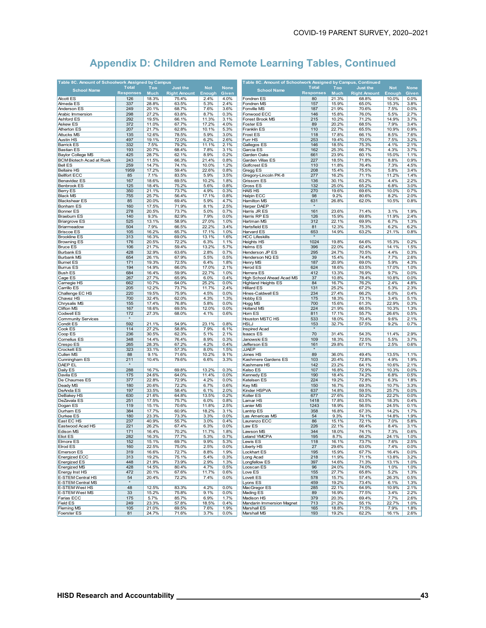| Table 8C. Amount of Schoolwork Assigned by Campus |                  |             |                     |            |             | Table 8C. Amount of Schoolwork Assigned by Campus, Continued |                     |             |                     |            |             |
|---------------------------------------------------|------------------|-------------|---------------------|------------|-------------|--------------------------------------------------------------|---------------------|-------------|---------------------|------------|-------------|
|                                                   | <b>Total</b>     | Too         | <b>Just the</b>     | <b>Not</b> | <b>None</b> |                                                              | <b>Total</b>        | Too         | <b>Just the</b>     | <b>Not</b> | <b>None</b> |
| <b>School Name</b>                                | <b>Responses</b> | <b>Much</b> | <b>Right Amount</b> | Enough     | Given       | <b>School Name</b>                                           | <b>Responses</b>    | <b>Much</b> | <b>Right Amount</b> | Enough     | Given       |
| Alcott ES                                         | 126              | 18.3%       | 75.4%               | 2.4%       | 4.0%        | Fondren ES                                                   | 80                  | 21.3%       | 68.8%               | 10.0%      | 0.0%        |
| Almeda ES                                         | 337              | 28.8%       | 63.5%               | 5.3%       | 2.4%        | Fondren MS                                                   | 157                 | 15.9%       | 65.0%               | 15.3%      | 3.8%        |
| Anderson ES                                       | 249              | 20.1%       | 68.7%               | 7.6%       | 3.6%        | Fonville MS                                                  | 187                 | 21.9%       | 70.6%               | 7.5%       | 0.0%        |
| Arabic Immersion                                  | 298              | 27.2%       | 63.8%               | 8.7%       | 0.3%        | Fonwood ECC                                                  | 146                 | 15.8%       | 76.0%               | 5.5%       | 2.7%        |
| Ashford ES                                        | 292              | 19.5%       | 66.1%               | 11.3%      | 3.1%        | Forest Brook MS                                              | 215                 | 10.2%       | 71.2%               | 14.9%      | 3.7%        |
| Askew ES                                          | 372              | 11.0%       | 67.7%               | 17.2%      | 4.0%        | Foster ES                                                    | 89                  | 20.2%       | 68.5%               | 7.9%       | 3.4%        |
| <b>Atherton ES</b>                                | 207              | 21.7%       | 62.8%               | 10.1%      | 5.3%        | Franklin ES                                                  | 110                 | 22.7%       | 65.5%               | 10.9%      | 0.9%        |
|                                                   |                  |             |                     |            |             |                                                              |                     |             |                     |            |             |
| <b>Attucks MS</b>                                 | 135              | 12.6%       | 78.5%               | 5.9%       | 3.0%        | Frost ES                                                     | 118                 | 17.8%       | 66.1%               | 8.5%       | 7.6%        |
| Austin HS                                         | 497              | 19.1%       | 72.0%               | 6.2%       | 2.6%        | Furr HS                                                      | 253                 | 19.4%       | 70.0%               | 7.5%       | 3.2%        |
| <b>Barrick ES</b>                                 | 332              | 7.5%        | 79.2%               | 11.1%      | 2.1%        | Gallegos ES                                                  | 146                 | 18.5%       | 75.3%               | 4.1%       | 2.1%        |
| <b>Bastian ES</b>                                 | 193              | 20.7%       | 68.4%               | 7.8%       | 3.1%        | Garcia ES                                                    | 162                 | 25.3%       | 66.7%               | 4.3%       | 3.7%        |
| <b>Baylor College MS</b>                          | 425              | 28.7%       | 62.1%               | 8.9%       | 0.2%        | Garden Oaks                                                  | 661                 | 23.9%       | 60.1%               | 15.0%      | 1.1%        |
| <b>BCM Biotech Acad at Rusk</b>                   | 243              | 11.5%       | 66.3%               | 21.4%      | 0.8%        | Garden Villas ES                                             | 227                 | 18.5%       | 71.8%               | 8.8%       | 0.9%        |
| <b>Bell ES</b>                                    | 259              | 14.7%       | 74.1%               | 10.0%      | 1.2%        | Golfcrest ES                                                 | 110                 | 11.8%       | 76.4%               | 7.3%       | 4.5%        |
| <b>Bellaire HS</b>                                | 1959             | 17.2%       | 59.4%               | 22.6%      | 0.8%        | Gregg ES                                                     | 208                 | 15.4%       | 75.5%               | 5.8%       | 3.4%        |
| <b>Bellfort ECC</b>                               | 85               | 7.1%        | 83.5%               | 5.9%       | 3.5%        | Gregory-Lincoln PK-8                                         | 277                 | 16.2%       | 71.1%               | 11.2%      | 1.4%        |
| <b>Benavidez ES</b>                               | 167              | 18.6%       | 69.5%               | 10.2%      | 1.8%        | Grissom ES                                                   | 136                 | 30.1%       | 63.2%               | 4.4%       | 2.2%        |
| <b>Benbrook ES</b>                                | 125              | 18.4%       | 75.2%               | 5.6%       | 0.8%        | Gross ES                                                     | 132                 | 25.0%       | 65.2%               | 6.8%       | 3.0%        |
| Berry ES                                          | 350              | 21.1%       | 73.7%               | 4.9%       | 0.3%        | <b>HAIS HS</b>                                               | 270                 | 19.6%       | 69.6%               | 10.0%      | 0.7%        |
| <b>Black MS</b>                                   | 755              | 25.7%       | 56.4%               | 17.1%      | 0.8%        | Halpin ECC                                                   | 98                  | 9.2%        | 80.6%               | 8.2%       | 2.0%        |
| <b>Blackshear ES</b>                              | 85               | 20.0%       | 69.4%               | 5.9%       | 4.7%        | Hamilton MS                                                  | 631                 | 26.8%       | 62.0%               | 10.5%      | 0.8%        |
| <b>Bonham ES</b>                                  | 160              | 17.5%       | 71.9%               | 8.1%       | 2.5%        | Harper DAEP                                                  | $\pmb{\ast}$        |             |                     |            |             |
| <b>Bonner ES</b>                                  | 278              | 20.5%       | 73.7%               | 5.0%       | 0.7%        | Harris JR ES                                                 | 161                 | 23.6%       | 71.4%               | 3.1%       | 1.9%        |
| <b>Braeburn ES</b>                                | 140              | 9.3%        | 82.9%               | 7.9%       | 0.0%        | Harris RP ES                                                 | 126                 | 15.9%       | 69.8%               | 11.9%      | 2.4%        |
|                                                   | 525              | 13.1%       | 58.9%               | 27.0%      | 1.0%        |                                                              | 312                 | 22.1%       | 69.9%               | 6.7%       | 1.3%        |
| <b>Briargrove ES</b>                              |                  |             |                     |            |             | Hartman MS                                                   |                     |             |                     |            |             |
| Briarmeadow                                       | 504              | 7.9%        | 66.5%               | 22.2%      | 3.4%        | Hartsfield ES                                                | 81                  | 12.3%       | 75.3%               | 6.2%       | 6.2%        |
| <b>Briscoe ES</b>                                 | 105              | 16.2%       | 65.7%               | 17.1%      | 1.0%        | Harvard ES                                                   | 653                 | 14.9%       | 63.2%               | 21.1%      | 0.8%        |
| <b>Brookline ES</b>                               | 313              | 16.3%       | 69.0%               | 13.1%      | 1.6%        | <b>HCC Lifeskills</b>                                        |                     |             |                     |            |             |
| <b>Browning ES</b>                                | 176              | 20.5%       | 72.2%               | 6.3%       | 1.1%        | <b>Heights HS</b>                                            | 1024                | 19.8%       | 64.6%               | 15.3%      | 0.2%        |
| <b>Bruce ES</b>                                   | 106              | 21.7%       | 59.4%               | 13.2%      | 5.7%        | <b>Helms ES</b>                                              | 396                 | 22.0%       | 62.4%               | 14.1%      | 1.5%        |
| <b>Burbank ES</b>                                 | 428              | 32.9%       | 63.6%               | 2.8%       | 0.7%        | Henderson JP ES                                              | 295                 | 24.7%       | 70.5%               | 4.4%       | 0.3%        |
| <b>Burbank MS</b>                                 | 654              | 26.1%       | 67.9%               | 5.5%       | 0.5%        | Henderson NQ ES                                              | 39                  | 15.4%       | 74.4%               | 7.7%       | 2.6%        |
| <b>Burnet ES</b>                                  | 171              | 19.3%       | 72.5%               | 6.4%       | 1.8%        | Henry MS                                                     | 187                 | 20.9%       | 69.0%               | 5.9%       | 4.3%        |
| <b>Burrus ES</b>                                  | 194              | 14.9%       | 66.0%               | 17.0%      | 2.1%        | Herod ES                                                     | 624                 | 18.6%       | 63.5%               | 17.0%      | 1.0%        |
| <b>Bush ES</b>                                    | 684              | 16.4%       | 59.9%               | 22.7%      | 1.0%        | Herrera ES                                                   | 412                 | 13.3%       | 76.9%               | 9.7%       | 0.0%        |
| Cage ES                                           | 267              | 27.7%       | 65.9%               | 6.0%       | 0.4%        | High School Ahead Acad MS                                    | 37                  | 10.8%       | 78.4%               | 10.8%      | 0.0%        |
| Carnegie HS                                       | 662              | 10.7%       | 64.0%               | 25.2%      | 0.0%        | <b>Highland Heights ES</b>                                   | 84                  | 16.7%       | 76.2%               | 2.4%       | 4.8%        |
| Carrillo ES                                       | 205              | 12.2%       | 73.7%               | 11.7%      | 2.4%        | <b>Hilliard ES</b>                                           | 131                 | 25.2%       | 67.2%               | 5.3%       | 2.3%        |
| Challenge EC HS                                   | 220              | 19.5%       | 75.9%               | 4.5%       | 0.0%        | Hines-Caldwell ES                                            | 234                 | 27.4%       | 66.2%               | 6.0%       | 0.4%        |
| Chavez HS                                         | 700              | 32.4%       | 62.0%               | 4.3%       | 1.3%        | Hobby ES                                                     | 175                 | 18.3%       | 73.1%               | 3.4%       | 5.1%        |
| Chrysalis MS                                      | 155              | 17.4%       | 76.8%               | 5.8%       | 0.0%        | Hogg MS                                                      | 700                 | 15.6%       | 61.3%               | 22.9%      | 0.3%        |
| Clifton MS                                        | 167              | 18.6%       | 69.5%               | 12.0%      | 0.0%        | <b>Holland MS</b>                                            | 224                 | 21.9%       | 66.5%               | 10.3%      | 1.3%        |
| Codwell ES                                        | 172              | 27.3%       | 68.0%               | 4.1%       | 0.6%        | Horn ES                                                      | 811                 | 17.1%       | 55.7%               | 26.6%      | 0.5%        |
|                                                   | $\pmb{\ast}$     |             |                     |            |             |                                                              |                     |             |                     |            |             |
| <b>Community Services</b>                         |                  |             |                     |            |             | Houston MSTC HS                                              | 533                 | 18.0%       | 70.4%               | 9.6%       | 2.1%        |
| Condit ES                                         | 592              | 21.1%       | 54.9%               | 23.1%      | 0.8%        | <b>HSLJ</b>                                                  | 153<br>$\pmb{\ast}$ | 32.7%       | 57.5%               | 9.2%       | 0.7%        |
| Cook ES                                           | 114              | 27.2%       | 58.8%               | 7.9%       | 6.1%        | Inspired Acad                                                |                     |             |                     |            |             |
| Coop ES                                           | 236              | 30.5%       | 62.3%               | 5.1%       | 2.1%        | Isaacs ES                                                    | 70                  | 31.4%       | 54.3%               | 11.4%      | 2.9%        |
| Cornelius ES                                      | 348              | 14.4%       | 76.4%               | 8.9%       | 0.3%        | Janowski ES                                                  | 109                 | 18.3%       | 72.5%               | 5.5%       | 3.7%        |
| Crespo ES                                         | 265              | 28.3%       | 67.2%               | 4.2%       | 0.4%        | Jefferson ES                                                 | 161                 | 29.8%       | 67.1%               | 2.5%       | 0.6%        |
| <b>Crockett ES</b>                                | 323              | 33.1%       | 57.3%               | 8.0%       | 1.5%        | <b>JJAEP</b>                                                 | $\pmb{\ast}$        |             |                     |            |             |
| Cullen MS                                         | 88               | 9.1%        | 71.6%               | 10.2%      | 9.1%        | Jones HS                                                     | 89                  | 36.0%       | 49.4%               | 13.5%      | 1.1%        |
| Cunningham ES                                     | 211              | 10.4%       | 79.6%               | 6.6%       | 3.3%        | Kashmere Gardens ES                                          | 103                 | 20.4%       | 72.8%               | 4.9%       | 1.9%        |
| DAEP EL                                           |                  |             |                     |            |             | Kashmere HS                                                  | 142                 | 23.2%       | 64.1%               | 10.6%      | 2.1%        |
| Daily ES                                          | 288              | 16.7%       | 69.8%               | 13.2%      | 0.3%        | Kelso ES                                                     | 107                 | 16.8%       | 72.9%               | 10.3%      | 0.0%        |
| Davila ES                                         | 175              | 24.6%       | 64.0%               | 11.4%      | 0.0%        | Kennedy ES                                                   | 190                 | 18.4%       | 74.2%               | 6.8%       | 0.5%        |
| De Chaumes ES                                     | 377              | 22.8%       | 72.9%               | 4.2%       | 0.0%        | Ketelsen ES                                                  | 224                 | 19.2%       | 72.8%               | 6.3%       | 1.8%        |
| Deady MS                                          | 180              | 20.6%       | 72.2%               | 6.7%       | 0.6%        | Key MS                                                       | 150                 | 16.7%       | 69.3%               | 10.7%      | 3.3%        |
| DeAnda ES                                         | 197              | 33.5%       | 58.4%               | 6.1%       | 2.0%        | Kinder HSPVA                                                 | 637                 | 14.8%       | 59.5%               | 25.7%      | 0.0%        |
| DeBakey HS                                        | 630              | 21.6%       | 64.8%               | 13.5%      | 0.2%        | Kolter ES                                                    | 677                 | 27.6%       | 50.2%               | 22.2%      | 0.0%        |
| DeZavala ES                                       | 251              | 17.5%       | 75.7%               | 6.0%       | 0.8%        | Lamar HS                                                     | 1418                | 17.8%       | 63.5%               | 18.3%      | 0.4%        |
| Dogan ES                                          | 119              | 15.1%       | 70.6%               | 11.8%      | 2.5%        | Lanier MS                                                    | 1243                | 18.9%       | 56.5%               | 24.5%      | 0.1%        |
| Durham ES                                         | 384              | 17.7%       | 60.9%               | 18.2%      | 3.1%        | Lantrip ES                                                   | 358                 | 16.8%       | 67.3%               | 14.2%      | 1.7%        |
| Durkee ES                                         | 180              | 23.3%       | 73.3%               | 3.3%       | 0.0%        | Las Americas MS                                              | 54                  | 9.3%        | 74.1%               | 14.8%      | 1.9%        |
| East EC HS                                        | 237              | 40.9%       | 55.7%               | 3.0%       | 0.4%        | Laurenzo ECC                                                 | 86                  | 15.1%       | 72.1%               | 7.0%       | 5.8%        |
| Eastwood Acad HS                                  | 221              | 26.2%       | 67.4%               | 6.3%       | 0.0%        | Law ES                                                       | 226                 | 22.1%       | 66.4%               | 8.4%       | 3.1%        |
|                                                   | 171              | 16.4%       | 70.2%               |            | 1.8%        | Lawson MS                                                    | 344                 | 18.0%       | 74.1%               |            | 0.6%        |
| Edison MS                                         |                  |             |                     | 11.7%      |             |                                                              |                     |             |                     | 7.3%       |             |
| <b>Eliot ES</b>                                   | 282              | 16.3%       | 77.7%               | 5.3%       | 0.7%        | Leland YMCPA                                                 | 195                 | 8.7%        | 66.2%               | 24.1%      | 1.0%        |
| Elmore ES                                         | 152              | 15.1%       | 69.7%               | 9.9%       | 5.3%        | Lewis ES                                                     | 118                 | 16.1%       | 73.7%               | 7.6%       | 2.5%        |
| <b>Elrod ES</b>                                   | 160              | 22.5%       | 75.0%               | 2.5%       | 0.0%        | <b>Liberty HS</b>                                            | 27                  | 29.6%       | 63.0%               | 7.4%       | 0.0%        |
| <b>Emerson ES</b>                                 | 319              | 16.6%       | 72.7%               | 8.8%       | 1.9%        | Lockhart ES                                                  | 195                 | 15.9%       | 67.7%               | 16.4%      | 0.0%        |
| <b>Energized ECC</b>                              | 313              | 19.2%       | 75.1%               | 5.4%       | 0.3%        | Long Acad                                                    | 218                 | 11.9%       | 71.1%               | 13.8%      | 3.2%        |
| <b>Energized ES</b>                               | 448              | 21.9%       | 73.9%               | 2.9%       | 1.3%        | Longfellow ES                                                | 397                 | 14.6%       | 71.3%               | 13.1%      | 1.0%        |
| <b>Energized MS</b>                               | 428              | 14.5%       | 80.4%               | 4.7%       | 0.5%        | Looscan ES                                                   | 96                  | 24.0%       | 74.0%               | 1.0%       | 1.0%        |
| Energy Inst HS                                    | 472              | 20.1%       | 67.6%               | 11.7%      | 0.6%        | Love ES                                                      | 155                 | 27.7%       | 65.8%               | 5.2%       | 1.3%        |
| <b>E-STEM Central HS</b>                          | 54               | 20.4%       | 72.2%               | 7.4%       | 0.0%        | Lovett ES                                                    | 578                 | 15.7%       | 57.4%               | 26.3%      | 0.5%        |
| <b>E-STEM Central MS</b>                          | $\pmb{\ast}$     |             |                     |            |             | Lyons ES                                                     | 459                 | 19.2%       | 73.4%               | 6.1%       | 1.3%        |
| <b>E-STEM West HS</b>                             | 48               | 12.5%       | 83.3%               | 4.2%       | 0.0%        | MacGregor ES                                                 | 285                 | 22.1%       | 64.9%               | 10.9%      | 2.1%        |
| E-STEM West MS                                    | 33               | 15.2%       | 75.8%               | 9.1%       | 0.0%        | Mading ES                                                    | 89                  | 16.9%       | 77.5%               | 3.4%       | 2.2%        |
| Farias ECC                                        | 175              | 5.7%        | 85.7%               | 6.9%       | 1.7%        | Madison HS                                                   | 379                 | 20.3%       | 69.4%               | 7.7%       | 2.6%        |
| <b>Field ES</b>                                   | 249              | 23.3%       | 57.8%               | 18.5%      | 0.4%        | Mandarin Immersion Magnet                                    | 713                 | 21.2%       | 55.1%               | 22.7%      | 1.0%        |
| <b>Fleming MS</b>                                 | 105              | 21.0%       | 69.5%               | 7.6%       | 1.9%        | Marshall ES                                                  | 165                 | 18.8%       | 71.5%               | 7.9%       | 1.8%        |
| <b>Foerster ES</b>                                | 81               | 24.7%       | 71.6%               | 3.7%       | 0.0%        | Marshall MS                                                  | 193                 | 19.2%       | 62.2%               | 16.1%      | 2.6%        |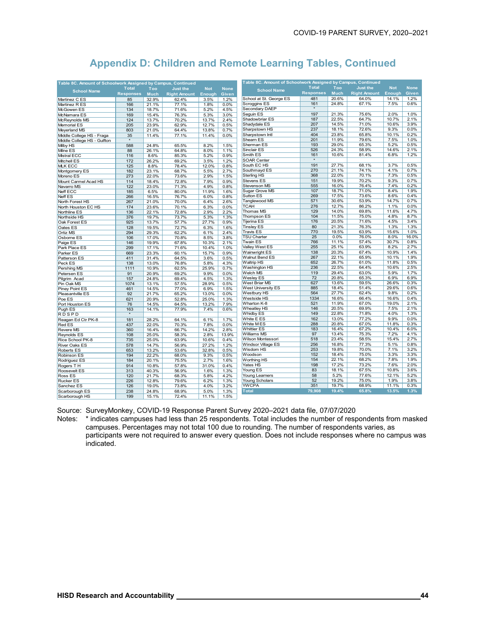| Table 8C. Amount of Schoolwork Assigned by Campus, Continued |                  |                |                     |               |              | Table 8C. Amount of Schoolwork Assigned by Campus, Continued |                  |                |                     |               |              |
|--------------------------------------------------------------|------------------|----------------|---------------------|---------------|--------------|--------------------------------------------------------------|------------------|----------------|---------------------|---------------|--------------|
| <b>School Name</b>                                           | <b>Total</b>     | Too            | <b>Just the</b>     | <b>Not</b>    | <b>None</b>  | <b>School Name</b>                                           | <b>Total</b>     | Too            | <b>Just the</b>     | <b>Not</b>    | <b>None</b>  |
|                                                              | <b>Responses</b> | <b>Much</b>    | <b>Right Amount</b> | <b>Enough</b> | Given        |                                                              | <b>Responses</b> | <b>Much</b>    | <b>Right Amount</b> | Enough        | <b>Given</b> |
| Martinez C ES                                                | 85               | 32.9%          | 62.4%               | 3.5%          | 1.2%         | School at St. George ES                                      | 481              | 20.6%          | 64.0%               | 14.1%         | 1.2%         |
| Martinez R ES                                                | 166              | 21.1%          | 77.1%               | 1.8%          | 0.0%         | Scroggins ES                                                 | 161              | 24.8%          | 67.1%               | 7.5%          | 0.6%         |
| McGowen ES                                                   | 134              | 18.7%          | 71.6%               | 5.2%          | 4.5%         | Secondary DAEP                                               |                  |                |                     |               |              |
| McNamara ES                                                  | 169              | 15.4%          | 76.3%               | 5.3%          | 3.0%         | Seguin ES                                                    | 197              | 21.3%          | 75.6%               | 2.0%          | 1.0%         |
| McReynolds MS                                                | 124              | 13.7%          | 70.2%               | 13.7%         | 2.4%         | Shadowbriar ES                                               | 187              | 22.5%          | 64.7%               | 10.7%         | 2.1%         |
| <b>Memorial ES</b>                                           | 205              | 23.9%          | 62.9%               | 12.7%         | 0.5%         | Shadydale ES                                                 | 207              | 14.5%          | 71.0%               | 10.6%         | 3.9%         |
| Meyerland MS                                                 | 803              | 21.0%          | 64.4%               | 13.8%         | 0.7%         | Sharpstown HS                                                | 237              | 18.1%          | 72.6%               | 9.3%          | 0.0%         |
| Middle College HS - Fraga                                    | 35               | 11.4%          | 77.1%               | 11.4%         | 0.0%         | Sharpstown Intl                                              | 404              | 23.8%          | 65.8%               | 10.1%         | 0.2%         |
| Middle College HS - Gulfton                                  | $\pmb{\ast}$     |                |                     |               |              | Shearn ES                                                    | 201              | 11.9%          | 79.6%               | 7.5%          | 1.0%         |
| Milby HS                                                     | 588              | 24.8%          | 65.5%               | 8.2%          | 1.5%         | Sherman ES                                                   | 193<br>526       | 29.0%<br>24.3% | 65.3%<br>58.9%      | 5.2%          | 0.5%         |
| Milne ES                                                     | 88               | 26.1%          | 64.8%               | 8.0%          | 1.1%         | Sinclair ES                                                  |                  |                |                     | 14.6%         | 2.1%         |
| Mistral ECC                                                  | 116              | 8.6%           | 85.3%               | 5.2%          | 0.9%         | Smith ES                                                     | 161              | 10.6%          | 81.4%               | 6.8%          | 1.2%         |
| Mitchell ES                                                  | 172              | 26.2%          | 69.2%               | 3.5%          | 1.2%         | <b>SOAR Center</b>                                           |                  |                |                     |               |              |
| <b>MLK ECC</b>                                               | 125              | 8.8%           | 78.4%               | 12.0%         | 0.8%         | South EC HS                                                  | 191              | 27.7%          | 68.1%               | 3.7%<br>4.1%  | 0.5%         |
| Montgomery ES                                                | 182              | 23.1%          | 68.7%               | 5.5%          | 2.7%         | Southmayd ES                                                 | 270<br>368       | 21.1%<br>22.0% | 74.1%<br>70.1%      | 7.3%          | 0.7%         |
| Moreno ES                                                    | 273              | 22.0%          | 73.6%               | 2.9%          | 1.5%         | <b>Sterling HS</b><br>Stevens ES                             |                  | 19.9%          | 70.2%               | 9.3%          | 0.5%         |
| Mount Carmel Acad HS                                         | 114              | 18.4%          | 72.8%               | 7.9%          | 0.9%         |                                                              | 151              |                |                     |               | 0.7%         |
| Navarro MS                                                   | 122              | 23.0%          | 71.3%               | 4.9%          | 0.8%         | Stevenson MS<br>Sugar Grove MS                               | 555<br>107       | 16.0%<br>18.7% | 76.4%<br>71.0%      | 7.4%          | 0.2%         |
| Neff ECC                                                     | 185              | 6.5%           | 80.0%               | 11.9%         | 1.6%         |                                                              |                  | 17.5%          |                     | 8.4%<br>8.6%  | 1.9%         |
| Neff ES                                                      | 266              | 16.5%          | 76.7%               | 6.0%          | 0.8%         | Sutton ES<br>Tanglewood MS                                   | 269<br>571       | 30.6%          | 73.6%<br>53.9%      | 14.7%         | 0.4%<br>0.7% |
| North Forest HS                                              | 267              | 21.0%          | 70.0%               | 6.4%          | 2.6%         |                                                              |                  |                |                     |               |              |
| North Houston EC HS                                          | 174              | 23.6%          | 70.1%               | 6.3%          | 0.0%         | <b>TCAH</b><br>Thomas MS                                     | 276              | 12.7%<br>14.0% | 86.2%<br>69.8%      | 1.1%          | 0.0%         |
| Northline ES                                                 | 136              | 22.1%          | 72.8%               | 2.9%          | 2.2%         |                                                              | 129<br>104       | 11.5%          | 75.0%               | 11.6%<br>4.8% | 4.7%         |
| Northside HS                                                 | 376              | 19.7%          | 73.7%               | 5.3%          | 1.3%         | Thompson ES<br>Tijerina ES                                   | 176              | 20.5%          | 71.6%               | 4.5%          | 8.7%<br>3.4% |
| Oak Forest ES                                                | 925              | 13.7%          | 57.7%               | 27.7%         | 0.9%         | <b>Tinsley ES</b>                                            | 80               | 21.3%          | 76.3%               | 1.3%          | 1.3%         |
| Oates ES                                                     | 128              | 19.5%          | 72.7%               | 6.3%          | 1.6%         | <b>Travis ES</b>                                             | 770              | 19.5%          | 63.9%               | 15.6%         | 1.0%         |
| Ortiz MS                                                     | 294              | 29.3%          | 62.2%               | 6.1%          | 2.4%         | <b>TSU Charter</b>                                           | 25               | 0.0%           | 76.0%               | 8.0%          | 16.0%        |
| Osborne ES                                                   | 106              | 17.0%          | 70.8%               | 8.5%          | 3.8%         | Twain ES                                                     | 766              | 11.1%          | 57.4%               | 30.7%         | 0.8%         |
| Paige ES                                                     | 146              | 19.9%          | 67.8%               | 10.3%         | 2.1%         | Valley West ES                                               | 255              | 25.1%          | 63.9%               | 8.2%          | 2.7%         |
| Park Place ES                                                | 299              | 17.1%          | 71.6%               | 10.4%         | 1.0%         | Wainwright ES                                                | 138              | 20.3%          | 67.4%               | 10.9%         | 1.4%         |
| Parker ES                                                    | 669              | 23.3%          | 60.1%               | 15.7%         | 0.9%         | Walnut Bend ES                                               | 267              | 22.1%          | 65.9%               | 10.1%         | 1.9%         |
| Patterson ES                                                 | 411              | 31.4%          | 64.5%               | 3.6%          | 0.5%         | <b>Waltrip HS</b>                                            | 652              | 26.7%          | 61.0%               | 11.8%         | 0.5%         |
| Peck ES                                                      | 138              | 13.0%          | 76.8%               | 5.8%          | 4.3%         | Washington HS                                                | 236              | 22.5%          | 64.4%               | 10.6%         | 2.5%         |
| Pershing MS                                                  | 1111             | 10.9%          | 62.5%<br>69.2%      | 25.9%         | 0.7%         | Welch MS                                                     | 119              | 29.4%          | 63.0%               | 5.9%          | 1.7%         |
| Petersen ES<br>Pilgrim Acad                                  | 91<br>157        | 20.9%<br>24.8% | 69.4%               | 9.9%<br>4.5%  | 0.0%<br>1.3% | <b>Wesley ES</b>                                             | 72               | 20.8%          | 65.3%               | 6.9%          | 6.9%         |
| Pin Oak MS                                                   | 1074             |                | 57.5%               | 28.9%         | 0.5%         | West Briar MS                                                | 627              | 13.6%          | 59.5%               | 26.6%         | 0.3%         |
| Piney Point ES                                               | 461              | 13.1%<br>14.5% | 77.0%               | 6.9%          | 1.5%         | West University ES                                           | 885              | 18.4%          | 51.4%               | 29.6%         | 0.6%         |
| Pleasantville ES                                             | 92               | 21.7%          | 65.2%               | 13.0%         | 0.0%         | Westbury HS                                                  | 564              | 27.7%          | 62.4%               | 9.8%          | 0.2%         |
| Poe ES                                                       | 621              | 20.9%          | 52.8%               | 25.0%         | 1.3%         | Westside HS                                                  | 1334             | 16.6%          | 66.4%               | 16.6%         | 0.4%         |
| Port Houston ES                                              | 76               | 14.5%          | 64.5%               | 13.2%         | 7.9%         | Wharton K-8                                                  | 521              | 11.9%          | 67.0%               | 19.0%         | 2.1%         |
| Pugh ES                                                      | 163              | 14.1%          | 77.9%               | 7.4%          | 0.6%         | <b>Wheatley HS</b>                                           | 146              | 20.5%          | 69.9%               | 7.5%          | 2.1%         |
| <b>RDSPD</b>                                                 | $\star$          |                |                     |               |              | Whidby ES                                                    | 149              | 22.8%          | 71.8%               | 4.0%          | 1.3%         |
| Reagan Ed Ctr PK-8                                           | 181              | 28.2%          | 64.1%               | 6.1%          | 1.7%         | White E ES                                                   | 162              | 13.0%          | 77.2%               | 9.9%          | $0.0\%$      |
| Red ES                                                       | 437              | 22.0%          | 70.3%               | 7.8%          | 0.0%         | White MES                                                    | 288              | 20.8%          | 67.0%               | 11.8%         | 0.3%         |
| Revere MS                                                    | 360              | 16.4%          | 66.7%               | 14.2%         | 2.8%         | <b>Whittier ES</b>                                           | 183              | 16.4%          | 67.2%               | 10.4%         | 6.0%         |
| Reynolds ES                                                  | 108              | 25.0%          | 58.3%               | 2.8%          | 13.9%        | Williams MS                                                  | 97               | 13.4%          | 75.3%               | 7.2%          | 4.1%         |
| Rice School PK-8                                             | 735              | 25.0%          | 63.9%               | 10.6%         | 0.4%         | Wilson Montessori                                            | 518              | 23.4%          | 58.5%               | 15.4%         | 2.7%         |
| River Oaks ES                                                | 578              | 14.7%          | 56.9%               | 27.2%         | 1.2%         | Windsor Village ES                                           | 256              | 16.8%          | 77.3%               | 5.1%          | 0.8%         |
| Roberts ES                                                   | 653              | 13.2%          | 53.6%               | 32.8%         | 0.5%         | Wisdom HS                                                    | 253              | 19.8%          | 70.0%               | 7.1%          | 3.2%         |
| Robinson ES                                                  | 194              | 22.2%          | 68.0%               | 9.3%          | 0.5%         | Woodson                                                      | 152              | 18.4%          | 75.0%               | 3.3%          | 3.3%         |
| Rodriguez ES                                                 | 184              | 20.1%          | 75.5%               | 2.7%          | 1.6%         | Worthing HS                                                  | 154              | 22.1%          | 68.2%               | 7.8%          | 1.9%         |
| Rogers T H                                                   | 914              | 10.8%          | 57.8%               | 31.0%         | 0.4%         | Yates HS                                                     | 198              | 17.2%          | 73.2%               | 7.6%          | 2.0%         |
| Roosevelt ES                                                 | 313              | 40.3%          | 56.9%               | 1.6%          | 1.3%         | Young ES                                                     | 83               | 18.1%          | 67.5%               | 10.8%         | 3.6%         |
| Ross ES                                                      | 120              | 21.7%          | 68.3%               | 5.8%          | 4.2%         | Young Learners                                               | 58               | 5.2%           | 77.6%               | 12.1%         | 5.2%         |
| Rucker ES                                                    | 226              | 12.8%          | 79.6%               | 6.2%          | 1.3%         | Young Scholars                                               | 52               | 19.2%          | 75.0%               | 1.9%          | 3.8%         |
| Sanchez ES                                                   | 126              | 19.0%          | 73.8%               | 4.0%          | 3.2%         | <b>YWCPA</b>                                                 | 351              | 19.7%          | 68.9%               | 11.1%         | 0.3%         |
| Scarborough ES                                               | 238              | 24.8%          | 68.9%               | 5.0%          | 1.3%         | <b>Total</b>                                                 | 79,908           | 19.4%          | 65.8%               | 13.5%         | 1.3%         |
| Scarborough HS                                               | 199              | 15.1%          | 72.4%               | 11.1%         | 1.5%         |                                                              |                  |                |                     |               |              |
|                                                              |                  |                |                     |               |              |                                                              |                  |                |                     |               |              |

Source: SurveyMonkey, COVID-19 Response Parent Survey 2020–2021 data file, 07/07/2020

Notes: \* indicates campuses had less than 25 respondents. Total includes the number of respondents from masked campuses. Percentages may not total 100 due to rounding. The number of respondents varies, as participants were not required to answer every question. Does not include responses where no campus was indicated.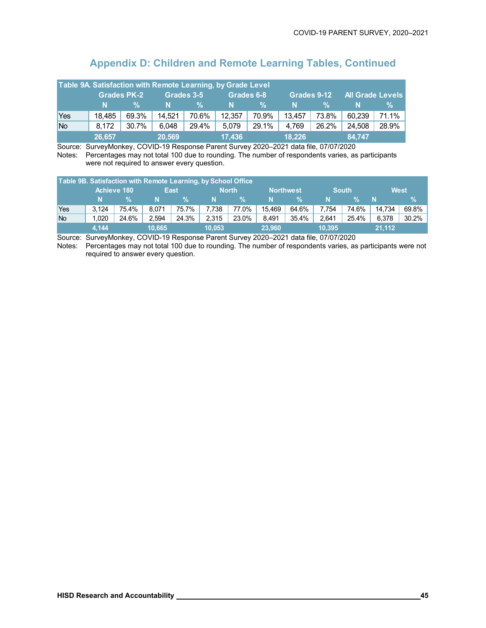|                                                                                          | Table 9A Satisfaction with Remote Learning, by Grade Level |       |        |       |        |       |        |       |        |       |  |  |
|------------------------------------------------------------------------------------------|------------------------------------------------------------|-------|--------|-------|--------|-------|--------|-------|--------|-------|--|--|
| <b>All Grade Levels</b><br><b>Grades PK-2</b><br>Grades 3-5<br>Grades 6-8<br>Grades 9-12 |                                                            |       |        |       |        |       |        |       |        |       |  |  |
|                                                                                          | N                                                          | %     | N.     | $\%$  | N      | %     | N      | %     | N      | ℅     |  |  |
| <b>Yes</b>                                                                               | 18,485                                                     | 69.3% | 14,521 | 70.6% | 12,357 | 70.9% | 13,457 | 73.8% | 60.239 | 71.1% |  |  |
| No                                                                                       | 8,172                                                      | 30.7% | 6,048  | 29.4% | 5.079  | 29.1% | 4.769  | 26.2% | 24,508 | 28.9% |  |  |
|                                                                                          | 26,657                                                     |       | 20,569 |       | 17.436 |       | 18.226 |       | 84.747 |       |  |  |

Source: SurveyMonkey, COVID-19 Response Parent Survey 2020–2021 data file, 07/07/2020 Notes: Percentages may not total 100 due to rounding. The number of respondents varies, as participants were not required to answer every question.

| Table 9B. Satisfaction with Remote Learning, by School Office |       |             |        |             |        |               |                  |       |        |              |        |             |
|---------------------------------------------------------------|-------|-------------|--------|-------------|--------|---------------|------------------|-------|--------|--------------|--------|-------------|
|                                                               |       | Achieve 180 |        | <b>East</b> |        | <b>North</b>  | <b>Northwest</b> |       |        | <b>South</b> |        | <b>West</b> |
|                                                               | N     | V.          | N      |             | N      | $\mathcal{A}$ | N                |       | N      | ℀            | N      | $\%$        |
| Yes                                                           | 3.124 | 75.4%       | 8.071  | 75.7%       | 7.738  | 77.0%         | 15.469           | 64.6% | 7.754  | 74.6%        | 14.734 | $69.8\%$    |
| <b>No</b>                                                     | 1.020 | 24.6%       | 2.594  | 24.3%       | 2,315  | 23.0%         | 8.491            | 35.4% | 2.641  | 25.4%        | 6.378  | $30.2\%$    |
|                                                               | 4.144 |             | 10.665 |             | 10.053 |               | 23.960           |       | 10.395 |              | 21.112 |             |

Source: SurveyMonkey, COVID-19 Response Parent Survey 2020–2021 data file, 07/07/2020

Notes: Percentages may not total 100 due to rounding. The number of respondents varies, as participants were not required to answer every question.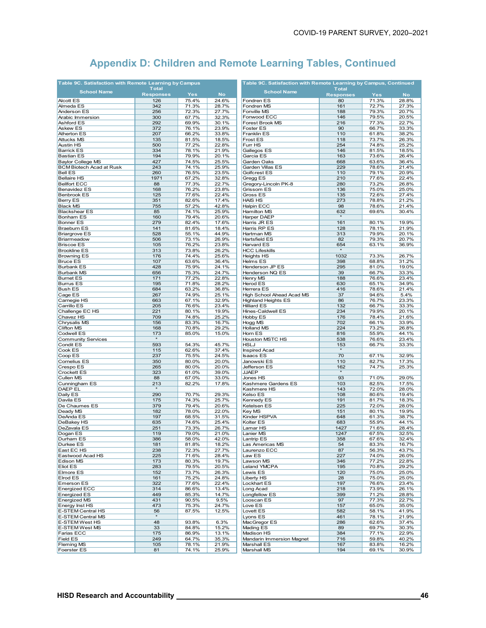| Table 9C. Satisfaction with Remote Learning by Campus |                  |                |                | Table 9C. Satisfaction with Remote Learning by Campus, Continued |                  |                |                |  |  |
|-------------------------------------------------------|------------------|----------------|----------------|------------------------------------------------------------------|------------------|----------------|----------------|--|--|
| <b>School Name</b>                                    | <b>Total</b>     |                |                | <b>School Name</b>                                               | <b>Total</b>     |                |                |  |  |
|                                                       | <b>Responses</b> | <b>Yes</b>     | <b>No</b>      |                                                                  | <b>Responses</b> | <b>Yes</b>     | <b>No</b>      |  |  |
| <b>Alcott ES</b>                                      | 126              | 75.4%          | 24.6%          | Fondren ES                                                       | 80               | 71.3%          | 28.8%          |  |  |
| Almeda ES                                             | 342              | 71.3%          | 28.7%          | Fondren MS                                                       | 161              | 72.7%          | 27.3%          |  |  |
| Anderson ES                                           | 256              | 72.3%          | 27.7%          | Fonville MS                                                      | 188              | 79.3%          | 20.7%          |  |  |
| Arabic Immersion                                      | 300              | 67.7%          | 32.3%          | Fonwood ECC                                                      | 146              | 79.5%          | 20.5%          |  |  |
| Ashford ES                                            | 292              | 69.9%          | 30.1%          | Forest Brook MS                                                  | 216              | 77.3%          | 22.7%          |  |  |
| Askew ES                                              | 372              | 76.1%          | 23.9%          | Foster ES                                                        | 90               | 66.7%          | 33.3%          |  |  |
| <b>Atherton ES</b>                                    | 207              | 66.2%          | 33.8%          | <b>Franklin ES</b>                                               | 110              | 61.8%          | 38.2%          |  |  |
| <b>Attucks MS</b>                                     | 135              | 81.5%          | 18.5%          | Frost ES                                                         | 118              | 73.7%          | 26.3%          |  |  |
| <b>Austin HS</b>                                      | 500              | 77.2%          | 22.8%          | Furr HS                                                          | 254              | 74.8%          | 25.2%          |  |  |
| <b>Barrick ES</b>                                     | 334              | 78.1%          | 21.9%          | Gallegos ES                                                      | 146              | 81.5%          | 18.5%          |  |  |
| <b>Bastian ES</b>                                     | 194              | 79.9%          | 20.1%          | Garcia ES                                                        | 163              | 73.6%          | 26.4%          |  |  |
| <b>Baylor College MS</b>                              | 427              | 74.5%          | 25.5%          | Garden Oaks                                                      | 668              | 63.6%          | 36.4%          |  |  |
| <b>BCM Biotech Acad at Rusk</b>                       | 243              | 74.1%          | 25.9%          | Garden Villas ES                                                 | 229              | 78.6%          | 21.4%          |  |  |
| <b>Bell ES</b>                                        | 260              | 76.5%          | 23.5%          | Golfcrest ES                                                     | 110              | 79.1%          | 20.9%          |  |  |
| <b>Bellaire HS</b>                                    | 1971             | 67.2%          | 32.8%          | Gregg ES                                                         | 210              | 77.6%          | 22.4%          |  |  |
| <b>Bellfort ECC</b>                                   | 88               | 77.3%          | 22.7%          | Gregory-Lincoln PK-8                                             | 280              | 73.2%          | 26.8%          |  |  |
| <b>Benavidez ES</b>                                   | 168              | 76.2%          | 23.8%          | Grissom ES                                                       | 136              | 75.0%          | 25.0%          |  |  |
| <b>Benbrook ES</b>                                    | 125              | 77.6%          | 22.4%          | Gross ES                                                         | 135              | 72.6%          | 27.4%          |  |  |
| <b>Berry ES</b>                                       | 351              | 82.6%          | 17.4%          | <b>HAIS HS</b>                                                   | 273              | 78.8%          | 21.2%          |  |  |
| <b>Black MS</b>                                       | 755              | 57.2%          | 42.8%          | <b>Halpin ECC</b>                                                | 98               | 78.6%          | 21.4%          |  |  |
| <b>Blackshear ES</b>                                  | 85               | 74.1%          | 25.9%          | Hamilton MS                                                      | 632              | 69.6%          | 30.4%          |  |  |
| <b>Bonham ES</b>                                      | 160              | 79.4%          | 20.6%          | Harper DAEP                                                      | $\star$          |                |                |  |  |
| <b>Bonner ES</b>                                      | 279              | 82.4%          | 17.6%          | Harris JR ES                                                     | 161              | 80.1%          | 19.9%          |  |  |
| <b>Braeburn ES</b>                                    | 141              | 81.6%          | 18.4%          | Harris RP ES                                                     | 128              | 78.1%          | 21.9%          |  |  |
| <b>Briargrove ES</b>                                  | 528              | 55.1%          | 44.9%          | Hartman MS                                                       | 313              | 79.9%          | 20.1%          |  |  |
| Briarmeadow                                           | 506              | 73.1%          | 26.9%          | <b>Hartsfield ES</b>                                             | 82               | 79.3%          | 20.7%          |  |  |
| <b>Briscoe ES</b>                                     | 105              | 76.2%          | 23.8%          | Harvard ES                                                       | 654              | 63.1%          | 36.9%          |  |  |
| <b>Brookline ES</b>                                   | 313              | 73.8%          | 26.2%          | <b>HCC Lifeskills</b>                                            | $\star$          |                |                |  |  |
| <b>Browning ES</b>                                    | 176              | 74.4%          | 25.6%          | Heights HS                                                       | 1032             | 73.3%          | 26.7%          |  |  |
| <b>Bruce ES</b>                                       | 107              | 63.6%          | 36.4%          | Helms ES                                                         | 398              | 68.8%          | 31.2%          |  |  |
| <b>Burbank ES</b>                                     | 428              | 75.9%          | 24.1%          | Henderson JP ES                                                  | 295              | 81.0%          | 19.0%          |  |  |
| <b>Burbank MS</b>                                     | 656              | 75.3%          | 24.7%          | Henderson NQ ES                                                  | 39               | 66.7%          | 33.3%          |  |  |
| <b>Burnet ES</b>                                      | 171              | 77.2%          | 22.8%          | Henry MS                                                         | 188              | 76.6%          | 23.4%          |  |  |
| <b>Burrus ES</b>                                      | 195              | 71.8%          | 28.2%          | <b>Herod ES</b>                                                  | 630              | 65.1%          | 34.9%          |  |  |
| <b>Bush ES</b>                                        | 684              | 63.2%          | 36.8%          | Herrera ES                                                       | 416              | 78.6%          | 21.4%          |  |  |
| Cage ES                                               | 267              | 74.9%          | 25.1%          | High School Ahead Acad MS                                        | 37               | 94.6%          | 5.4%           |  |  |
| Carnegie HS                                           | 663              | 67.1%          | 32.9%          | <b>Highland Heights ES</b>                                       | 86               | 76.7%          | 23.3%          |  |  |
| Carrillo ES                                           | 205              | 76.6%          | 23.4%          | <b>Hilliard ES</b>                                               | 132              | 66.7%          | 33.3%          |  |  |
| Challenge EC HS                                       | 221              | 80.1%          | 19.9%          | Hines-Caldwell ES                                                | 234              | 79.9%          | 20.1%          |  |  |
| Chavez HS                                             | 709              | 74.8%          | 25.2%          | Hobby ES                                                         | 176              | 78.4%          | 21.6%          |  |  |
| Chrysalis MS                                          | 156              | 83.3%          | 16.7%          | Hogg MS                                                          | 702              | 66.1%          | 33.9%          |  |  |
| <b>Clifton MS</b>                                     | 168              | 70.8%          | 29.2%          | <b>Holland MS</b>                                                | 224              | 73.2%          | 26.8%          |  |  |
| <b>Codwell ES</b>                                     | 173<br>$\star$   | 85.0%          | 15.0%          | Horn ES                                                          | 816              | 55.9%          | 44.1%          |  |  |
| <b>Community Services</b>                             |                  |                |                | <b>Houston MSTC HS</b>                                           | 538              | 76.6%          | 23.4%          |  |  |
| Condit ES                                             | 593              | 54.3%          | 45.7%          | <b>HSLJ</b>                                                      | 153<br>$\star$   | 66.7%          | 33.3%          |  |  |
| Cook ES                                               | 115              | 62.6%          | 37.4%          | Inspired Acad                                                    |                  |                |                |  |  |
| Coop ES                                               | 237              | 75.5%          | 24.5%          | <b>Isaacs ES</b>                                                 | 70               | 67.1%          | 32.9%          |  |  |
| Cornelius ES                                          | 350              | 80.0%          | 20.0%          | Janowski ES                                                      | 110              | 82.7%          | 17.3%          |  |  |
| Crespo ES                                             | 265              | 80.0%          | 20.0%          | Jefferson ES                                                     | 162<br>$\star$   | 74.7%          | 25.3%          |  |  |
| <b>Crockett ES</b>                                    | 323              | 61.0%          | 39.0%          | <b>JJAEP</b>                                                     |                  |                |                |  |  |
| Cullen MS                                             | 88               | 67.0%          | 33.0%          | Jones HS                                                         | 93               | 71.0%          | 29.0%          |  |  |
| Cunningham ES                                         | 213              | 82.2%          | 17.8%          | Kashmere Gardens ES                                              | 103              | 82.5%          | 17.5%          |  |  |
| <b>DAEP EL</b>                                        |                  |                |                | Kashmere HS<br>Kelso ES                                          | 143              | 72.0%          | 28.0%          |  |  |
| Daily ES                                              | 290              | 70.7%          | 29.3%          |                                                                  | 108              | 80.6%          | 19.4%          |  |  |
| Davila ES                                             | 175              | 74.3%          | 25.7%          | Kennedy ES                                                       | 191              | 81.7%          | 18.3%<br>28.0% |  |  |
| De Chaumes ES                                         | 379              | 79.4%          | 20.6%<br>22.0% | Ketelsen ES                                                      | 225              | 72.0%          |                |  |  |
| Deady MS<br>DeAnda ES                                 | 182<br>197       | 78.0%<br>68.5% | 31.5%          | Key MS<br>Kinder HSPVA                                           | 151<br>648       | 80.1%<br>61.3% | 19.9%<br>38.7% |  |  |
| DeBakey HS                                            | 635              | 74.6%          | 25.4%          | Kolter ES                                                        | 683              | 55.9%          | 44.1%          |  |  |
| DeZavala ES                                           | 251              | 73.3%          | 26.7%          | Lamar HS                                                         | 1427             | 71.6%          | 28.4%          |  |  |
| Dogan ES                                              | 119              | 79.0%          | 21.0%          | Lanier MS                                                        | 1247             | 67.5%          | 32.5%          |  |  |
|                                                       |                  |                |                | Lantrip ES                                                       | 358              |                | 32.4%          |  |  |
| Durham ES                                             | 386              | 58.0%          | 42.0%          |                                                                  |                  | 67.6%<br>83.3% |                |  |  |
| Durkee ES<br>East EC HS                               | 181<br>238       | 81.8%          | 18.2%          | Las Americas MS<br>Laurenzo ECC                                  | 54<br>87         | 56.3%          | 16.7%<br>43.7% |  |  |
| Eastwood Acad HS                                      | 225              | 72.3%<br>71.6% | 27.7%<br>28.4% | Law ES                                                           | 227              | 74.0%          | 26.0%          |  |  |
| Edison MS                                             | 173              | 80.3%          | 19.7%          | Lawson MS                                                        | 346              | 77.2%          | 22.8%          |  |  |
| Eliot ES                                              | 283              | 79.5%          |                | Leland YMCPA                                                     | 195              | 70.8%          | 29.2%          |  |  |
| Elmore ES                                             | 152              | 73.7%          | 20.5%<br>26.3% | Lewis ES                                                         | 120              | 75.0%          | 25.0%          |  |  |
| Elrod ES                                              | 161              | 75.2%          | 24.8%          | Liberty HS                                                       | 28               | 75.0%          | 25.0%          |  |  |
| Emerson ES                                            | 322              | 77.6%          | 22.4%          | Lockhart ES                                                      | 197              | 76.6%          | 23.4%          |  |  |
| <b>Energized ECC</b>                                  | 314              | 86.6%          | 13.4%          | Long Acad                                                        | 218              | 73.9%          | 26.1%          |  |  |
| <b>Energized ES</b>                                   | 449              | 85.3%          | 14.7%          | Longfellow ES                                                    | 399              | 71.2%          | 28.8%          |  |  |
| <b>Energized MS</b>                                   | 431              | 90.5%          | 9.5%           | Looscan ES                                                       | 97               | 77.3%          | 22.7%          |  |  |
| Energy Inst HS                                        | 473              | 75.3%          | 24.7%          | Love ES                                                          | 157              | 65.0%          | 35.0%          |  |  |
| E-STEM Central HS                                     | 56               | 87.5%          | 12.5%          | Lovett ES                                                        | 582              | 58.1%          | 41.9%          |  |  |
| E-STEM Central MS                                     | $\star$          |                |                | Lyons ES                                                         | 461              | 78.1%          |                |  |  |
| E-STEM West HS                                        | 48               | 93.8%          | 6.3%           | MacGregor ES                                                     | 286              | 62.6%          | 21.9%<br>37.4% |  |  |
| E-STEM West MS                                        | 33               | 84.8%          | 15.2%          | Mading ES                                                        | 89               | 69.7%          | 30.3%          |  |  |
| Farias ECC                                            | 175              | 86.9%          | 13.1%          | Madison HS                                                       | 384              | 77.1%          | 22.9%          |  |  |
| <b>Field ES</b>                                       | 249              | 64.7%          | 35.3%          | <b>Mandarin Immersion Magnet</b>                                 | 716              | 59.8%          | 40.2%          |  |  |
| <b>Fleming MS</b>                                     | 105              | 78.1%          | 21.9%          | Marshall ES                                                      | 167              | 83.8%          | 16.2%          |  |  |
| Foerster ES                                           | 81               | 74.1%          | 25.9%          | Marshall MS                                                      | 194              | 69.1%          | 30.9%          |  |  |
|                                                       |                  |                |                |                                                                  |                  |                |                |  |  |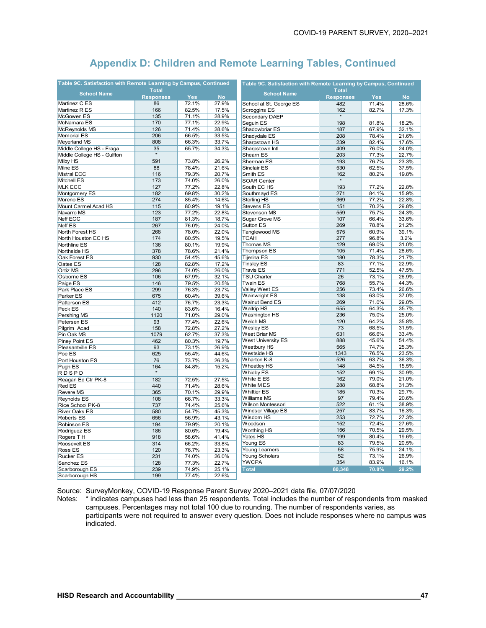| Table 9C. Satisfaction with Remote Learning by Campus, Continued |                  |            |           | Table 9C. Satisfaction with Remote Learning by Campus, Continued |                  |            |           |  |
|------------------------------------------------------------------|------------------|------------|-----------|------------------------------------------------------------------|------------------|------------|-----------|--|
| <b>School Name</b>                                               | <b>Total</b>     |            |           | <b>School Name</b>                                               | <b>Total</b>     |            |           |  |
|                                                                  | <b>Responses</b> | <b>Yes</b> | <b>No</b> |                                                                  | <b>Responses</b> | <b>Yes</b> | <b>No</b> |  |
| Martinez C ES                                                    | 86               | 72.1%      | 27.9%     | School at St. George ES                                          | 482              | 71.4%      | 28.6%     |  |
| Martinez R ES                                                    | 166              | 82.5%      | 17.5%     | Scroggins ES                                                     | 162              | 82.7%      | 17.3%     |  |
| McGowen ES                                                       | 135              | 71.1%      | 28.9%     | Secondary DAEP                                                   |                  |            |           |  |
| McNamara ES                                                      | 170              | 77.1%      | 22.9%     | Seguin ES                                                        | 198              | 81.8%      | 18.2%     |  |
| McReynolds MS                                                    | 126              | 71.4%      | 28.6%     | Shadowbriar ES                                                   | 187              | 67.9%      | 32.1%     |  |
| <b>Memorial ES</b>                                               | 206              | 66.5%      | 33.5%     | Shadydale ES                                                     | 208              | 78.4%      | 21.6%     |  |
| Meyerland MS                                                     | 808              | 66.3%      | 33.7%     | Sharpstown HS                                                    | 239              | 82.4%      | 17.6%     |  |
| Middle College HS - Fraga                                        | 35               | 65.7%      | 34.3%     | Sharpstown Intl                                                  | 409              | 76.0%      | 24.0%     |  |
| Middle College HS - Gulfton                                      |                  |            |           | Shearn ES                                                        | 203              | 77.3%      | 22.7%     |  |
| Milby HS                                                         | 591              | 73.8%      | 26.2%     | Sherman ES                                                       | 193              | 76.7%      | 23.3%     |  |
| Milne ES                                                         | 88               | 78.4%      | 21.6%     | Sinclair ES                                                      | 530              | 62.5%      | 37.5%     |  |
| Mistral ECC                                                      | 116              | 79.3%      | 20.7%     | Smith ES                                                         | 162              | 80.2%      | 19.8%     |  |
| <b>Mitchell ES</b>                                               | 173              | 74.0%      | 26.0%     | <b>SOAR Center</b>                                               |                  |            |           |  |
| <b>MLK ECC</b>                                                   | 127              | 77.2%      | 22.8%     | South EC HS                                                      | 193              | 77.2%      | 22.8%     |  |
| Montgomery ES                                                    | 182              | 69.8%      | 30.2%     | Southmayd ES                                                     | 271              | 84.1%      | 15.9%     |  |
| Moreno ES                                                        | 274              | 85.4%      | 14.6%     | Sterling HS                                                      | 369              | 77.2%      | 22.8%     |  |
| Mount Carmel Acad HS                                             | 115              | 80.9%      | 19.1%     | <b>Stevens ES</b>                                                | 151              | 70.2%      | 29.8%     |  |
| Navarro MS                                                       | 123              | 77.2%      | 22.8%     | Stevenson MS                                                     | 559              | 75.7%      | 24.3%     |  |
| Neff ECC                                                         | 187              | 81.3%      | 18.7%     | Sugar Grove MS                                                   | 107              | 66.4%      | 33.6%     |  |
| Neff ES                                                          | 267              | 76.0%      | 24.0%     | Sutton ES                                                        | 269              | 78.8%      | 21.2%     |  |
| North Forest HS                                                  | 268              | 78.0%      | 22.0%     | Tanglewood MS                                                    | 575              | 60.9%      | 39.1%     |  |
| North Houston EC HS                                              | 174              | 80.5%      | 19.5%     | <b>TCAH</b>                                                      | 277              | 96.8%      | 3.2%      |  |
| Northline ES                                                     | 136              | 80.1%      | 19.9%     | Thomas MS                                                        | 129              | 69.0%      | 31.0%     |  |
| Northside HS                                                     | 378              | 78.6%      | 21.4%     | Thompson ES                                                      | 105              | 71.4%      | 28.6%     |  |
| Oak Forest ES                                                    | 930              | 54.4%      | 45.6%     | Tijerina ES                                                      | 180              | 78.3%      | 21.7%     |  |
| Oates ES                                                         | 128              | 82.8%      | 17.2%     | <b>Tinsley ES</b>                                                | 83               | 77.1%      | 22.9%     |  |
| <b>Ortiz MS</b>                                                  | 296              | 74.0%      | 26.0%     | <b>Travis ES</b>                                                 | 771              | 52.5%      | 47.5%     |  |
| Osborne ES                                                       | 106              | 67.9%      | 32.1%     | <b>TSU Charter</b>                                               | 26               | 73.1%      | 26.9%     |  |
| Paige ES                                                         | 146              | 79.5%      | 20.5%     | Twain ES                                                         | 768              | 55.7%      | 44.3%     |  |
| Park Place ES                                                    | 299              | 76.3%      | 23.7%     | Valley West ES                                                   | 256              | 73.4%      | 26.6%     |  |
| Parker ES                                                        | 675              | 60.4%      | 39.6%     | Wainwright ES                                                    | 138              | 63.0%      | 37.0%     |  |
| Patterson ES                                                     | 412              | 76.7%      | 23.3%     | <b>Walnut Bend ES</b>                                            | 269              | 71.0%      | 29.0%     |  |
| Peck ES                                                          | 140              | 83.6%      | 16.4%     | <b>Waltrip HS</b>                                                | 655              | 64.3%      | 35.7%     |  |
| Pershing MS                                                      | 1120             | 71.0%      | 29.0%     | Washington HS                                                    | 236              | 75.0%      | 25.0%     |  |
| Petersen ES                                                      | 93               | 77.4%      | 22.6%     | Welch MS                                                         | 120              | 64.2%      | 35.8%     |  |
| Pilgrim Acad                                                     | 158              | 72.8%      | 27.2%     | Wesley ES                                                        | 73               | 68.5%      | 31.5%     |  |
| Pin Oak MS                                                       | 1079             | 62.7%      | 37.3%     | West Briar MS                                                    | 631              | 66.6%      | 33.4%     |  |
| Piney Point ES                                                   | 462              | 80.3%      | 19.7%     | <b>West University ES</b>                                        | 888              | 45.6%      | 54.4%     |  |
| Pleasantville ES                                                 | 93               | 73.1%      | 26.9%     | Westbury HS                                                      | 565              | 74.7%      | 25.3%     |  |
| Poe ES                                                           | 625              | 55.4%      | 44.6%     | Westside HS                                                      | 1343             | 76.5%      | 23.5%     |  |
| Port Houston ES                                                  | 76               | 73.7%      | 26.3%     | Wharton K-8                                                      | 526              | 63.7%      | 36.3%     |  |
| Pugh ES                                                          | 164              | 84.8%      | 15.2%     | <b>Wheatley HS</b>                                               | 148              | 84.5%      | 15.5%     |  |
| <b>RDSPD</b>                                                     |                  |            |           | <b>Whidby ES</b>                                                 | 152              | 69.1%      | 30.9%     |  |
| Reagan Ed Ctr PK-8                                               | 182              | 72.5%      | 27.5%     | White E ES                                                       | 162              | 79.0%      | 21.0%     |  |
| Red ES                                                           | 440              | 71.4%      | 28.6%     | White MES                                                        | 288              | 68.8%      | 31.3%     |  |
| <b>Revere MS</b>                                                 | 365              | 70.1%      | 29.9%     | <b>Whittier ES</b>                                               | 185              | 70.3%      | 29.7%     |  |
| Reynolds ES                                                      | 108              | 66.7%      | 33.3%     | Williams MS                                                      | 97               | 79.4%      | 20.6%     |  |
| Rice School PK-8                                                 | 737              | 74.4%      | 25.6%     | Wilson Montessori                                                | 522              | 61.1%      | 38.9%     |  |
| <b>River Oaks ES</b>                                             | 580              | 54.7%      | 45.3%     | Windsor Village ES                                               | 257              | 83.7%      | 16.3%     |  |
| Roberts ES                                                       | 656              | 56.9%      | 43.1%     | Wisdom HS                                                        | 253              | 72.7%      | 27.3%     |  |
| Robinson ES                                                      | 194              | 79.9%      | 20.1%     | Woodson                                                          | 152              | 72.4%      | 27.6%     |  |
| Rodriguez ES                                                     | 186              | 80.6%      | 19.4%     | Worthing HS                                                      | 156              | 70.5%      | 29.5%     |  |
| Rogers TH                                                        | 918              | 58.6%      | 41.4%     | Yates HS                                                         | 199              | 80.4%      | 19.6%     |  |
| Roosevelt ES                                                     | 314              | 66.2%      | 33.8%     | Young ES                                                         | 83               | 79.5%      | 20.5%     |  |
| Ross ES                                                          | 120              | 76.7%      | 23.3%     | Young Learners                                                   | 58               | 75.9%      | 24.1%     |  |
| <b>Rucker ES</b>                                                 | 231              | 74.0%      | 26.0%     | Young Scholars                                                   | 52               | 73.1%      | 26.9%     |  |
| Sanchez ES                                                       | 128              | 77.3%      | 22.7%     | <b>YWCPA</b>                                                     | 354              | 83.9%      | 16.1%     |  |
| Scarborough ES                                                   | 239              | 74.9%      | 25.1%     | <b>Total</b>                                                     | 80,348           | 70.8%      | 29.2%     |  |
| Scarborough HS                                                   | 199              | 77.4%      | 22.6%     |                                                                  |                  |            |           |  |

Source: SurveyMonkey, COVID-19 Response Parent Survey 2020–2021 data file, 07/07/2020

Notes: \* indicates campuses had less than 25 respondents. Total includes the number of respondents from masked campuses. Percentages may not total 100 due to rounding. The number of respondents varies, as participants were not required to answer every question. Does not include responses where no campus was indicated.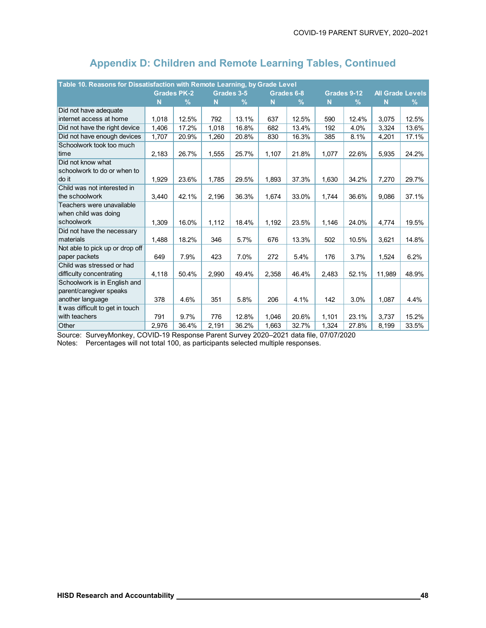| Table 10. Reasons for Dissatisfaction with Remote Learning, by Grade Level |                    |       |       |               |       |            |       |               |        |                         |
|----------------------------------------------------------------------------|--------------------|-------|-------|---------------|-------|------------|-------|---------------|--------|-------------------------|
|                                                                            | <b>Grades PK-2</b> |       |       | Grades 3-5    |       | Grades 6-8 |       | Grades 9-12   |        | <b>All Grade Levels</b> |
|                                                                            | N                  | $\%$  | N     | $\frac{9}{6}$ | N     | $\%$       | N     | $\frac{9}{6}$ | N      | %                       |
| Did not have adequate                                                      |                    |       |       |               |       |            |       |               |        |                         |
| internet access at home                                                    | 1,018              | 12.5% | 792   | 13.1%         | 637   | 12.5%      | 590   | 12.4%         | 3,075  | 12.5%                   |
| Did not have the right device                                              | 1,406              | 17.2% | 1,018 | 16.8%         | 682   | 13.4%      | 192   | 4.0%          | 3,324  | 13.6%                   |
| Did not have enough devices                                                | 1,707              | 20.9% | 1,260 | 20.8%         | 830   | 16.3%      | 385   | 8.1%          | 4,201  | 17.1%                   |
| Schoolwork took too much                                                   |                    |       |       |               |       |            |       |               |        |                         |
| time                                                                       | 2,183              | 26.7% | 1,555 | 25.7%         | 1,107 | 21.8%      | 1,077 | 22.6%         | 5,935  | 24.2%                   |
| Did not know what                                                          |                    |       |       |               |       |            |       |               |        |                         |
| schoolwork to do or when to                                                |                    |       |       |               |       |            |       |               |        |                         |
| do it                                                                      | 1,929              | 23.6% | 1,785 | 29.5%         | 1,893 | 37.3%      | 1,630 | 34.2%         | 7,270  | 29.7%                   |
| Child was not interested in                                                |                    |       |       |               |       |            |       |               |        |                         |
| the schoolwork                                                             | 3,440              | 42.1% | 2,196 | 36.3%         | 1.674 | 33.0%      | 1,744 | 36.6%         | 9.086  | 37.1%                   |
| Teachers were unavailable                                                  |                    |       |       |               |       |            |       |               |        |                         |
| when child was doing                                                       |                    |       |       |               |       |            |       |               |        |                         |
| schoolwork                                                                 | 1,309              | 16.0% | 1,112 | 18.4%         | 1,192 | 23.5%      | 1,146 | 24.0%         | 4,774  | 19.5%                   |
| Did not have the necessary                                                 |                    |       |       |               |       |            |       |               |        |                         |
| materials                                                                  | 1,488              | 18.2% | 346   | 5.7%          | 676   | 13.3%      | 502   | 10.5%         | 3,621  | 14.8%                   |
| Not able to pick up or drop off                                            |                    |       |       |               |       |            |       |               |        |                         |
| paper packets                                                              | 649                | 7.9%  | 423   | 7.0%          | 272   | 5.4%       | 176   | 3.7%          | 1,524  | 6.2%                    |
| Child was stressed or had                                                  |                    |       |       |               |       |            |       |               |        |                         |
| difficulty concentrating                                                   | 4,118              | 50.4% | 2.990 | 49.4%         | 2,358 | 46.4%      | 2,483 | 52.1%         | 11,989 | 48.9%                   |
| Schoolwork is in English and                                               |                    |       |       |               |       |            |       |               |        |                         |
| parent/caregiver speaks                                                    |                    |       |       |               |       |            |       |               |        |                         |
| another language                                                           | 378                | 4.6%  | 351   | 5.8%          | 206   | 4.1%       | 142   | 3.0%          | 1,087  | 4.4%                    |
| It was difficult to get in touch                                           |                    |       |       |               |       |            |       |               |        |                         |
| with teachers                                                              | 791                | 9.7%  | 776   | 12.8%         | 1,046 | 20.6%      | 1,101 | 23.1%         | 3,737  | 15.2%                   |
| Other                                                                      | 2,976              | 36.4% | 2,191 | 36.2%         | 1,663 | 32.7%      | 1,324 | 27.8%         | 8,199  | 33.5%                   |

Source: SurveyMonkey, COVID-19 Response Parent Survey 2020–2021 data file, 07/07/2020

Notes: Percentages will not total 100, as participants selected multiple responses.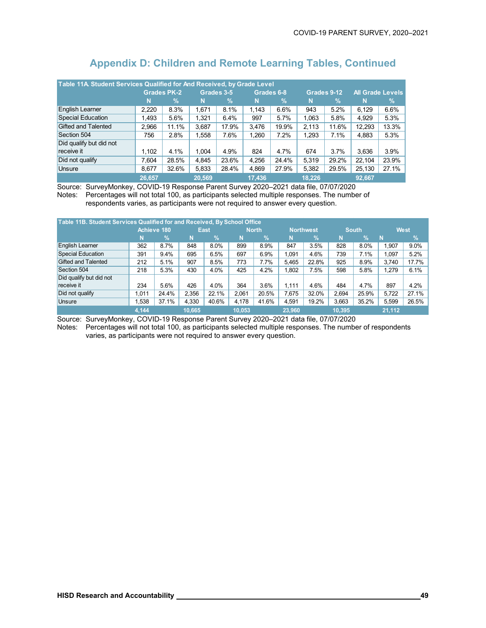| Table 11A. Student Services Qualified for And Received, by Grade Level |                    |       |        |            |            |               |             |               |                         |       |
|------------------------------------------------------------------------|--------------------|-------|--------|------------|------------|---------------|-------------|---------------|-------------------------|-------|
|                                                                        | <b>Grades PK-2</b> |       |        | Grades 3-5 | Grades 6-8 |               | Grades 9-12 |               | <b>All Grade Levels</b> |       |
|                                                                        | N                  | %     | N      | %'         | N          | $\mathcal{A}$ | N           | $\frac{9}{6}$ | N                       | $\%$  |
| English Learner                                                        | 2.220              | 8.3%  | 1.671  | 8.1%       | 1.143      | 6.6%          | 943         | 5.2%          | 6.129                   | 6.6%  |
| Special Education                                                      | 1.493              | 5.6%  | 1.321  | 6.4%       | 997        | 5.7%          | 1,063       | 5.8%          | 4.929                   | 5.3%  |
| Gifted and Talented                                                    | 2.966              | 11.1% | 3,687  | 17.9%      | 3.476      | 19.9%         | 2.113       | 11.6%         | 12.293                  | 13.3% |
| Section 504                                                            | 756                | 2.8%  | 1.558  | 7.6%       | 1,260      | 7.2%          | 1,293       | 7.1%          | 4,883                   | 5.3%  |
| Did qualify but did not                                                |                    |       |        |            |            |               |             |               |                         |       |
| receive it                                                             | 1.102              | 4.1%  | 1.004  | 4.9%       | 824        | 4.7%          | 674         | 3.7%          | 3.636                   | 3.9%  |
| Did not qualify                                                        | 7.604              | 28.5% | 4,845  | 23.6%      | 4.256      | 24.4%         | 5.319       | 29.2%         | 22,104                  | 23.9% |
| <b>Unsure</b>                                                          | 8,677              | 32.6% | 5,833  | 28.4%      | 4,869      | 27.9%         | 5,382       | 29.5%         | 25,130                  | 27.1% |
|                                                                        | 26,657             |       | 20.569 |            | 17,436     |               | 18.226      |               | 92,667                  |       |

Source: SurveyMonkey, COVID-19 Response Parent Survey 2020–2021 data file, 07/07/2020 Notes: Percentages will not total 100, as participants selected multiple responses. The number of respondents varies, as participants were not required to answer every question.

| Table 11B. Student Services Qualified for and Received, By School Office |             |               |        |       |              |               |           |               |              |               |             |       |
|--------------------------------------------------------------------------|-------------|---------------|--------|-------|--------------|---------------|-----------|---------------|--------------|---------------|-------------|-------|
|                                                                          | Achieve 180 |               | East   |       | <b>North</b> |               | Northwest |               | <b>South</b> |               | <b>West</b> |       |
|                                                                          | N           | $\frac{9}{6}$ | N      | %     | N            | $\frac{9}{6}$ | N         | $\frac{9}{6}$ | N            | $\frac{1}{2}$ | N           | %     |
| English Learner                                                          | 362         | 8.7%          | 848    | 8.0%  | 899          | 8.9%          | 847       | 3.5%          | 828          | 8.0%          | 1.907       | 9.0%  |
| <b>Special Education</b>                                                 | 391         | 9.4%          | 695    | 6.5%  | 697          | 6.9%          | 1.091     | 4.6%          | 739          | 7.1%          | 1,097       | 5.2%  |
| Gifted and Talented                                                      | 212         | 5.1%          | 907    | 8.5%  | 773          | 7.7%          | 5.465     | 22.8%         | 925          | 8.9%          | 3.740       | 17.7% |
| Section 504                                                              | 218         | 5.3%          | 430    | 4.0%  | 425          | 4.2%          | 1.802     | 7.5%          | 598          | 5.8%          | 1.279       | 6.1%  |
| Did qualify but did not                                                  |             |               |        |       |              |               |           |               |              |               |             |       |
| receive it                                                               | 234         | 5.6%          | 426    | 4.0%  | 364          | 3.6%          | 1.111     | 4.6%          | 484          | 4.7%          | 897         | 4.2%  |
| Did not qualify                                                          | 1.011       | 24.4%         | 2.356  | 22.1% | 2.061        | 20.5%         | 7.675     | 32.0%         | 2.694        | 25.9%         | 5.722       | 27.1% |
| <b>Unsure</b>                                                            | .538        | 37.1%         | 4,330  | 40.6% | 4,178        | 41.6%         | 4,591     | 19.2%         | 3,663        | 35.2%         | 5,599       | 26.5% |
|                                                                          | 4,144       |               | 10.665 |       | 10.053       |               | 23,960    |               | 10.395       |               | 21,112      |       |

Source: SurveyMonkey, COVID-19 Response Parent Survey 2020–2021 data file, 07/07/2020 Notes: Percentages will not total 100, as participants selected multiple responses. The number of respondents

varies, as participants were not required to answer every question.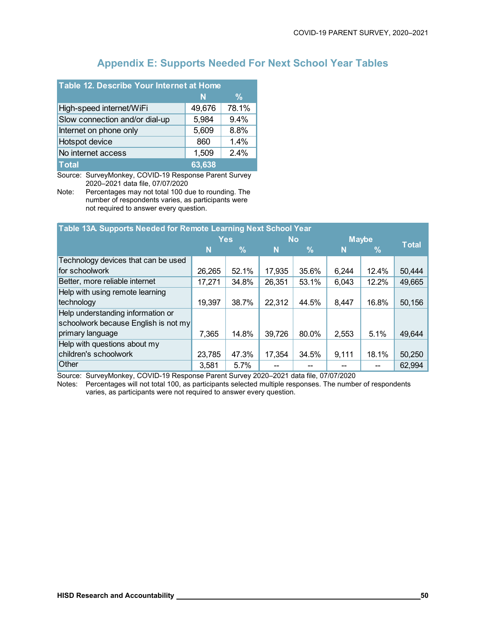## **Appendix E: Supports Needed For Next School Year Tables**

| Table 12. Describe Your Internet at Home |        |       |  |  |  |  |  |
|------------------------------------------|--------|-------|--|--|--|--|--|
|                                          | N      | %     |  |  |  |  |  |
| High-speed internet/WiFi                 | 49,676 | 78.1% |  |  |  |  |  |
| Slow connection and/or dial-up           | 5,984  | 9.4%  |  |  |  |  |  |
| Internet on phone only                   | 5,609  | 8.8%  |  |  |  |  |  |
| Hotspot device                           | 860    | 1.4%  |  |  |  |  |  |
| No internet access                       | 1,509  | 2.4%  |  |  |  |  |  |
| <b>Total</b>                             | 63,638 |       |  |  |  |  |  |

Source: SurveyMonkey, COVID-19 Response Parent Survey 2020–2021 data file, 07/07/2020

Note: Percentages may not total 100 due to rounding. The number of respondents varies, as participants were not required to answer every question.

| Table 13A Supports Needed for Remote Learning Next School Year |            |       |           |       |              |       |              |  |
|----------------------------------------------------------------|------------|-------|-----------|-------|--------------|-------|--------------|--|
|                                                                | <b>Yes</b> |       | <b>No</b> |       | <b>Maybe</b> |       |              |  |
|                                                                | N          | %     | N         | $\%$  | N            | %     | <b>Total</b> |  |
| Technology devices that can be used                            |            |       |           |       |              |       |              |  |
| for schoolwork                                                 | 26,265     | 52.1% | 17,935    | 35.6% | 6,244        | 12.4% | 50,444       |  |
| Better, more reliable internet                                 | 17,271     | 34.8% | 26,351    | 53.1% | 6,043        | 12.2% | 49,665       |  |
| Help with using remote learning                                |            |       |           |       |              |       |              |  |
| technology                                                     | 19,397     | 38.7% | 22,312    | 44.5% | 8,447        | 16.8% | 50,156       |  |
| Help understanding information or                              |            |       |           |       |              |       |              |  |
| schoolwork because English is not my                           |            |       |           |       |              |       |              |  |
| primary language                                               | 7,365      | 14.8% | 39,726    | 80.0% | 2,553        | 5.1%  | 49,644       |  |
| Help with questions about my                                   |            |       |           |       |              |       |              |  |
| children's schoolwork                                          | 23,785     | 47.3% | 17,354    | 34.5% | 9,111        | 18.1% | 50,250       |  |
| <b>Other</b>                                                   | 3,581      | 5.7%  |           |       |              |       | 62,994       |  |

Source: SurveyMonkey, COVID-19 Response Parent Survey 2020–2021 data file, 07/07/2020

Notes: Percentages will not total 100, as participants selected multiple responses. The number of respondents varies, as participants were not required to answer every question.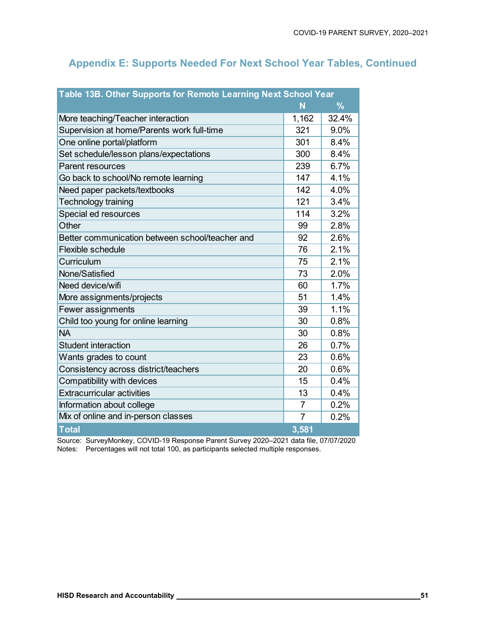## **Appendix E: Supports Needed For Next School Year Tables, Continued**

| Table 13B. Other Supports for Remote Learning Next School Year |                |       |  |  |  |  |
|----------------------------------------------------------------|----------------|-------|--|--|--|--|
|                                                                | N              | $\%$  |  |  |  |  |
| More teaching/Teacher interaction                              | 1,162          | 32.4% |  |  |  |  |
| Supervision at home/Parents work full-time                     | 321            | 9.0%  |  |  |  |  |
| One online portal/platform                                     | 301            | 8.4%  |  |  |  |  |
| Set schedule/lesson plans/expectations                         | 300            | 8.4%  |  |  |  |  |
| Parent resources                                               | 239            | 6.7%  |  |  |  |  |
| Go back to school/No remote learning                           | 147            | 4.1%  |  |  |  |  |
| Need paper packets/textbooks                                   | 142            | 4.0%  |  |  |  |  |
| Technology training                                            | 121            | 3.4%  |  |  |  |  |
| Special ed resources                                           | 114            | 3.2%  |  |  |  |  |
| Other                                                          | 99             | 2.8%  |  |  |  |  |
| Better communication between school/teacher and                | 92             | 2.6%  |  |  |  |  |
| <b>Flexible schedule</b>                                       | 76             | 2.1%  |  |  |  |  |
| Curriculum                                                     | 75             | 2.1%  |  |  |  |  |
| None/Satisfied                                                 | 73             | 2.0%  |  |  |  |  |
| Need device/wifi                                               | 60             | 1.7%  |  |  |  |  |
| More assignments/projects                                      | 51             | 1.4%  |  |  |  |  |
| Fewer assignments                                              | 39             | 1.1%  |  |  |  |  |
| Child too young for online learning                            | 30             | 0.8%  |  |  |  |  |
| <b>NA</b>                                                      | 30             | 0.8%  |  |  |  |  |
| <b>Student interaction</b>                                     | 26             | 0.7%  |  |  |  |  |
| Wants grades to count                                          | 23             | 0.6%  |  |  |  |  |
| Consistency across district/teachers                           | 20             | 0.6%  |  |  |  |  |
| Compatibility with devices                                     | 15             | 0.4%  |  |  |  |  |
| <b>Extracurricular activities</b>                              | 13             | 0.4%  |  |  |  |  |
| Information about college                                      | $\overline{7}$ | 0.2%  |  |  |  |  |
| Mix of online and in-person classes                            | $\overline{7}$ | 0.2%  |  |  |  |  |
| <b>Total</b>                                                   | 3,581          |       |  |  |  |  |

Source: SurveyMonkey, COVID-19 Response Parent Survey 2020–2021 data file, 07/07/2020 Notes: Percentages will not total 100, as participants selected multiple responses.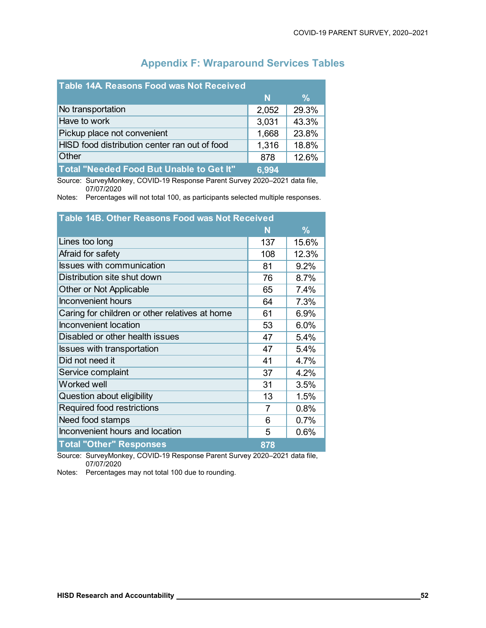| Table 14A Reasons Food was Not Received       |       |               |
|-----------------------------------------------|-------|---------------|
|                                               | N     | $\frac{9}{6}$ |
| No transportation                             | 2,052 | 29.3%         |
| Have to work                                  | 3,031 | 43.3%         |
| Pickup place not convenient                   | 1,668 | 23.8%         |
| HISD food distribution center ran out of food | 1,316 | 18.8%         |
| Other                                         | 878   | 12.6%         |
| Total "Needed Food But Unable to Get It"      | 6.994 |               |

## **Appendix F: Wraparound Services Tables**

Source: SurveyMonkey, COVID-19 Response Parent Survey 2020–2021 data file, 07/07/2020

Notes: Percentages will not total 100, as participants selected multiple responses.

| <b>Table 14B. Other Reasons Food was Not Received</b>                    |     |       |  |  |  |  |
|--------------------------------------------------------------------------|-----|-------|--|--|--|--|
|                                                                          | N   | $\%$  |  |  |  |  |
| Lines too long                                                           | 137 | 15.6% |  |  |  |  |
| Afraid for safety                                                        | 108 | 12.3% |  |  |  |  |
| <b>Issues with communication</b>                                         | 81  | 9.2%  |  |  |  |  |
| Distribution site shut down                                              | 76  | 8.7%  |  |  |  |  |
| Other or Not Applicable                                                  | 65  | 7.4%  |  |  |  |  |
| <b>Inconvenient hours</b>                                                | 64  | 7.3%  |  |  |  |  |
| Caring for children or other relatives at home                           | 61  | 6.9%  |  |  |  |  |
| <b>Inconvenient location</b>                                             | 53  | 6.0%  |  |  |  |  |
| Disabled or other health issues                                          | 47  | 5.4%  |  |  |  |  |
| <b>Issues with transportation</b>                                        | 47  | 5.4%  |  |  |  |  |
| Did not need it                                                          | 41  | 4.7%  |  |  |  |  |
| Service complaint                                                        | 37  | 4.2%  |  |  |  |  |
| <b>Worked well</b>                                                       | 31  | 3.5%  |  |  |  |  |
| Question about eligibility                                               | 13  | 1.5%  |  |  |  |  |
| <b>Required food restrictions</b>                                        | 7   | 0.8%  |  |  |  |  |
| Need food stamps                                                         | 6   | 0.7%  |  |  |  |  |
| Inconvenient hours and location                                          | 5   | 0.6%  |  |  |  |  |
| <b>Total "Other" Responses</b><br>$\mathbf{u}$ $\mathbf{v}$ $\mathbf{v}$ | 878 |       |  |  |  |  |

Source: SurveyMonkey, COVID-19 Response Parent Survey 2020–2021 data file, 07/07/2020

Notes: Percentages may not total 100 due to rounding.